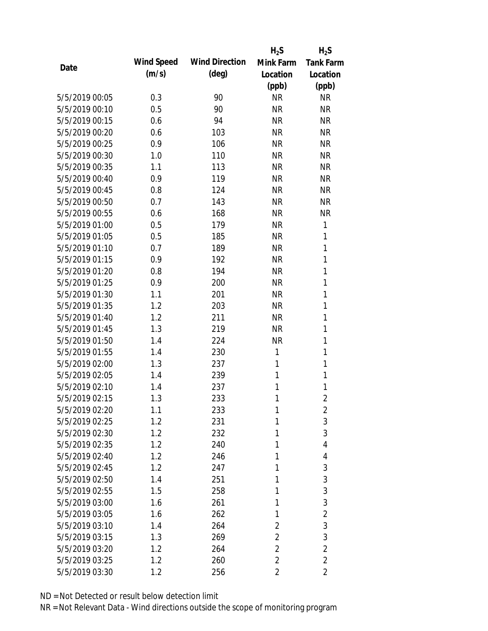|                |            |                       | $H_2S$         | $H_2S$           |
|----------------|------------|-----------------------|----------------|------------------|
| Date           | Wind Speed | <b>Wind Direction</b> | Mink Farm      | <b>Tank Farm</b> |
|                | (m/s)      | $(\text{deg})$        | Location       | Location         |
|                |            |                       | (ppb)          | (ppb)            |
| 5/5/2019 00:05 | 0.3        | 90                    | <b>NR</b>      | <b>NR</b>        |
| 5/5/2019 00:10 | 0.5        | 90                    | <b>NR</b>      | <b>NR</b>        |
| 5/5/2019 00:15 | 0.6        | 94                    | <b>NR</b>      | <b>NR</b>        |
| 5/5/2019 00:20 | 0.6        | 103                   | <b>NR</b>      | <b>NR</b>        |
| 5/5/2019 00:25 | 0.9        | 106                   | <b>NR</b>      | <b>NR</b>        |
| 5/5/2019 00:30 | 1.0        | 110                   | <b>NR</b>      | <b>NR</b>        |
| 5/5/2019 00:35 | 1.1        | 113                   | <b>NR</b>      | <b>NR</b>        |
| 5/5/2019 00:40 | 0.9        | 119                   | <b>NR</b>      | <b>NR</b>        |
| 5/5/2019 00:45 | 0.8        | 124                   | <b>NR</b>      | <b>NR</b>        |
| 5/5/2019 00:50 | 0.7        | 143                   | <b>NR</b>      | <b>NR</b>        |
| 5/5/2019 00:55 | 0.6        | 168                   | <b>NR</b>      | <b>NR</b>        |
| 5/5/2019 01:00 | 0.5        | 179                   | <b>NR</b>      | 1                |
| 5/5/2019 01:05 | 0.5        | 185                   | <b>NR</b>      | 1                |
| 5/5/2019 01:10 | 0.7        | 189                   | <b>NR</b>      | 1                |
| 5/5/2019 01:15 | 0.9        | 192                   | <b>NR</b>      | $\mathbf{1}$     |
| 5/5/2019 01:20 | 0.8        | 194                   | <b>NR</b>      | 1                |
| 5/5/2019 01:25 | 0.9        | 200                   | <b>NR</b>      | 1                |
| 5/5/2019 01:30 | 1.1        | 201                   | <b>NR</b>      | 1                |
| 5/5/2019 01:35 | 1.2        | 203                   | <b>NR</b>      | 1                |
| 5/5/2019 01:40 | 1.2        | 211                   | <b>NR</b>      | 1                |
| 5/5/2019 01:45 | 1.3        | 219                   | <b>NR</b>      | $\mathbf{1}$     |
| 5/5/2019 01:50 | 1.4        | 224                   | <b>NR</b>      | $\mathbf{1}$     |
| 5/5/2019 01:55 | 1.4        | 230                   | 1              | 1                |
| 5/5/2019 02:00 | 1.3        | 237                   | 1              | $\mathbf{1}$     |
| 5/5/2019 02:05 | 1.4        | 239                   | 1              | 1                |
| 5/5/2019 02:10 | 1.4        | 237                   | 1              | 1                |
| 5/5/2019 02:15 | 1.3        | 233                   | 1              | $\overline{2}$   |
| 5/5/2019 02:20 | 1.1        | 233                   | 1              | $\overline{2}$   |
| 5/5/2019 02:25 | 1.2        | 231                   | 1              | 3                |
| 5/5/2019 02:30 | 1.2        | 232                   | 1              | 3                |
| 5/5/2019 02:35 | 1.2        | 240                   | 1              | 4                |
| 5/5/2019 02:40 | 1.2        | 246                   | 1              | 4                |
| 5/5/2019 02:45 | 1.2        | 247                   | 1              | 3                |
| 5/5/2019 02:50 | 1.4        | 251                   | 1              | 3                |
| 5/5/2019 02:55 | 1.5        | 258                   | 1              | 3                |
| 5/5/2019 03:00 | 1.6        | 261                   | 1              | 3                |
| 5/5/2019 03:05 | 1.6        | 262                   | 1              | $\overline{2}$   |
| 5/5/2019 03:10 | 1.4        | 264                   | 2              | 3                |
| 5/5/2019 03:15 | 1.3        | 269                   | $\overline{2}$ | 3                |
| 5/5/2019 03:20 | 1.2        | 264                   | 2              | $\overline{2}$   |
| 5/5/2019 03:25 | 1.2        | 260                   | $\overline{2}$ | $\overline{2}$   |
| 5/5/2019 03:30 | 1.2        | 256                   | 2              | 2                |
|                |            |                       |                |                  |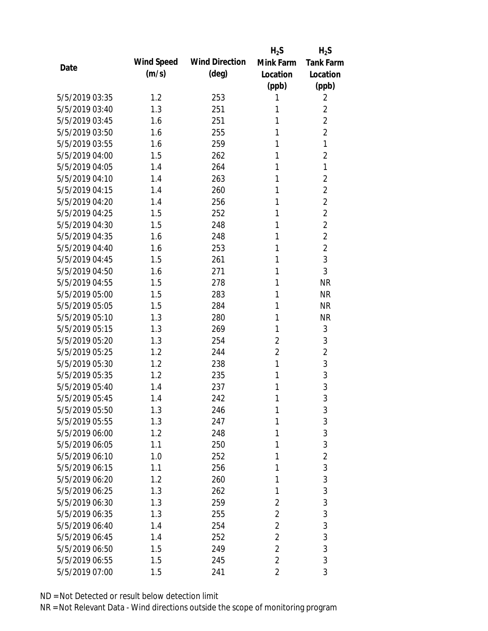|                |            |                       | $H_2S$         | $H_2S$           |
|----------------|------------|-----------------------|----------------|------------------|
| Date           | Wind Speed | <b>Wind Direction</b> | Mink Farm      | <b>Tank Farm</b> |
|                | (m/s)      | $(\text{deg})$        | Location       | Location         |
|                |            |                       | (ppb)          | (ppb)            |
| 5/5/2019 03:35 | 1.2        | 253                   | 1              | 2                |
| 5/5/2019 03:40 | 1.3        | 251                   | 1              | $\overline{2}$   |
| 5/5/2019 03:45 | 1.6        | 251                   | 1              | $\overline{2}$   |
| 5/5/2019 03:50 | 1.6        | 255                   | 1              | $\overline{2}$   |
| 5/5/2019 03:55 | 1.6        | 259                   | 1              | 1                |
| 5/5/2019 04:00 | 1.5        | 262                   | 1              | $\overline{2}$   |
| 5/5/2019 04:05 | 1.4        | 264                   | 1              | 1                |
| 5/5/2019 04:10 | 1.4        | 263                   | 1              | $\overline{2}$   |
| 5/5/2019 04:15 | 1.4        | 260                   | 1              | $\overline{2}$   |
| 5/5/2019 04:20 | 1.4        | 256                   | 1              | $\overline{2}$   |
| 5/5/2019 04:25 | 1.5        | 252                   | 1              | $\overline{2}$   |
| 5/5/2019 04:30 | 1.5        | 248                   | 1              | $\overline{2}$   |
| 5/5/2019 04:35 | 1.6        | 248                   | 1              | $\overline{2}$   |
| 5/5/2019 04:40 | 1.6        | 253                   | 1              | $\overline{2}$   |
| 5/5/2019 04:45 | 1.5        | 261                   | 1              | 3                |
| 5/5/2019 04:50 | 1.6        | 271                   | 1              | 3                |
| 5/5/2019 04:55 | 1.5        | 278                   | 1              | <b>NR</b>        |
| 5/5/2019 05:00 | 1.5        | 283                   | 1              | <b>NR</b>        |
| 5/5/2019 05:05 | 1.5        | 284                   | 1              | <b>NR</b>        |
| 5/5/2019 05:10 | 1.3        | 280                   | 1              | <b>NR</b>        |
| 5/5/2019 05:15 | 1.3        | 269                   | 1              | 3                |
| 5/5/2019 05:20 | 1.3        | 254                   | $\overline{2}$ | 3                |
| 5/5/2019 05:25 | 1.2        | 244                   | $\overline{2}$ | $\overline{2}$   |
| 5/5/2019 05:30 | 1.2        | 238                   | 1              | 3                |
| 5/5/2019 05:35 | 1.2        | 235                   | 1              | 3                |
| 5/5/2019 05:40 | 1.4        | 237                   | 1              | 3                |
| 5/5/2019 05:45 | 1.4        | 242                   | 1              | 3                |
| 5/5/2019 05:50 | 1.3        | 246                   | 1              | 3                |
| 5/5/2019 05:55 | 1.3        | 247                   | 1              | 3                |
| 5/5/2019 06:00 | 1.2        | 248                   | 1              | 3                |
| 5/5/2019 06:05 | 1.1        | 250                   | 1              | 3                |
| 5/5/2019 06:10 | 1.0        | 252                   | 1              | $\overline{2}$   |
| 5/5/2019 06:15 | 1.1        | 256                   | 1              | 3                |
| 5/5/2019 06:20 | 1.2        | 260                   | 1              | 3                |
| 5/5/2019 06:25 | 1.3        | 262                   | 1              | 3                |
| 5/5/2019 06:30 | 1.3        | 259                   | $\overline{2}$ | 3                |
| 5/5/2019 06:35 | 1.3        | 255                   | $\overline{2}$ | 3                |
| 5/5/2019 06:40 | 1.4        | 254                   | $\overline{2}$ | 3                |
| 5/5/2019 06:45 | 1.4        | 252                   | $\overline{2}$ | 3                |
| 5/5/2019 06:50 | 1.5        | 249                   | $\overline{2}$ | 3                |
| 5/5/2019 06:55 | 1.5        | 245                   | $\overline{2}$ | 3                |
| 5/5/2019 07:00 | 1.5        | 241                   | $\overline{2}$ | 3                |
|                |            |                       |                |                  |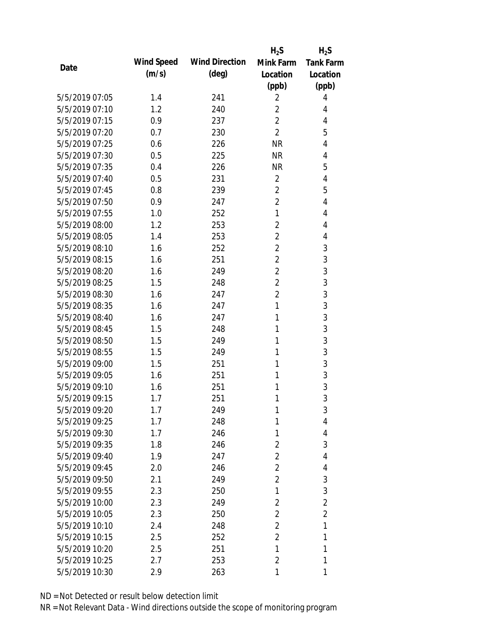|                |            |                       | $H_2S$         | $H_2S$           |
|----------------|------------|-----------------------|----------------|------------------|
| Date           | Wind Speed | <b>Wind Direction</b> | Mink Farm      | <b>Tank Farm</b> |
|                | (m/s)      | (deg)                 | Location       | Location         |
|                |            |                       | (ppb)          | (ppb)            |
| 5/5/2019 07:05 | 1.4        | 241                   | 2              | 4                |
| 5/5/2019 07:10 | 1.2        | 240                   | $\overline{2}$ | 4                |
| 5/5/2019 07:15 | 0.9        | 237                   | $\overline{2}$ | 4                |
| 5/5/2019 07:20 | 0.7        | 230                   | $\overline{2}$ | 5                |
| 5/5/2019 07:25 | 0.6        | 226                   | <b>NR</b>      | 4                |
| 5/5/2019 07:30 | 0.5        | 225                   | <b>NR</b>      | 4                |
| 5/5/2019 07:35 | 0.4        | 226                   | <b>NR</b>      | 5                |
| 5/5/2019 07:40 | 0.5        | 231                   | $\overline{2}$ | 4                |
| 5/5/2019 07:45 | 0.8        | 239                   | $\overline{2}$ | 5                |
| 5/5/2019 07:50 | 0.9        | 247                   | $\overline{2}$ | 4                |
| 5/5/2019 07:55 | 1.0        | 252                   | $\mathbf{1}$   | 4                |
| 5/5/2019 08:00 | 1.2        | 253                   | $\overline{2}$ | 4                |
| 5/5/2019 08:05 | 1.4        | 253                   | $\overline{2}$ | 4                |
| 5/5/2019 08:10 | 1.6        | 252                   | $\overline{2}$ | 3                |
| 5/5/2019 08:15 | 1.6        | 251                   | $\overline{2}$ | 3                |
| 5/5/2019 08:20 | 1.6        | 249                   | $\overline{2}$ | 3                |
| 5/5/2019 08:25 | 1.5        | 248                   | 2              | 3                |
| 5/5/2019 08:30 | 1.6        | 247                   | $\overline{2}$ | 3                |
| 5/5/2019 08:35 | 1.6        | 247                   | 1              | 3                |
| 5/5/2019 08:40 | 1.6        | 247                   | 1              | 3                |
| 5/5/2019 08:45 | 1.5        | 248                   | 1              | 3                |
| 5/5/2019 08:50 | 1.5        | 249                   | 1              | 3                |
| 5/5/2019 08:55 | 1.5        | 249                   | 1              | 3                |
| 5/5/2019 09:00 | 1.5        | 251                   | 1              | 3                |
| 5/5/2019 09:05 | 1.6        | 251                   | 1              | 3                |
| 5/5/2019 09:10 | 1.6        | 251                   | 1              | 3                |
| 5/5/2019 09:15 | 1.7        | 251                   | 1              | 3                |
| 5/5/2019 09:20 | 1.7        | 249                   | 1              | 3                |
| 5/5/2019 09:25 | 1.7        | 248                   | 1              | 4                |
| 5/5/2019 09:30 | 1.7        | 246                   | 1              | 4                |
| 5/5/2019 09:35 | 1.8        | 246                   | $\overline{2}$ | 3                |
| 5/5/2019 09:40 | 1.9        | 247                   | $\overline{2}$ | 4                |
| 5/5/2019 09:45 | 2.0        | 246                   | $\overline{2}$ | 4                |
| 5/5/2019 09:50 | 2.1        | 249                   | $\overline{2}$ | 3                |
| 5/5/2019 09:55 | 2.3        | 250                   | 1              | 3                |
| 5/5/2019 10:00 | 2.3        | 249                   | $\overline{2}$ | $\overline{2}$   |
| 5/5/2019 10:05 | 2.3        | 250                   | $\overline{2}$ | $\overline{2}$   |
| 5/5/2019 10:10 | 2.4        | 248                   | $\overline{2}$ | 1                |
| 5/5/2019 10:15 | 2.5        | 252                   | $\overline{2}$ | 1                |
| 5/5/2019 10:20 | 2.5        | 251                   | 1              | 1                |
| 5/5/2019 10:25 | 2.7        | 253                   | 2              | 1                |
| 5/5/2019 10:30 | 2.9        | 263                   | 1              | 1                |
|                |            |                       |                |                  |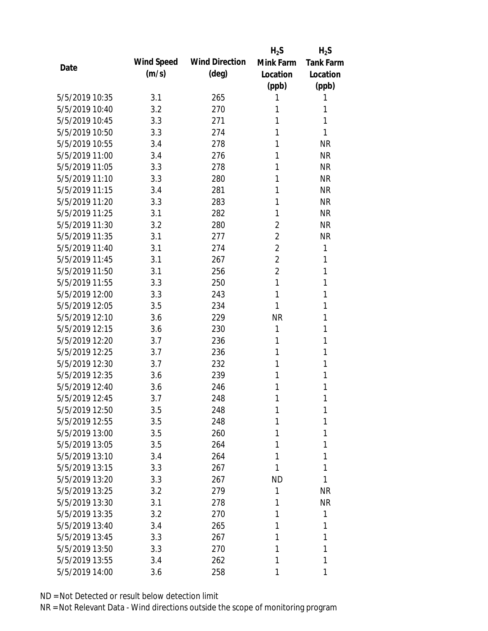|                |            |                       | $H_2S$         | $H_2S$           |
|----------------|------------|-----------------------|----------------|------------------|
| Date           | Wind Speed | <b>Wind Direction</b> | Mink Farm      | <b>Tank Farm</b> |
|                | (m/s)      | (deg)                 | Location       | Location         |
|                |            |                       | (ppb)          | (ppb)            |
| 5/5/2019 10:35 | 3.1        | 265                   | 1              | 1                |
| 5/5/2019 10:40 | 3.2        | 270                   | 1              | 1                |
| 5/5/2019 10:45 | 3.3        | 271                   | 1              | 1                |
| 5/5/2019 10:50 | 3.3        | 274                   | 1              | 1                |
| 5/5/2019 10:55 | 3.4        | 278                   | 1              | <b>NR</b>        |
| 5/5/2019 11:00 | 3.4        | 276                   | 1              | <b>NR</b>        |
| 5/5/2019 11:05 | 3.3        | 278                   | 1              | <b>NR</b>        |
| 5/5/2019 11:10 | 3.3        | 280                   | 1              | <b>NR</b>        |
| 5/5/2019 11:15 | 3.4        | 281                   | 1              | <b>NR</b>        |
| 5/5/2019 11:20 | 3.3        | 283                   | 1              | <b>NR</b>        |
| 5/5/2019 11:25 | 3.1        | 282                   | 1              | <b>NR</b>        |
| 5/5/2019 11:30 | 3.2        | 280                   | 2              | <b>NR</b>        |
| 5/5/2019 11:35 | 3.1        | 277                   | $\overline{2}$ | <b>NR</b>        |
| 5/5/2019 11:40 | 3.1        | 274                   | $\overline{2}$ | 1                |
| 5/5/2019 11:45 | 3.1        | 267                   | $\overline{2}$ | 1                |
| 5/5/2019 11:50 | 3.1        | 256                   | $\overline{2}$ | 1                |
| 5/5/2019 11:55 | 3.3        | 250                   | 1              | 1                |
| 5/5/2019 12:00 | 3.3        | 243                   | 1              | 1                |
| 5/5/2019 12:05 | 3.5        | 234                   | 1              | 1                |
| 5/5/2019 12:10 | 3.6        | 229                   | <b>NR</b>      | 1                |
| 5/5/2019 12:15 | 3.6        | 230                   | 1              | 1                |
| 5/5/2019 12:20 | 3.7        | 236                   | 1              | 1                |
| 5/5/2019 12:25 | 3.7        | 236                   | 1              | 1                |
| 5/5/2019 12:30 | 3.7        | 232                   | 1              | 1                |
| 5/5/2019 12:35 | 3.6        | 239                   | 1              | 1                |
| 5/5/2019 12:40 | 3.6        | 246                   | 1              | 1                |
| 5/5/2019 12:45 | 3.7        | 248                   | 1              | 1                |
| 5/5/2019 12:50 | 3.5        | 248                   | 1              | 1                |
| 5/5/2019 12:55 | 3.5        | 248                   | 1              | 1                |
| 5/5/2019 13:00 | 3.5        | 260                   | 1              | 1                |
| 5/5/2019 13:05 | 3.5        | 264                   | 1              | 1                |
| 5/5/2019 13:10 | 3.4        | 264                   | 1              | 1                |
| 5/5/2019 13:15 | 3.3        | 267                   | 1              | 1                |
| 5/5/2019 13:20 | 3.3        | 267                   | <b>ND</b>      | 1                |
| 5/5/2019 13:25 | 3.2        | 279                   | 1              | <b>NR</b>        |
| 5/5/2019 13:30 | 3.1        | 278                   | 1              | <b>NR</b>        |
| 5/5/2019 13:35 | 3.2        | 270                   | 1              | 1                |
| 5/5/2019 13:40 | 3.4        | 265                   | 1              | 1                |
| 5/5/2019 13:45 | 3.3        | 267                   | 1              | 1                |
| 5/5/2019 13:50 | 3.3        | 270                   | 1              | 1                |
| 5/5/2019 13:55 | 3.4        | 262                   | 1              | 1                |
|                |            |                       |                |                  |
| 5/5/2019 14:00 | 3.6        | 258                   | 1              | 1                |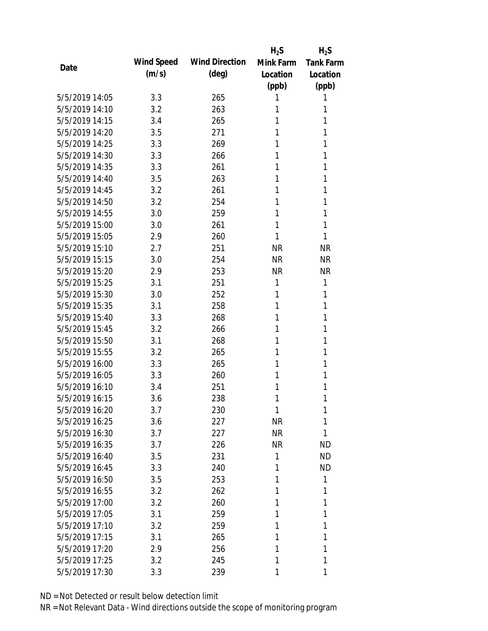|                |            |                       | $H_2S$       | $H_2S$           |
|----------------|------------|-----------------------|--------------|------------------|
| Date           | Wind Speed | <b>Wind Direction</b> | Mink Farm    | <b>Tank Farm</b> |
|                | (m/s)      | $(\text{deg})$        | Location     | Location         |
|                |            |                       | (ppb)        | (ppb)            |
| 5/5/2019 14:05 | 3.3        | 265                   | 1            | 1                |
| 5/5/2019 14:10 | 3.2        | 263                   | 1            | 1                |
| 5/5/2019 14:15 | 3.4        | 265                   | 1            | 1                |
| 5/5/2019 14:20 | 3.5        | 271                   | 1            | 1                |
| 5/5/2019 14:25 | 3.3        | 269                   | 1            | 1                |
| 5/5/2019 14:30 | 3.3        | 266                   | 1            | 1                |
| 5/5/2019 14:35 | 3.3        | 261                   | 1            | 1                |
| 5/5/2019 14:40 | 3.5        | 263                   | 1            | 1                |
| 5/5/2019 14:45 | 3.2        | 261                   | 1            | 1                |
| 5/5/2019 14:50 | 3.2        | 254                   | 1            | 1                |
| 5/5/2019 14:55 | 3.0        | 259                   | 1            | 1                |
| 5/5/2019 15:00 | 3.0        | 261                   | 1            | 1                |
| 5/5/2019 15:05 | 2.9        | 260                   | 1            | 1                |
| 5/5/2019 15:10 | 2.7        | 251                   | <b>NR</b>    | <b>NR</b>        |
| 5/5/2019 15:15 | 3.0        | 254                   | <b>NR</b>    | <b>NR</b>        |
| 5/5/2019 15:20 | 2.9        | 253                   | <b>NR</b>    | <b>NR</b>        |
| 5/5/2019 15:25 | 3.1        | 251                   | $\mathbf{1}$ | 1                |
| 5/5/2019 15:30 | 3.0        | 252                   | 1            | 1                |
| 5/5/2019 15:35 | 3.1        | 258                   | 1            | 1                |
| 5/5/2019 15:40 | 3.3        | 268                   | 1            | 1                |
| 5/5/2019 15:45 | 3.2        | 266                   | 1            | 1                |
| 5/5/2019 15:50 | 3.1        | 268                   | 1            | 1                |
| 5/5/2019 15:55 | 3.2        | 265                   | 1            | 1                |
| 5/5/2019 16:00 | 3.3        | 265                   | 1            | 1                |
| 5/5/2019 16:05 | 3.3        | 260                   | 1            | 1                |
| 5/5/2019 16:10 | 3.4        | 251                   | 1            | 1                |
| 5/5/2019 16:15 | 3.6        | 238                   | 1            | 1                |
| 5/5/2019 16:20 | 3.7        | 230                   | 1            | 1                |
| 5/5/2019 16:25 | 3.6        | 227                   | <b>NR</b>    | 1                |
| 5/5/2019 16:30 | 3.7        | 227                   | <b>NR</b>    | 1                |
| 5/5/2019 16:35 | 3.7        | 226                   | <b>NR</b>    | <b>ND</b>        |
| 5/5/2019 16:40 | 3.5        | 231                   | 1            | <b>ND</b>        |
| 5/5/2019 16:45 | 3.3        | 240                   | 1            | <b>ND</b>        |
| 5/5/2019 16:50 | 3.5        | 253                   | 1            | 1                |
| 5/5/2019 16:55 | 3.2        | 262                   | 1            | 1                |
| 5/5/2019 17:00 | 3.2        | 260                   | 1            | 1                |
| 5/5/2019 17:05 | 3.1        | 259                   | 1            | 1                |
| 5/5/2019 17:10 | 3.2        | 259                   | 1            | 1                |
| 5/5/2019 17:15 | 3.1        | 265                   | 1            | 1                |
| 5/5/2019 17:20 | 2.9        | 256                   | 1            | 1                |
| 5/5/2019 17:25 | 3.2        | 245                   | 1            | 1                |
|                |            |                       |              |                  |
| 5/5/2019 17:30 | 3.3        | 239                   | 1            | 1                |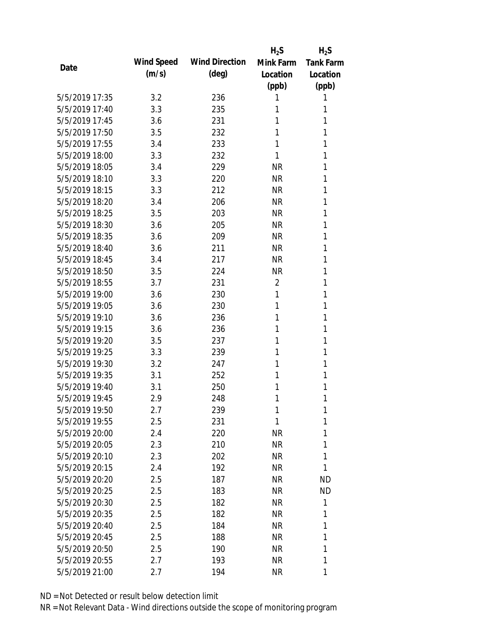|                |            |                       | $H_2S$         | $H_2S$           |
|----------------|------------|-----------------------|----------------|------------------|
| Date           | Wind Speed | <b>Wind Direction</b> | Mink Farm      | <b>Tank Farm</b> |
|                | (m/s)      | (deg)                 | Location       | Location         |
|                |            |                       | (ppb)          | (ppb)            |
| 5/5/2019 17:35 | 3.2        | 236                   | 1              | 1                |
| 5/5/2019 17:40 | 3.3        | 235                   | 1              | 1                |
| 5/5/2019 17:45 | 3.6        | 231                   | 1              | 1                |
| 5/5/2019 17:50 | 3.5        | 232                   | 1              | 1                |
| 5/5/2019 17:55 | 3.4        | 233                   | 1              | 1                |
| 5/5/2019 18:00 | 3.3        | 232                   | 1              | 1                |
| 5/5/2019 18:05 | 3.4        | 229                   | <b>NR</b>      | 1                |
| 5/5/2019 18:10 | 3.3        | 220                   | <b>NR</b>      | 1                |
| 5/5/2019 18:15 | 3.3        | 212                   | <b>NR</b>      | 1                |
| 5/5/2019 18:20 | 3.4        | 206                   | <b>NR</b>      | 1                |
| 5/5/2019 18:25 | 3.5        | 203                   | <b>NR</b>      | 1                |
| 5/5/2019 18:30 | 3.6        | 205                   | <b>NR</b>      | 1                |
| 5/5/2019 18:35 | 3.6        | 209                   | <b>NR</b>      | 1                |
| 5/5/2019 18:40 | 3.6        | 211                   | <b>NR</b>      | 1                |
| 5/5/2019 18:45 | 3.4        | 217                   | <b>NR</b>      | 1                |
| 5/5/2019 18:50 | 3.5        | 224                   | <b>NR</b>      | 1                |
| 5/5/2019 18:55 | 3.7        | 231                   | $\overline{2}$ | 1                |
| 5/5/2019 19:00 | 3.6        | 230                   | 1              | 1                |
| 5/5/2019 19:05 | 3.6        | 230                   | 1              | 1                |
| 5/5/2019 19:10 | 3.6        | 236                   | 1              | 1                |
| 5/5/2019 19:15 | 3.6        | 236                   | 1              | 1                |
| 5/5/2019 19:20 | 3.5        | 237                   | 1              | 1                |
| 5/5/2019 19:25 | 3.3        | 239                   | 1              | 1                |
| 5/5/2019 19:30 | 3.2        | 247                   | 1              | 1                |
| 5/5/2019 19:35 | 3.1        | 252                   | 1              | 1                |
| 5/5/2019 19:40 | 3.1        | 250                   | 1              | 1                |
| 5/5/2019 19:45 | 2.9        | 248                   | 1              | 1                |
| 5/5/2019 19:50 | 2.7        | 239                   | 1              | 1                |
| 5/5/2019 19:55 | 2.5        | 231                   | 1              | 1                |
| 5/5/2019 20:00 | 2.4        | 220                   | ΝR             | 1                |
| 5/5/2019 20:05 | 2.3        | 210                   | <b>NR</b>      | 1                |
| 5/5/2019 20:10 | 2.3        | 202                   | <b>NR</b>      | 1                |
| 5/5/2019 20:15 | 2.4        | 192                   | <b>NR</b>      | 1                |
| 5/5/2019 20:20 | 2.5        | 187                   | <b>NR</b>      | <b>ND</b>        |
| 5/5/2019 20:25 | 2.5        | 183                   | <b>NR</b>      | <b>ND</b>        |
| 5/5/2019 20:30 | 2.5        | 182                   | <b>NR</b>      | 1                |
| 5/5/2019 20:35 | 2.5        | 182                   | <b>NR</b>      | 1                |
| 5/5/2019 20:40 | 2.5        | 184                   | NR             | 1                |
| 5/5/2019 20:45 | 2.5        | 188                   | <b>NR</b>      | 1                |
| 5/5/2019 20:50 | 2.5        | 190                   | <b>NR</b>      | 1                |
| 5/5/2019 20:55 | 2.7        | 193                   | <b>NR</b>      | 1                |
| 5/5/2019 21:00 | 2.7        | 194                   | <b>NR</b>      | 1                |
|                |            |                       |                |                  |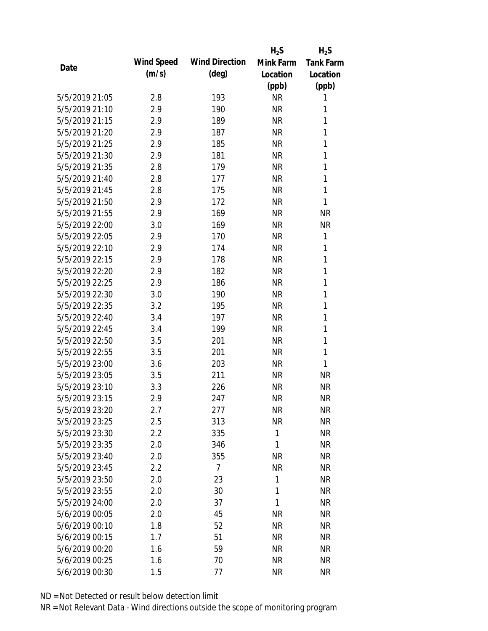|                |            |                       | $H_2S$       | $H_2S$           |
|----------------|------------|-----------------------|--------------|------------------|
|                | Wind Speed | <b>Wind Direction</b> | Mink Farm    | <b>Tank Farm</b> |
| Date           | (m/s)      | $(\text{deg})$        | Location     | Location         |
|                |            |                       | (ppb)        | (ppb)            |
| 5/5/2019 21:05 | 2.8        | 193                   | <b>NR</b>    | 1                |
| 5/5/2019 21:10 | 2.9        | 190                   | <b>NR</b>    | 1                |
| 5/5/2019 21:15 | 2.9        | 189                   | <b>NR</b>    | 1                |
| 5/5/2019 21:20 | 2.9        | 187                   | <b>NR</b>    | 1                |
| 5/5/2019 21:25 | 2.9        | 185                   | <b>NR</b>    | 1                |
| 5/5/2019 21:30 | 2.9        | 181                   | <b>NR</b>    | 1                |
| 5/5/2019 21:35 | 2.8        | 179                   | <b>NR</b>    | 1                |
| 5/5/2019 21:40 | 2.8        | 177                   | <b>NR</b>    | 1                |
| 5/5/2019 21:45 | 2.8        | 175                   | <b>NR</b>    | 1                |
| 5/5/2019 21:50 | 2.9        | 172                   | <b>NR</b>    | 1                |
| 5/5/2019 21:55 | 2.9        | 169                   | <b>NR</b>    | <b>NR</b>        |
| 5/5/2019 22:00 | 3.0        | 169                   | <b>NR</b>    | <b>NR</b>        |
| 5/5/2019 22:05 | 2.9        | 170                   | <b>NR</b>    | 1                |
| 5/5/2019 22:10 | 2.9        | 174                   | <b>NR</b>    | 1                |
| 5/5/2019 22:15 | 2.9        | 178                   | <b>NR</b>    | 1                |
| 5/5/2019 22:20 | 2.9        | 182                   | <b>NR</b>    | 1                |
| 5/5/2019 22:25 | 2.9        | 186                   | <b>NR</b>    | 1                |
| 5/5/2019 22:30 | 3.0        | 190                   | <b>NR</b>    | 1                |
| 5/5/2019 22:35 | 3.2        | 195                   | <b>NR</b>    | 1                |
| 5/5/2019 22:40 | 3.4        | 197                   | <b>NR</b>    | 1                |
| 5/5/2019 22:45 | 3.4        | 199                   | <b>NR</b>    | 1                |
| 5/5/2019 22:50 | 3.5        | 201                   | <b>NR</b>    | 1                |
| 5/5/2019 22:55 | 3.5        | 201                   | <b>NR</b>    | 1                |
| 5/5/2019 23:00 | 3.6        | 203                   | <b>NR</b>    | 1                |
| 5/5/2019 23:05 | 3.5        | 211                   | <b>NR</b>    | <b>NR</b>        |
| 5/5/2019 23:10 | 3.3        | 226                   | <b>NR</b>    | <b>NR</b>        |
| 5/5/2019 23:15 | 2.9        | 247                   | <b>NR</b>    | <b>NR</b>        |
| 5/5/2019 23:20 | 2.7        | 277                   | <b>NR</b>    | <b>NR</b>        |
| 5/5/2019 23:25 | 2.5        | 313                   | <b>NR</b>    | <b>NR</b>        |
| 5/5/2019 23:30 | 2.2        | 335                   | $\mathbf{1}$ | <b>NR</b>        |
| 5/5/2019 23:35 | 2.0        | 346                   | 1            | <b>NR</b>        |
| 5/5/2019 23:40 | 2.0        | 355                   | <b>NR</b>    | <b>NR</b>        |
| 5/5/2019 23:45 | 2.2        | $\overline{7}$        | <b>NR</b>    | <b>NR</b>        |
| 5/5/2019 23:50 | 2.0        | 23                    | $\mathbf{1}$ | <b>NR</b>        |
| 5/5/2019 23:55 | 2.0        | 30                    | $\mathbf{1}$ | <b>NR</b>        |
| 5/5/2019 24:00 | 2.0        | 37                    | 1            | <b>NR</b>        |
| 5/6/2019 00:05 | 2.0        | 45                    | <b>NR</b>    | <b>NR</b>        |
| 5/6/2019 00:10 | 1.8        | 52                    | <b>NR</b>    | <b>NR</b>        |
| 5/6/2019 00:15 | 1.7        | 51                    | <b>NR</b>    | <b>NR</b>        |
| 5/6/2019 00:20 | 1.6        | 59                    | <b>NR</b>    | <b>NR</b>        |
| 5/6/2019 00:25 | 1.6        | 70                    | <b>NR</b>    | <b>NR</b>        |
| 5/6/2019 00:30 | 1.5        | 77                    | <b>NR</b>    | <b>NR</b>        |
|                |            |                       |              |                  |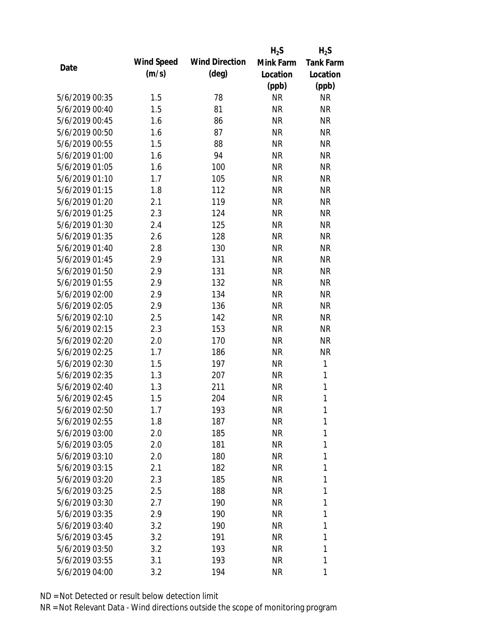|                |            |                       | $H_2S$    | $H_2S$           |
|----------------|------------|-----------------------|-----------|------------------|
| Date           | Wind Speed | <b>Wind Direction</b> | Mink Farm | <b>Tank Farm</b> |
|                | (m/s)      | $(\text{deg})$        | Location  | Location         |
|                |            |                       | (ppb)     | (ppb)            |
| 5/6/2019 00:35 | 1.5        | 78                    | <b>NR</b> | <b>NR</b>        |
| 5/6/2019 00:40 | 1.5        | 81                    | <b>NR</b> | <b>NR</b>        |
| 5/6/2019 00:45 | 1.6        | 86                    | <b>NR</b> | <b>NR</b>        |
| 5/6/2019 00:50 | 1.6        | 87                    | <b>NR</b> | <b>NR</b>        |
| 5/6/2019 00:55 | 1.5        | 88                    | <b>NR</b> | <b>NR</b>        |
| 5/6/2019 01:00 | 1.6        | 94                    | <b>NR</b> | <b>NR</b>        |
| 5/6/2019 01:05 | 1.6        | 100                   | <b>NR</b> | <b>NR</b>        |
| 5/6/2019 01:10 | 1.7        | 105                   | <b>NR</b> | <b>NR</b>        |
| 5/6/2019 01:15 | 1.8        | 112                   | <b>NR</b> | <b>NR</b>        |
| 5/6/2019 01:20 | 2.1        | 119                   | <b>NR</b> | <b>NR</b>        |
| 5/6/2019 01:25 | 2.3        | 124                   | <b>NR</b> | <b>NR</b>        |
| 5/6/2019 01:30 | 2.4        | 125                   | <b>NR</b> | <b>NR</b>        |
| 5/6/2019 01:35 | 2.6        | 128                   | <b>NR</b> | <b>NR</b>        |
| 5/6/2019 01:40 | 2.8        | 130                   | <b>NR</b> | <b>NR</b>        |
| 5/6/2019 01:45 | 2.9        | 131                   | <b>NR</b> | <b>NR</b>        |
| 5/6/2019 01:50 | 2.9        | 131                   | <b>NR</b> | <b>NR</b>        |
| 5/6/2019 01:55 | 2.9        | 132                   | <b>NR</b> | <b>NR</b>        |
| 5/6/2019 02:00 | 2.9        | 134                   | <b>NR</b> | <b>NR</b>        |
| 5/6/2019 02:05 | 2.9        | 136                   | <b>NR</b> | <b>NR</b>        |
| 5/6/2019 02:10 | 2.5        | 142                   | <b>NR</b> | <b>NR</b>        |
| 5/6/2019 02:15 | 2.3        | 153                   | <b>NR</b> | <b>NR</b>        |
| 5/6/2019 02:20 | 2.0        | 170                   | <b>NR</b> | <b>NR</b>        |
| 5/6/2019 02:25 | 1.7        | 186                   | <b>NR</b> | <b>NR</b>        |
| 5/6/2019 02:30 | 1.5        | 197                   | <b>NR</b> | $\mathbf{1}$     |
| 5/6/2019 02:35 | 1.3        | 207                   | <b>NR</b> | 1                |
| 5/6/2019 02:40 | 1.3        | 211                   | <b>NR</b> | $\mathbf{1}$     |
| 5/6/2019 02:45 | 1.5        | 204                   | <b>NR</b> | 1                |
| 5/6/2019 02:50 | 1.7        | 193                   | <b>NR</b> | 1                |
| 5/6/2019 02:55 | 1.8        | 187                   | <b>NR</b> | 1                |
| 5/6/2019 03:00 | 2.0        | 185                   | <b>NR</b> | 1                |
| 5/6/2019 03:05 | 2.0        | 181                   | <b>NR</b> | 1                |
| 5/6/2019 03:10 | 2.0        | 180                   | <b>NR</b> | 1                |
| 5/6/2019 03:15 | 2.1        | 182                   | <b>NR</b> | 1                |
| 5/6/2019 03:20 | 2.3        | 185                   | <b>NR</b> | 1                |
| 5/6/2019 03:25 | 2.5        | 188                   | <b>NR</b> | 1                |
| 5/6/2019 03:30 | 2.7        | 190                   | <b>NR</b> | 1                |
| 5/6/2019 03:35 | 2.9        | 190                   | <b>NR</b> | 1                |
| 5/6/2019 03:40 | 3.2        | 190                   | NR        | 1                |
| 5/6/2019 03:45 | 3.2        | 191                   | <b>NR</b> | 1                |
| 5/6/2019 03:50 | 3.2        | 193                   | <b>NR</b> | 1                |
| 5/6/2019 03:55 | 3.1        | 193                   | <b>NR</b> | 1                |
| 5/6/2019 04:00 | 3.2        | 194                   | <b>NR</b> | 1                |
|                |            |                       |           |                  |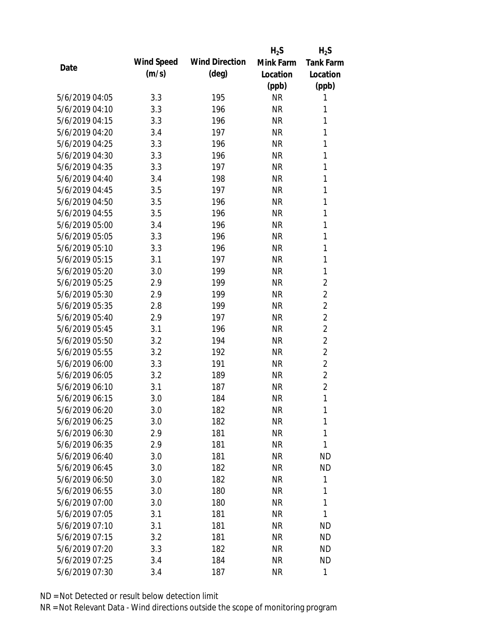|                |            |                       | $H_2S$    | $H_2S$           |
|----------------|------------|-----------------------|-----------|------------------|
| Date           | Wind Speed | <b>Wind Direction</b> | Mink Farm | <b>Tank Farm</b> |
|                | (m/s)      | $(\text{deg})$        | Location  | Location         |
|                |            |                       | (ppb)     | (ppb)            |
| 5/6/2019 04:05 | 3.3        | 195                   | <b>NR</b> | 1                |
| 5/6/2019 04:10 | 3.3        | 196                   | <b>NR</b> | 1                |
| 5/6/2019 04:15 | 3.3        | 196                   | <b>NR</b> | 1                |
| 5/6/2019 04:20 | 3.4        | 197                   | <b>NR</b> | 1                |
| 5/6/2019 04:25 | 3.3        | 196                   | <b>NR</b> | 1                |
| 5/6/2019 04:30 | 3.3        | 196                   | <b>NR</b> | 1                |
| 5/6/2019 04:35 | 3.3        | 197                   | <b>NR</b> | 1                |
| 5/6/2019 04:40 | 3.4        | 198                   | <b>NR</b> | 1                |
| 5/6/2019 04:45 | 3.5        | 197                   | <b>NR</b> | 1                |
| 5/6/2019 04:50 | 3.5        | 196                   | <b>NR</b> | 1                |
| 5/6/2019 04:55 | 3.5        | 196                   | <b>NR</b> | 1                |
| 5/6/2019 05:00 | 3.4        | 196                   | <b>NR</b> | 1                |
| 5/6/2019 05:05 | 3.3        | 196                   | <b>NR</b> | 1                |
| 5/6/2019 05:10 | 3.3        | 196                   | <b>NR</b> | 1                |
| 5/6/2019 05:15 | 3.1        | 197                   | <b>NR</b> | $\mathbf{1}$     |
| 5/6/2019 05:20 | 3.0        | 199                   | <b>NR</b> | 1                |
| 5/6/2019 05:25 | 2.9        | 199                   | <b>NR</b> | $\overline{2}$   |
| 5/6/2019 05:30 | 2.9        | 199                   | <b>NR</b> | $\overline{2}$   |
| 5/6/2019 05:35 | 2.8        | 199                   | <b>NR</b> | $\overline{2}$   |
| 5/6/2019 05:40 | 2.9        | 197                   | <b>NR</b> | $\overline{2}$   |
| 5/6/2019 05:45 | 3.1        | 196                   | <b>NR</b> | $\overline{2}$   |
| 5/6/2019 05:50 | 3.2        | 194                   | <b>NR</b> | $\overline{2}$   |
| 5/6/2019 05:55 | 3.2        | 192                   | <b>NR</b> | $\overline{2}$   |
| 5/6/2019 06:00 | 3.3        | 191                   | <b>NR</b> | $\overline{2}$   |
| 5/6/2019 06:05 | 3.2        | 189                   | <b>NR</b> | $\overline{2}$   |
| 5/6/2019 06:10 | 3.1        | 187                   | <b>NR</b> | $\overline{2}$   |
| 5/6/2019 06:15 | 3.0        | 184                   | <b>NR</b> | 1                |
| 5/6/2019 06:20 | 3.0        | 182                   | <b>NR</b> | 1                |
| 5/6/2019 06:25 | 3.0        | 182                   | <b>NR</b> | 1                |
| 5/6/2019 06:30 | 2.9        | 181                   | <b>NR</b> | 1                |
| 5/6/2019 06:35 | 2.9        | 181                   | <b>NR</b> | 1                |
| 5/6/2019 06:40 | 3.0        | 181                   | <b>NR</b> | <b>ND</b>        |
| 5/6/2019 06:45 | 3.0        | 182                   | <b>NR</b> | <b>ND</b>        |
| 5/6/2019 06:50 | 3.0        | 182                   | <b>NR</b> | 1                |
| 5/6/2019 06:55 | 3.0        | 180                   | <b>NR</b> | 1                |
| 5/6/2019 07:00 | 3.0        | 180                   | <b>NR</b> | 1                |
| 5/6/2019 07:05 | 3.1        | 181                   | <b>NR</b> | 1                |
| 5/6/2019 07:10 | 3.1        | 181                   | NR        | <b>ND</b>        |
| 5/6/2019 07:15 | 3.2        | 181                   | <b>NR</b> | <b>ND</b>        |
| 5/6/2019 07:20 | 3.3        | 182                   | <b>NR</b> | <b>ND</b>        |
| 5/6/2019 07:25 | 3.4        | 184                   | <b>NR</b> | <b>ND</b>        |
| 5/6/2019 07:30 | 3.4        | 187                   | <b>NR</b> | 1                |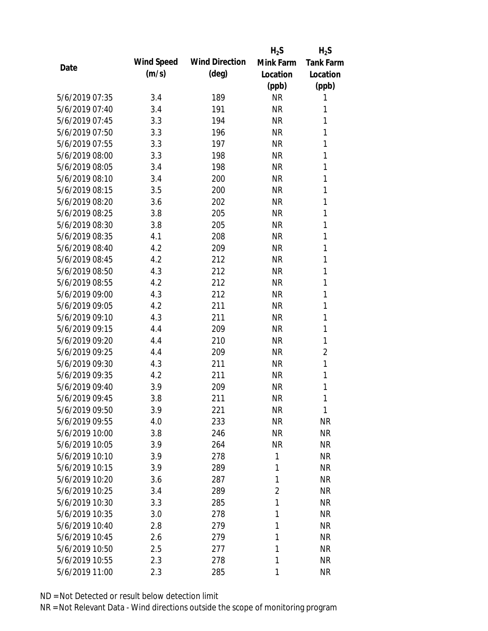|                |            |                       | $H_2S$         | $H_2S$           |
|----------------|------------|-----------------------|----------------|------------------|
|                | Wind Speed | <b>Wind Direction</b> | Mink Farm      | <b>Tank Farm</b> |
| Date           | (m/s)      | $(\text{deg})$        | Location       | Location         |
|                |            |                       | (ppb)          | (ppb)            |
| 5/6/2019 07:35 | 3.4        | 189                   | <b>NR</b>      | 1                |
| 5/6/2019 07:40 | 3.4        | 191                   | <b>NR</b>      | 1                |
| 5/6/2019 07:45 | 3.3        | 194                   | <b>NR</b>      | 1                |
| 5/6/2019 07:50 | 3.3        | 196                   | <b>NR</b>      | 1                |
| 5/6/2019 07:55 | 3.3        | 197                   | <b>NR</b>      | 1                |
| 5/6/2019 08:00 | 3.3        | 198                   | <b>NR</b>      | 1                |
| 5/6/2019 08:05 | 3.4        | 198                   | <b>NR</b>      | 1                |
| 5/6/2019 08:10 | 3.4        | 200                   | <b>NR</b>      | 1                |
| 5/6/2019 08:15 | 3.5        | 200                   | <b>NR</b>      | 1                |
| 5/6/2019 08:20 | 3.6        | 202                   | <b>NR</b>      | 1                |
| 5/6/2019 08:25 | 3.8        | 205                   | <b>NR</b>      | 1                |
| 5/6/2019 08:30 | 3.8        | 205                   | <b>NR</b>      | 1                |
| 5/6/2019 08:35 | 4.1        | 208                   | <b>NR</b>      | 1                |
| 5/6/2019 08:40 | 4.2        | 209                   | <b>NR</b>      | 1                |
| 5/6/2019 08:45 | 4.2        | 212                   | <b>NR</b>      | 1                |
| 5/6/2019 08:50 | 4.3        | 212                   | <b>NR</b>      | 1                |
| 5/6/2019 08:55 | 4.2        | 212                   | <b>NR</b>      | 1                |
| 5/6/2019 09:00 | 4.3        | 212                   | <b>NR</b>      | 1                |
| 5/6/2019 09:05 | 4.2        | 211                   | <b>NR</b>      | 1                |
| 5/6/2019 09:10 | 4.3        | 211                   | <b>NR</b>      | 1                |
| 5/6/2019 09:15 | 4.4        | 209                   | <b>NR</b>      | 1                |
| 5/6/2019 09:20 | 4.4        | 210                   | <b>NR</b>      | 1                |
| 5/6/2019 09:25 | 4.4        | 209                   | <b>NR</b>      | 2                |
| 5/6/2019 09:30 | 4.3        | 211                   | <b>NR</b>      | 1                |
| 5/6/2019 09:35 | 4.2        | 211                   | <b>NR</b>      | 1                |
| 5/6/2019 09:40 | 3.9        | 209                   | <b>NR</b>      | 1                |
| 5/6/2019 09:45 | 3.8        | 211                   | <b>NR</b>      | 1                |
| 5/6/2019 09:50 | 3.9        | 221                   | <b>NR</b>      | 1                |
| 5/6/2019 09:55 | 4.0        | 233                   | <b>NR</b>      | <b>NR</b>        |
| 5/6/2019 10:00 | 3.8        | 246                   | <b>NR</b>      | <b>NR</b>        |
| 5/6/2019 10:05 | 3.9        | 264                   | <b>NR</b>      | <b>NR</b>        |
| 5/6/2019 10:10 | 3.9        | 278                   | 1              | <b>NR</b>        |
| 5/6/2019 10:15 | 3.9        | 289                   | 1              | <b>NR</b>        |
| 5/6/2019 10:20 | 3.6        | 287                   | 1              | <b>NR</b>        |
| 5/6/2019 10:25 | 3.4        | 289                   | $\overline{2}$ | <b>NR</b>        |
| 5/6/2019 10:30 | 3.3        | 285                   | 1              | <b>NR</b>        |
| 5/6/2019 10:35 | 3.0        | 278                   | 1              | <b>NR</b>        |
| 5/6/2019 10:40 | 2.8        | 279                   | 1              | <b>NR</b>        |
| 5/6/2019 10:45 | 2.6        | 279                   | 1              | <b>NR</b>        |
| 5/6/2019 10:50 | 2.5        | 277                   | 1              | <b>NR</b>        |
| 5/6/2019 10:55 | 2.3        | 278                   | 1              | <b>NR</b>        |
| 5/6/2019 11:00 | 2.3        | 285                   | 1              | <b>NR</b>        |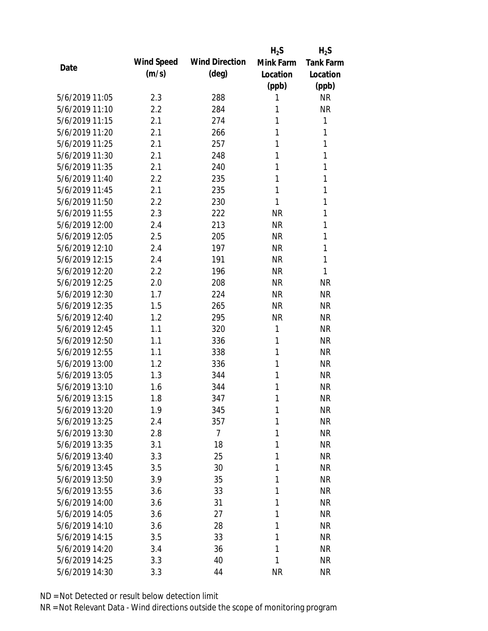|                |            |                       | $H_2S$    | $H_2S$           |
|----------------|------------|-----------------------|-----------|------------------|
| Date           | Wind Speed | <b>Wind Direction</b> | Mink Farm | <b>Tank Farm</b> |
|                | (m/s)      | $(\text{deg})$        | Location  | Location         |
|                |            |                       | (ppb)     | (ppb)            |
| 5/6/2019 11:05 | 2.3        | 288                   | 1         | <b>NR</b>        |
| 5/6/2019 11:10 | 2.2        | 284                   | 1         | <b>NR</b>        |
| 5/6/2019 11:15 | 2.1        | 274                   | 1         | 1                |
| 5/6/2019 11:20 | 2.1        | 266                   | 1         | 1                |
| 5/6/2019 11:25 | 2.1        | 257                   | 1         | 1                |
| 5/6/2019 11:30 | 2.1        | 248                   | 1         | 1                |
| 5/6/2019 11:35 | 2.1        | 240                   | 1         | 1                |
| 5/6/2019 11:40 | 2.2        | 235                   | 1         | 1                |
| 5/6/2019 11:45 | 2.1        | 235                   | 1         | $\mathbf{1}$     |
| 5/6/2019 11:50 | 2.2        | 230                   | 1         | 1                |
| 5/6/2019 11:55 | 2.3        | 222                   | <b>NR</b> | 1                |
| 5/6/2019 12:00 | 2.4        | 213                   | <b>NR</b> | 1                |
| 5/6/2019 12:05 | 2.5        | 205                   | <b>NR</b> | 1                |
| 5/6/2019 12:10 | 2.4        | 197                   | <b>NR</b> | 1                |
| 5/6/2019 12:15 | 2.4        | 191                   | <b>NR</b> | 1                |
| 5/6/2019 12:20 | 2.2        | 196                   | <b>NR</b> | 1                |
| 5/6/2019 12:25 | 2.0        | 208                   | <b>NR</b> | <b>NR</b>        |
| 5/6/2019 12:30 | 1.7        | 224                   | <b>NR</b> | <b>NR</b>        |
| 5/6/2019 12:35 | 1.5        | 265                   | <b>NR</b> | <b>NR</b>        |
| 5/6/2019 12:40 | 1.2        | 295                   | <b>NR</b> | <b>NR</b>        |
| 5/6/2019 12:45 | 1.1        | 320                   | 1         | <b>NR</b>        |
| 5/6/2019 12:50 | 1.1        | 336                   | 1         | <b>NR</b>        |
| 5/6/2019 12:55 | 1.1        | 338                   | 1         | <b>NR</b>        |
| 5/6/2019 13:00 | 1.2        | 336                   | 1         | <b>NR</b>        |
| 5/6/2019 13:05 | 1.3        | 344                   | 1         | <b>NR</b>        |
| 5/6/2019 13:10 | 1.6        | 344                   | 1         | <b>NR</b>        |
| 5/6/2019 13:15 | 1.8        | 347                   | 1         | <b>NR</b>        |
| 5/6/2019 13:20 | 1.9        | 345                   | 1         | <b>NR</b>        |
| 5/6/2019 13:25 | 2.4        | 357                   | 1         | <b>NR</b>        |
| 5/6/2019 13:30 | 2.8        | $\overline{7}$        | 1         | <b>NR</b>        |
| 5/6/2019 13:35 | 3.1        | 18                    | 1         | <b>NR</b>        |
| 5/6/2019 13:40 | 3.3        | 25                    | 1         | <b>NR</b>        |
| 5/6/2019 13:45 | 3.5        | 30                    | 1         | <b>NR</b>        |
| 5/6/2019 13:50 | 3.9        | 35                    | 1         | <b>NR</b>        |
| 5/6/2019 13:55 | 3.6        | 33                    | 1         | <b>NR</b>        |
| 5/6/2019 14:00 | 3.6        | 31                    | 1         | <b>NR</b>        |
| 5/6/2019 14:05 | 3.6        | 27                    | 1         | <b>NR</b>        |
| 5/6/2019 14:10 | 3.6        | 28                    | 1         | <b>NR</b>        |
| 5/6/2019 14:15 | 3.5        | 33                    | 1         | <b>NR</b>        |
| 5/6/2019 14:20 | 3.4        | 36                    | 1         | <b>NR</b>        |
| 5/6/2019 14:25 | 3.3        | 40                    | 1         | <b>NR</b>        |
| 5/6/2019 14:30 | 3.3        | 44                    | <b>NR</b> | <b>NR</b>        |
|                |            |                       |           |                  |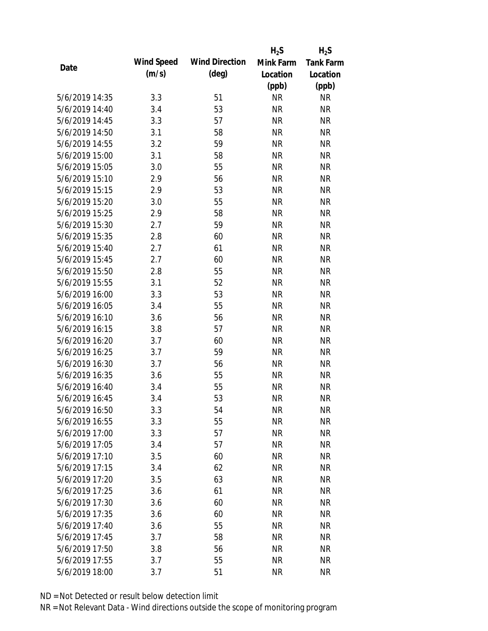|                |            |                       | $H_2S$    | $H_2S$    |
|----------------|------------|-----------------------|-----------|-----------|
| Date           | Wind Speed | <b>Wind Direction</b> | Mink Farm | Tank Farm |
|                | (m/s)      | $(\text{deg})$        | Location  | Location  |
|                |            |                       | (ppb)     | (ppb)     |
| 5/6/2019 14:35 | 3.3        | 51                    | <b>NR</b> | <b>NR</b> |
| 5/6/2019 14:40 | 3.4        | 53                    | <b>NR</b> | <b>NR</b> |
| 5/6/2019 14:45 | 3.3        | 57                    | <b>NR</b> | <b>NR</b> |
| 5/6/2019 14:50 | 3.1        | 58                    | <b>NR</b> | <b>NR</b> |
| 5/6/2019 14:55 | 3.2        | 59                    | <b>NR</b> | <b>NR</b> |
| 5/6/2019 15:00 | 3.1        | 58                    | <b>NR</b> | <b>NR</b> |
| 5/6/2019 15:05 | 3.0        | 55                    | <b>NR</b> | <b>NR</b> |
| 5/6/2019 15:10 | 2.9        | 56                    | <b>NR</b> | <b>NR</b> |
| 5/6/2019 15:15 | 2.9        | 53                    | <b>NR</b> | <b>NR</b> |
| 5/6/2019 15:20 | 3.0        | 55                    | <b>NR</b> | <b>NR</b> |
| 5/6/2019 15:25 | 2.9        | 58                    | <b>NR</b> | <b>NR</b> |
| 5/6/2019 15:30 | 2.7        | 59                    | <b>NR</b> | <b>NR</b> |
| 5/6/2019 15:35 | 2.8        | 60                    | <b>NR</b> | <b>NR</b> |
| 5/6/2019 15:40 | 2.7        | 61                    | <b>NR</b> | <b>NR</b> |
| 5/6/2019 15:45 | 2.7        | 60                    | <b>NR</b> | <b>NR</b> |
| 5/6/2019 15:50 | 2.8        | 55                    | <b>NR</b> | <b>NR</b> |
| 5/6/2019 15:55 | 3.1        | 52                    | <b>NR</b> | <b>NR</b> |
| 5/6/2019 16:00 | 3.3        | 53                    | <b>NR</b> | <b>NR</b> |
| 5/6/2019 16:05 | 3.4        | 55                    | <b>NR</b> | <b>NR</b> |
| 5/6/2019 16:10 | 3.6        | 56                    | <b>NR</b> | <b>NR</b> |
| 5/6/2019 16:15 | 3.8        | 57                    | <b>NR</b> | <b>NR</b> |
| 5/6/2019 16:20 | 3.7        | 60                    | <b>NR</b> | <b>NR</b> |
| 5/6/2019 16:25 | 3.7        | 59                    | <b>NR</b> | <b>NR</b> |
| 5/6/2019 16:30 | 3.7        | 56                    | <b>NR</b> | <b>NR</b> |
| 5/6/2019 16:35 | 3.6        | 55                    | <b>NR</b> | <b>NR</b> |
| 5/6/2019 16:40 | 3.4        | 55                    | <b>NR</b> | <b>NR</b> |
| 5/6/2019 16:45 | 3.4        | 53                    | <b>NR</b> | <b>NR</b> |
| 5/6/2019 16:50 | 3.3        | 54                    | <b>NR</b> | <b>NR</b> |
| 5/6/2019 16:55 | 3.3        | 55                    | <b>NR</b> | <b>NR</b> |
| 5/6/2019 17:00 | 3.3        | 57                    | <b>NR</b> | <b>NR</b> |
| 5/6/2019 17:05 | 3.4        | 57                    | <b>NR</b> | <b>NR</b> |
| 5/6/2019 17:10 | 3.5        | 60                    | <b>NR</b> | <b>NR</b> |
| 5/6/2019 17:15 | 3.4        | 62                    | <b>NR</b> | <b>NR</b> |
| 5/6/2019 17:20 | 3.5        | 63                    | <b>NR</b> | <b>NR</b> |
| 5/6/2019 17:25 | 3.6        | 61                    | <b>NR</b> | <b>NR</b> |
| 5/6/2019 17:30 | 3.6        | 60                    | <b>NR</b> | <b>NR</b> |
| 5/6/2019 17:35 | 3.6        | 60                    | <b>NR</b> | <b>NR</b> |
| 5/6/2019 17:40 | 3.6        | 55                    | <b>NR</b> | <b>NR</b> |
| 5/6/2019 17:45 | 3.7        | 58                    | <b>NR</b> | <b>NR</b> |
| 5/6/2019 17:50 | 3.8        | 56                    | <b>NR</b> | <b>NR</b> |
| 5/6/2019 17:55 | 3.7        | 55                    | <b>NR</b> | <b>NR</b> |
| 5/6/2019 18:00 | 3.7        | 51                    | <b>NR</b> | <b>NR</b> |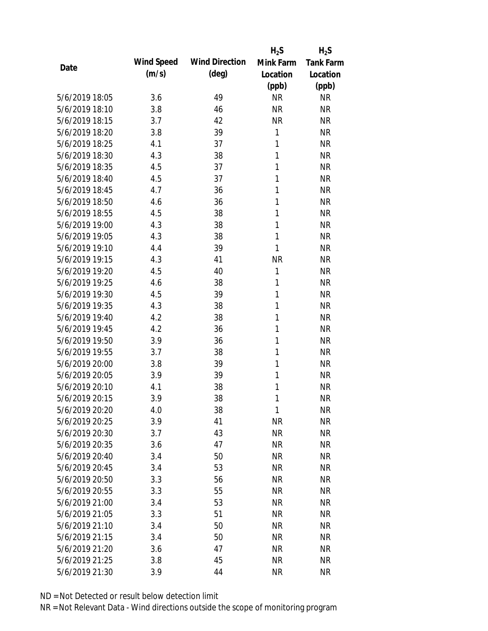|                |            |                       | $H_2S$       | $H_2S$           |
|----------------|------------|-----------------------|--------------|------------------|
| Date           | Wind Speed | <b>Wind Direction</b> | Mink Farm    | <b>Tank Farm</b> |
|                | (m/s)      | (deg)                 | Location     | Location         |
|                |            |                       | (ppb)        | (ppb)            |
| 5/6/2019 18:05 | 3.6        | 49                    | <b>NR</b>    | <b>NR</b>        |
| 5/6/2019 18:10 | 3.8        | 46                    | <b>NR</b>    | <b>NR</b>        |
| 5/6/2019 18:15 | 3.7        | 42                    | <b>NR</b>    | <b>NR</b>        |
| 5/6/2019 18:20 | 3.8        | 39                    | $\mathbf{1}$ | <b>NR</b>        |
| 5/6/2019 18:25 | 4.1        | 37                    | 1            | <b>NR</b>        |
| 5/6/2019 18:30 | 4.3        | 38                    | 1            | <b>NR</b>        |
| 5/6/2019 18:35 | 4.5        | 37                    | 1            | <b>NR</b>        |
| 5/6/2019 18:40 | 4.5        | 37                    | 1            | <b>NR</b>        |
| 5/6/2019 18:45 | 4.7        | 36                    | 1            | <b>NR</b>        |
| 5/6/2019 18:50 | 4.6        | 36                    | 1            | <b>NR</b>        |
| 5/6/2019 18:55 | 4.5        | 38                    | 1            | <b>NR</b>        |
| 5/6/2019 19:00 | 4.3        | 38                    | 1            | <b>NR</b>        |
| 5/6/2019 19:05 | 4.3        | 38                    | 1            | <b>NR</b>        |
| 5/6/2019 19:10 | 4.4        | 39                    | 1            | <b>NR</b>        |
| 5/6/2019 19:15 | 4.3        | 41                    | <b>NR</b>    | <b>NR</b>        |
| 5/6/2019 19:20 | 4.5        | 40                    | 1            | <b>NR</b>        |
| 5/6/2019 19:25 | 4.6        | 38                    | 1            | <b>NR</b>        |
| 5/6/2019 19:30 | 4.5        | 39                    | 1            | <b>NR</b>        |
| 5/6/2019 19:35 | 4.3        | 38                    | $\mathbf{1}$ | <b>NR</b>        |
| 5/6/2019 19:40 | 4.2        | 38                    | 1            | <b>NR</b>        |
| 5/6/2019 19:45 | 4.2        | 36                    | 1            | <b>NR</b>        |
| 5/6/2019 19:50 | 3.9        | 36                    | 1            | <b>NR</b>        |
| 5/6/2019 19:55 | 3.7        | 38                    | 1            | <b>NR</b>        |
| 5/6/2019 20:00 | 3.8        | 39                    | 1            | <b>NR</b>        |
| 5/6/2019 20:05 | 3.9        | 39                    | 1            | <b>NR</b>        |
| 5/6/2019 20:10 | 4.1        | 38                    | 1            | <b>NR</b>        |
| 5/6/2019 20:15 | 3.9        | 38                    | 1            | <b>NR</b>        |
| 5/6/2019 20:20 | 4.0        | 38                    | 1            | <b>NR</b>        |
| 5/6/2019 20:25 | 3.9        | 41                    | <b>NR</b>    | <b>NR</b>        |
| 5/6/2019 20:30 | 3.7        | 43                    | <b>NR</b>    | <b>NR</b>        |
| 5/6/2019 20:35 | 3.6        | 47                    | <b>NR</b>    | <b>NR</b>        |
| 5/6/2019 20:40 | 3.4        | 50                    | <b>NR</b>    | <b>NR</b>        |
| 5/6/2019 20:45 | 3.4        | 53                    | <b>NR</b>    | <b>NR</b>        |
| 5/6/2019 20:50 | 3.3        | 56                    | <b>NR</b>    | <b>NR</b>        |
| 5/6/2019 20:55 | 3.3        | 55                    | <b>NR</b>    | <b>NR</b>        |
| 5/6/2019 21:00 | 3.4        | 53                    | <b>NR</b>    | <b>NR</b>        |
| 5/6/2019 21:05 | 3.3        | 51                    | <b>NR</b>    | <b>NR</b>        |
| 5/6/2019 21:10 | 3.4        | 50                    | NR           | <b>NR</b>        |
| 5/6/2019 21:15 | 3.4        | 50                    | <b>NR</b>    | <b>NR</b>        |
| 5/6/2019 21:20 | 3.6        | 47                    | <b>NR</b>    | <b>NR</b>        |
| 5/6/2019 21:25 | 3.8        | 45                    | <b>NR</b>    | <b>NR</b>        |
| 5/6/2019 21:30 | 3.9        | 44                    | <b>NR</b>    | <b>NR</b>        |
|                |            |                       |              |                  |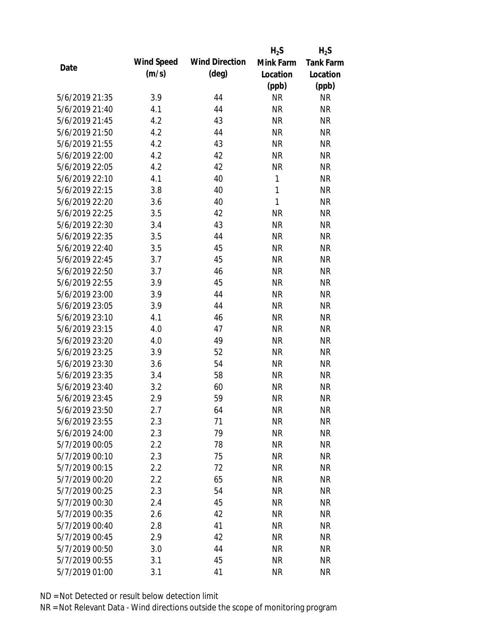|                |            |                       | $H_2S$       | $H_2S$           |
|----------------|------------|-----------------------|--------------|------------------|
| Date           | Wind Speed | <b>Wind Direction</b> | Mink Farm    | <b>Tank Farm</b> |
|                | (m/s)      | $(\text{deg})$        | Location     | Location         |
|                |            |                       | (ppb)        | (ppb)            |
| 5/6/2019 21:35 | 3.9        | 44                    | <b>NR</b>    | <b>NR</b>        |
| 5/6/2019 21:40 | 4.1        | 44                    | <b>NR</b>    | <b>NR</b>        |
| 5/6/2019 21:45 | 4.2        | 43                    | <b>NR</b>    | <b>NR</b>        |
| 5/6/2019 21:50 | 4.2        | 44                    | <b>NR</b>    | <b>NR</b>        |
| 5/6/2019 21:55 | 4.2        | 43                    | <b>NR</b>    | <b>NR</b>        |
| 5/6/2019 22:00 | 4.2        | 42                    | <b>NR</b>    | <b>NR</b>        |
| 5/6/2019 22:05 | 4.2        | 42                    | <b>NR</b>    | <b>NR</b>        |
| 5/6/2019 22:10 | 4.1        | 40                    | $\mathbf{1}$ | <b>NR</b>        |
| 5/6/2019 22:15 | 3.8        | 40                    | $\mathbf{1}$ | <b>NR</b>        |
| 5/6/2019 22:20 | 3.6        | 40                    | $\mathbf{1}$ | <b>NR</b>        |
| 5/6/2019 22:25 | 3.5        | 42                    | <b>NR</b>    | <b>NR</b>        |
| 5/6/2019 22:30 | 3.4        | 43                    | <b>NR</b>    | <b>NR</b>        |
| 5/6/2019 22:35 | 3.5        | 44                    | <b>NR</b>    | <b>NR</b>        |
| 5/6/2019 22:40 | 3.5        | 45                    | <b>NR</b>    | <b>NR</b>        |
| 5/6/2019 22:45 | 3.7        | 45                    | <b>NR</b>    | <b>NR</b>        |
| 5/6/2019 22:50 | 3.7        | 46                    | <b>NR</b>    | <b>NR</b>        |
| 5/6/2019 22:55 | 3.9        | 45                    | <b>NR</b>    | <b>NR</b>        |
| 5/6/2019 23:00 | 3.9        | 44                    | <b>NR</b>    | <b>NR</b>        |
| 5/6/2019 23:05 | 3.9        | 44                    | <b>NR</b>    | <b>NR</b>        |
| 5/6/2019 23:10 | 4.1        | 46                    | <b>NR</b>    | <b>NR</b>        |
| 5/6/2019 23:15 | 4.0        | 47                    | <b>NR</b>    | <b>NR</b>        |
| 5/6/2019 23:20 | 4.0        | 49                    | <b>NR</b>    | <b>NR</b>        |
| 5/6/2019 23:25 | 3.9        | 52                    | <b>NR</b>    | <b>NR</b>        |
| 5/6/2019 23:30 | 3.6        | 54                    | <b>NR</b>    | <b>NR</b>        |
| 5/6/2019 23:35 | 3.4        | 58                    | <b>NR</b>    | <b>NR</b>        |
| 5/6/2019 23:40 | 3.2        | 60                    | <b>NR</b>    | <b>NR</b>        |
| 5/6/2019 23:45 | 2.9        | 59                    | <b>NR</b>    | <b>NR</b>        |
| 5/6/2019 23:50 | 2.7        | 64                    | <b>NR</b>    | <b>NR</b>        |
| 5/6/2019 23:55 | 2.3        | 71                    | <b>NR</b>    | <b>NR</b>        |
| 5/6/2019 24:00 | 2.3        | 79                    | <b>NR</b>    | <b>NR</b>        |
| 5/7/2019 00:05 | 2.2        | 78                    | <b>NR</b>    | <b>NR</b>        |
| 5/7/2019 00:10 | 2.3        | 75                    | <b>NR</b>    | <b>NR</b>        |
| 5/7/2019 00:15 | 2.2        | 72                    | <b>NR</b>    | <b>NR</b>        |
| 5/7/2019 00:20 | 2.2        | 65                    | <b>NR</b>    | <b>NR</b>        |
| 5/7/2019 00:25 | 2.3        | 54                    | <b>NR</b>    | <b>NR</b>        |
| 5/7/2019 00:30 | 2.4        | 45                    | <b>NR</b>    | <b>NR</b>        |
| 5/7/2019 00:35 | 2.6        | 42                    | <b>NR</b>    | <b>NR</b>        |
| 5/7/2019 00:40 | 2.8        | 41                    | <b>NR</b>    | <b>NR</b>        |
| 5/7/2019 00:45 | 2.9        | 42                    | <b>NR</b>    | <b>NR</b>        |
| 5/7/2019 00:50 | 3.0        | 44                    | <b>NR</b>    | <b>NR</b>        |
| 5/7/2019 00:55 | 3.1        | 45                    | <b>NR</b>    | <b>NR</b>        |
| 5/7/2019 01:00 | 3.1        | 41                    | <b>NR</b>    | <b>NR</b>        |
|                |            |                       |              |                  |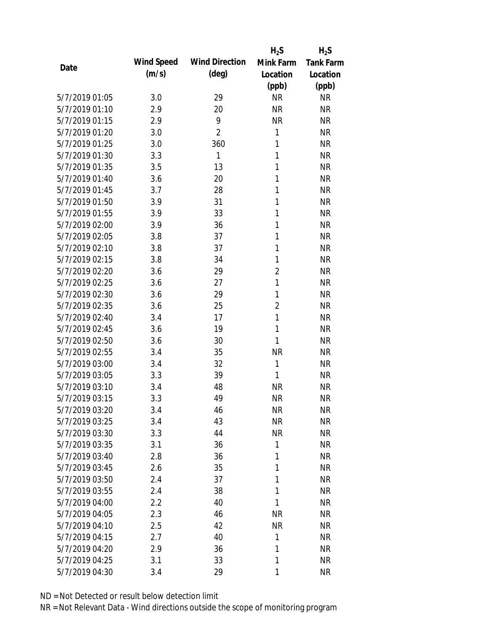|                |            |                       | $H_2S$         | $H_2S$           |
|----------------|------------|-----------------------|----------------|------------------|
| Date           | Wind Speed | <b>Wind Direction</b> | Mink Farm      | <b>Tank Farm</b> |
|                | (m/s)      | (deg)                 | Location       | Location         |
|                |            |                       | (ppb)          | (ppb)            |
| 5/7/2019 01:05 | 3.0        | 29                    | <b>NR</b>      | <b>NR</b>        |
| 5/7/2019 01:10 | 2.9        | 20                    | <b>NR</b>      | <b>NR</b>        |
| 5/7/2019 01:15 | 2.9        | 9                     | <b>NR</b>      | <b>NR</b>        |
| 5/7/2019 01:20 | 3.0        | 2                     | $\mathbf{1}$   | <b>NR</b>        |
| 5/7/2019 01:25 | 3.0        | 360                   | $\mathbf{1}$   | <b>NR</b>        |
| 5/7/2019 01:30 | 3.3        | 1                     | 1              | <b>NR</b>        |
| 5/7/2019 01:35 | 3.5        | 13                    | 1              | <b>NR</b>        |
| 5/7/2019 01:40 | 3.6        | 20                    | 1              | <b>NR</b>        |
| 5/7/2019 01:45 | 3.7        | 28                    | 1              | <b>NR</b>        |
| 5/7/2019 01:50 | 3.9        | 31                    | 1              | <b>NR</b>        |
| 5/7/2019 01:55 | 3.9        | 33                    | 1              | <b>NR</b>        |
| 5/7/2019 02:00 | 3.9        | 36                    | 1              | <b>NR</b>        |
| 5/7/2019 02:05 | 3.8        | 37                    | 1              | <b>NR</b>        |
| 5/7/2019 02:10 | 3.8        | 37                    | 1              | <b>NR</b>        |
| 5/7/2019 02:15 | 3.8        | 34                    | 1              | <b>NR</b>        |
| 5/7/2019 02:20 | 3.6        | 29                    | $\overline{2}$ | <b>NR</b>        |
| 5/7/2019 02:25 | 3.6        | 27                    | $\mathbf{1}$   | <b>NR</b>        |
| 5/7/2019 02:30 | 3.6        | 29                    | 1              | <b>NR</b>        |
| 5/7/2019 02:35 | 3.6        | 25                    | $\overline{2}$ | <b>NR</b>        |
| 5/7/2019 02:40 | 3.4        | 17                    | $\mathbf{1}$   | <b>NR</b>        |
| 5/7/2019 02:45 | 3.6        | 19                    | 1              | <b>NR</b>        |
| 5/7/2019 02:50 | 3.6        | 30                    | 1              | <b>NR</b>        |
| 5/7/2019 02:55 | 3.4        | 35                    | <b>NR</b>      | <b>NR</b>        |
| 5/7/2019 03:00 | 3.4        | 32                    | 1              | <b>NR</b>        |
| 5/7/2019 03:05 | 3.3        | 39                    | $\mathbf{1}$   | <b>NR</b>        |
| 5/7/2019 03:10 | 3.4        | 48                    | <b>NR</b>      | <b>NR</b>        |
| 5/7/2019 03:15 | 3.3        | 49                    | <b>NR</b>      | <b>NR</b>        |
| 5/7/2019 03:20 | 3.4        | 46                    | <b>NR</b>      | <b>NR</b>        |
| 5/7/2019 03:25 | 3.4        | 43                    | <b>NR</b>      | <b>NR</b>        |
| 5/7/2019 03:30 | 3.3        | 44                    | <b>NR</b>      | <b>NR</b>        |
| 5/7/2019 03:35 | 3.1        | 36                    | 1              | <b>NR</b>        |
| 5/7/2019 03:40 | 2.8        | 36                    | 1              | <b>NR</b>        |
| 5/7/2019 03:45 | 2.6        | 35                    | 1              | <b>NR</b>        |
| 5/7/2019 03:50 | 2.4        | 37                    | 1              | <b>NR</b>        |
| 5/7/2019 03:55 | 2.4        | 38                    | 1              | <b>NR</b>        |
| 5/7/2019 04:00 | 2.2        | 40                    | 1              | <b>NR</b>        |
| 5/7/2019 04:05 | 2.3        | 46                    | <b>NR</b>      | <b>NR</b>        |
| 5/7/2019 04:10 | 2.5        | 42                    | <b>NR</b>      | <b>NR</b>        |
| 5/7/2019 04:15 | 2.7        | 40                    | 1              | <b>NR</b>        |
| 5/7/2019 04:20 | 2.9        | 36                    | 1              | <b>NR</b>        |
| 5/7/2019 04:25 | 3.1        | 33                    | 1              | <b>NR</b>        |
| 5/7/2019 04:30 | 3.4        | 29                    | 1              | <b>NR</b>        |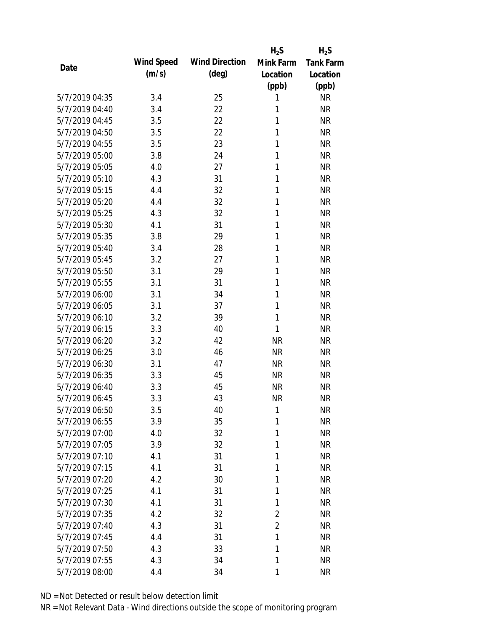|                |            |                       | $H_2S$         | $H_2S$           |
|----------------|------------|-----------------------|----------------|------------------|
| Date           | Wind Speed | <b>Wind Direction</b> | Mink Farm      | <b>Tank Farm</b> |
|                | (m/s)      | $(\text{deg})$        | Location       | Location         |
|                |            |                       | (ppb)          | (ppb)            |
| 5/7/2019 04:35 | 3.4        | 25                    | 1              | <b>NR</b>        |
| 5/7/2019 04:40 | 3.4        | 22                    | 1              | <b>NR</b>        |
| 5/7/2019 04:45 | 3.5        | 22                    | 1              | <b>NR</b>        |
| 5/7/2019 04:50 | 3.5        | 22                    | 1              | <b>NR</b>        |
| 5/7/2019 04:55 | 3.5        | 23                    | 1              | <b>NR</b>        |
| 5/7/2019 05:00 | 3.8        | 24                    | 1              | <b>NR</b>        |
| 5/7/2019 05:05 | 4.0        | 27                    | 1              | <b>NR</b>        |
| 5/7/2019 05:10 | 4.3        | 31                    | $\mathbf{1}$   | <b>NR</b>        |
| 5/7/2019 05:15 | 4.4        | 32                    | 1              | <b>NR</b>        |
| 5/7/2019 05:20 | 4.4        | 32                    | 1              | <b>NR</b>        |
| 5/7/2019 05:25 | 4.3        | 32                    | 1              | <b>NR</b>        |
| 5/7/2019 05:30 | 4.1        | 31                    | 1              | <b>NR</b>        |
| 5/7/2019 05:35 | 3.8        | 29                    | 1              | <b>NR</b>        |
| 5/7/2019 05:40 | 3.4        | 28                    | 1              | <b>NR</b>        |
| 5/7/2019 05:45 | 3.2        | 27                    | 1              | <b>NR</b>        |
| 5/7/2019 05:50 | 3.1        | 29                    | 1              | <b>NR</b>        |
| 5/7/2019 05:55 | 3.1        | 31                    | 1              | <b>NR</b>        |
| 5/7/2019 06:00 | 3.1        | 34                    | 1              | <b>NR</b>        |
| 5/7/2019 06:05 | 3.1        | 37                    | 1              | <b>NR</b>        |
| 5/7/2019 06:10 | 3.2        | 39                    | 1              | <b>NR</b>        |
| 5/7/2019 06:15 | 3.3        | 40                    | 1              | <b>NR</b>        |
| 5/7/2019 06:20 | 3.2        | 42                    | <b>NR</b>      | <b>NR</b>        |
| 5/7/2019 06:25 | 3.0        | 46                    | <b>NR</b>      | <b>NR</b>        |
| 5/7/2019 06:30 | 3.1        | 47                    | <b>NR</b>      | <b>NR</b>        |
| 5/7/2019 06:35 | 3.3        | 45                    | <b>NR</b>      | <b>NR</b>        |
| 5/7/2019 06:40 | 3.3        | 45                    | <b>NR</b>      | <b>NR</b>        |
| 5/7/2019 06:45 | 3.3        | 43                    | <b>NR</b>      | <b>NR</b>        |
| 5/7/2019 06:50 | 3.5        | 40                    | 1              | <b>NR</b>        |
| 5/7/2019 06:55 | 3.9        | 35                    | 1              | <b>NR</b>        |
| 5/7/2019 07:00 | 4.0        | 32                    | 1              | <b>NR</b>        |
| 5/7/2019 07:05 | 3.9        | 32                    | 1              | <b>NR</b>        |
| 5/7/2019 07:10 | 4.1        | 31                    | 1              | <b>NR</b>        |
| 5/7/2019 07:15 | 4.1        | 31                    | 1              | <b>NR</b>        |
| 5/7/2019 07:20 | 4.2        | 30                    | 1              | <b>NR</b>        |
| 5/7/2019 07:25 | 4.1        | 31                    | 1              | <b>NR</b>        |
| 5/7/2019 07:30 | 4.1        | 31                    | 1              | <b>NR</b>        |
| 5/7/2019 07:35 | 4.2        | 32                    | $\overline{2}$ | <b>NR</b>        |
| 5/7/2019 07:40 | 4.3        | 31                    | $\overline{2}$ | <b>NR</b>        |
| 5/7/2019 07:45 | 4.4        | 31                    | 1              | <b>NR</b>        |
| 5/7/2019 07:50 | 4.3        | 33                    | 1              | <b>NR</b>        |
| 5/7/2019 07:55 | 4.3        | 34                    | 1              | <b>NR</b>        |
| 5/7/2019 08:00 | 4.4        | 34                    | 1              | <b>NR</b>        |
|                |            |                       |                |                  |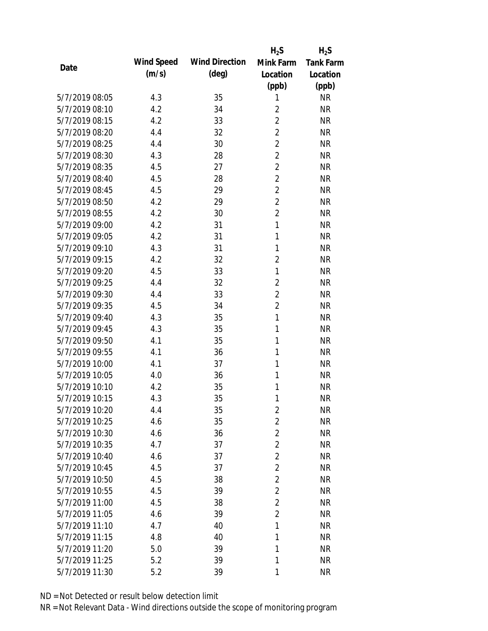|                |            |                       | $H_2S$         | $H_2S$           |
|----------------|------------|-----------------------|----------------|------------------|
|                | Wind Speed | <b>Wind Direction</b> | Mink Farm      | <b>Tank Farm</b> |
| Date           | (m/s)      | $(\text{deg})$        | Location       | Location         |
|                |            |                       | (ppb)          | (ppb)            |
| 5/7/2019 08:05 | 4.3        | 35                    | 1              | <b>NR</b>        |
| 5/7/2019 08:10 | 4.2        | 34                    | $\overline{2}$ | <b>NR</b>        |
| 5/7/2019 08:15 | 4.2        | 33                    | $\overline{2}$ | <b>NR</b>        |
| 5/7/2019 08:20 | 4.4        | 32                    | $\overline{2}$ | <b>NR</b>        |
| 5/7/2019 08:25 | 4.4        | 30                    | $\overline{2}$ | <b>NR</b>        |
| 5/7/2019 08:30 | 4.3        | 28                    | $\overline{2}$ | <b>NR</b>        |
| 5/7/2019 08:35 | 4.5        | 27                    | $\overline{2}$ | <b>NR</b>        |
| 5/7/2019 08:40 | 4.5        | 28                    | $\overline{2}$ | <b>NR</b>        |
| 5/7/2019 08:45 | 4.5        | 29                    | $\overline{2}$ | <b>NR</b>        |
| 5/7/2019 08:50 | 4.2        | 29                    | $\overline{2}$ | <b>NR</b>        |
| 5/7/2019 08:55 | 4.2        | 30                    | $\overline{2}$ | <b>NR</b>        |
| 5/7/2019 09:00 | 4.2        | 31                    | $\mathbf{1}$   | <b>NR</b>        |
| 5/7/2019 09:05 | 4.2        | 31                    | 1              | <b>NR</b>        |
| 5/7/2019 09:10 | 4.3        | 31                    | $\mathbf{1}$   | <b>NR</b>        |
| 5/7/2019 09:15 | 4.2        | 32                    | $\overline{2}$ | <b>NR</b>        |
| 5/7/2019 09:20 | 4.5        | 33                    | 1              | <b>NR</b>        |
| 5/7/2019 09:25 | 4.4        | 32                    | $\overline{2}$ | <b>NR</b>        |
| 5/7/2019 09:30 | 4.4        | 33                    | $\overline{2}$ | <b>NR</b>        |
| 5/7/2019 09:35 | 4.5        | 34                    | $\overline{2}$ | <b>NR</b>        |
| 5/7/2019 09:40 | 4.3        | 35                    | $\mathbf{1}$   | <b>NR</b>        |
| 5/7/2019 09:45 | 4.3        | 35                    | 1              | <b>NR</b>        |
| 5/7/2019 09:50 | 4.1        | 35                    | 1              | <b>NR</b>        |
| 5/7/2019 09:55 | 4.1        | 36                    | 1              | <b>NR</b>        |
| 5/7/2019 10:00 | 4.1        | 37                    | 1              | <b>NR</b>        |
| 5/7/2019 10:05 | 4.0        | 36                    | 1              | <b>NR</b>        |
| 5/7/2019 10:10 | 4.2        | 35                    | 1              | <b>NR</b>        |
| 5/7/2019 10:15 | 4.3        | 35                    | 1              | <b>NR</b>        |
| 5/7/2019 10:20 | 4.4        | 35                    | $\sqrt{2}$     | <b>NR</b>        |
| 5/7/2019 10:25 | 4.6        | 35                    | $\overline{2}$ | <b>NR</b>        |
| 5/7/2019 10:30 | 4.6        | 36                    | $\overline{2}$ | <b>NR</b>        |
| 5/7/2019 10:35 | 4.7        | 37                    | $\overline{2}$ | <b>NR</b>        |
| 5/7/2019 10:40 | 4.6        | 37                    | $\overline{2}$ | <b>NR</b>        |
| 5/7/2019 10:45 | 4.5        | 37                    | $\overline{2}$ | <b>NR</b>        |
| 5/7/2019 10:50 | 4.5        | 38                    | $\overline{2}$ | <b>NR</b>        |
| 5/7/2019 10:55 | 4.5        | 39                    | $\overline{2}$ | <b>NR</b>        |
| 5/7/2019 11:00 | 4.5        | 38                    | $\overline{2}$ | <b>NR</b>        |
| 5/7/2019 11:05 | 4.6        | 39                    | $\overline{2}$ | <b>NR</b>        |
| 5/7/2019 11:10 | 4.7        | 40                    | 1              | <b>NR</b>        |
| 5/7/2019 11:15 | 4.8        | 40                    | 1              | <b>NR</b>        |
| 5/7/2019 11:20 | 5.0        | 39                    | 1              | <b>NR</b>        |
| 5/7/2019 11:25 | 5.2        | 39                    | 1              | <b>NR</b>        |
| 5/7/2019 11:30 | 5.2        | 39                    | 1              | <b>NR</b>        |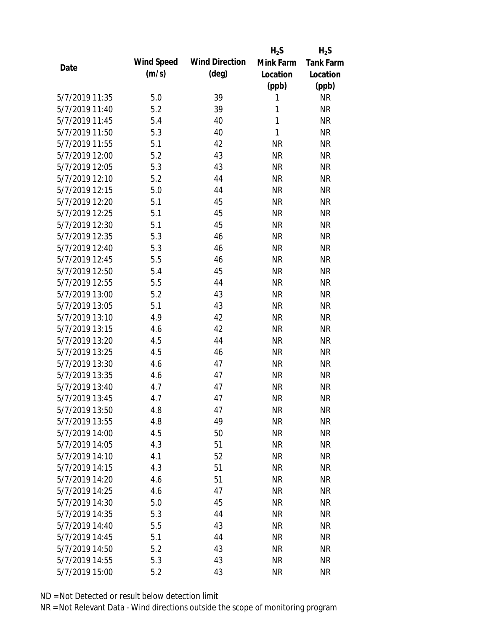|                |            |                       | $H_2S$       | $H_2S$           |
|----------------|------------|-----------------------|--------------|------------------|
| Date           | Wind Speed | <b>Wind Direction</b> | Mink Farm    | <b>Tank Farm</b> |
|                | (m/s)      | $(\text{deg})$        | Location     | Location         |
|                |            |                       | (ppb)        | (ppb)            |
| 5/7/2019 11:35 | 5.0        | 39                    | 1            | <b>NR</b>        |
| 5/7/2019 11:40 | 5.2        | 39                    | 1            | <b>NR</b>        |
| 5/7/2019 11:45 | 5.4        | 40                    | 1            | <b>NR</b>        |
| 5/7/2019 11:50 | 5.3        | 40                    | $\mathbf{1}$ | <b>NR</b>        |
| 5/7/2019 11:55 | 5.1        | 42                    | <b>NR</b>    | <b>NR</b>        |
| 5/7/2019 12:00 | 5.2        | 43                    | <b>NR</b>    | <b>NR</b>        |
| 5/7/2019 12:05 | 5.3        | 43                    | <b>NR</b>    | <b>NR</b>        |
| 5/7/2019 12:10 | 5.2        | 44                    | <b>NR</b>    | <b>NR</b>        |
| 5/7/2019 12:15 | 5.0        | 44                    | <b>NR</b>    | <b>NR</b>        |
| 5/7/2019 12:20 | 5.1        | 45                    | <b>NR</b>    | <b>NR</b>        |
| 5/7/2019 12:25 | 5.1        | 45                    | <b>NR</b>    | <b>NR</b>        |
| 5/7/2019 12:30 | 5.1        | 45                    | <b>NR</b>    | <b>NR</b>        |
| 5/7/2019 12:35 | 5.3        | 46                    | <b>NR</b>    | <b>NR</b>        |
| 5/7/2019 12:40 | 5.3        | 46                    | <b>NR</b>    | <b>NR</b>        |
| 5/7/2019 12:45 | 5.5        | 46                    | <b>NR</b>    | <b>NR</b>        |
| 5/7/2019 12:50 | 5.4        | 45                    | <b>NR</b>    | <b>NR</b>        |
| 5/7/2019 12:55 | 5.5        | 44                    | <b>NR</b>    | <b>NR</b>        |
| 5/7/2019 13:00 | 5.2        | 43                    | <b>NR</b>    | <b>NR</b>        |
| 5/7/2019 13:05 | 5.1        | 43                    | <b>NR</b>    | <b>NR</b>        |
| 5/7/2019 13:10 | 4.9        | 42                    | <b>NR</b>    | <b>NR</b>        |
| 5/7/2019 13:15 | 4.6        | 42                    | <b>NR</b>    | <b>NR</b>        |
| 5/7/2019 13:20 | 4.5        | 44                    | <b>NR</b>    | <b>NR</b>        |
| 5/7/2019 13:25 | 4.5        | 46                    | <b>NR</b>    | <b>NR</b>        |
| 5/7/2019 13:30 | 4.6        | 47                    | <b>NR</b>    | <b>NR</b>        |
| 5/7/2019 13:35 | 4.6        | 47                    | <b>NR</b>    | <b>NR</b>        |
| 5/7/2019 13:40 | 4.7        | 47                    | <b>NR</b>    | <b>NR</b>        |
| 5/7/2019 13:45 | 4.7        | 47                    | <b>NR</b>    | <b>NR</b>        |
| 5/7/2019 13:50 | 4.8        | 47                    | <b>NR</b>    | <b>NR</b>        |
| 5/7/2019 13:55 | 4.8        | 49                    | <b>NR</b>    | <b>NR</b>        |
| 5/7/2019 14:00 | 4.5        | 50                    | <b>NR</b>    | <b>NR</b>        |
| 5/7/2019 14:05 | 4.3        | 51                    | <b>NR</b>    | <b>NR</b>        |
| 5/7/2019 14:10 | 4.1        | 52                    | <b>NR</b>    | <b>NR</b>        |
| 5/7/2019 14:15 | 4.3        | 51                    | <b>NR</b>    | <b>NR</b>        |
| 5/7/2019 14:20 | 4.6        | 51                    | <b>NR</b>    | <b>NR</b>        |
| 5/7/2019 14:25 | 4.6        | 47                    | <b>NR</b>    | <b>NR</b>        |
| 5/7/2019 14:30 | 5.0        | 45                    | <b>NR</b>    | <b>NR</b>        |
| 5/7/2019 14:35 | 5.3        | 44                    | <b>NR</b>    | <b>NR</b>        |
| 5/7/2019 14:40 | 5.5        | 43                    | <b>NR</b>    | <b>NR</b>        |
| 5/7/2019 14:45 | 5.1        | 44                    | <b>NR</b>    | <b>NR</b>        |
| 5/7/2019 14:50 | 5.2        | 43                    | <b>NR</b>    | <b>NR</b>        |
| 5/7/2019 14:55 | 5.3        | 43                    | <b>NR</b>    | <b>NR</b>        |
| 5/7/2019 15:00 | 5.2        | 43                    | <b>NR</b>    | <b>NR</b>        |
|                |            |                       |              |                  |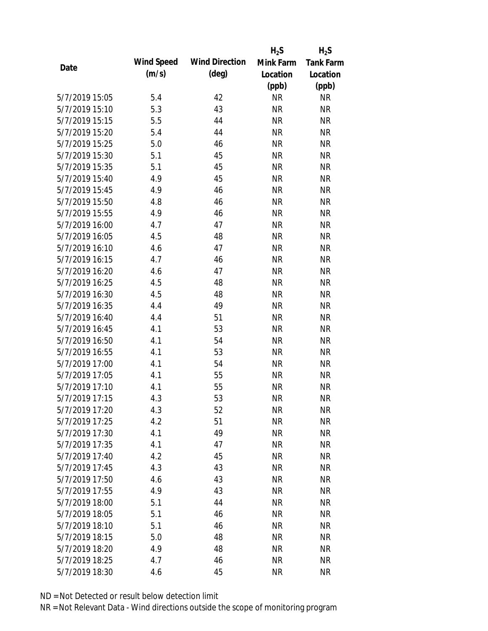|                |            |                       | $H_2S$    | $H_2S$           |
|----------------|------------|-----------------------|-----------|------------------|
| Date           | Wind Speed | <b>Wind Direction</b> | Mink Farm | <b>Tank Farm</b> |
|                | (m/s)      | $(\text{deg})$        | Location  | Location         |
|                |            |                       | (ppb)     | (ppb)            |
| 5/7/2019 15:05 | 5.4        | 42                    | <b>NR</b> | <b>NR</b>        |
| 5/7/2019 15:10 | 5.3        | 43                    | <b>NR</b> | <b>NR</b>        |
| 5/7/2019 15:15 | 5.5        | 44                    | <b>NR</b> | <b>NR</b>        |
| 5/7/2019 15:20 | 5.4        | 44                    | <b>NR</b> | <b>NR</b>        |
| 5/7/2019 15:25 | 5.0        | 46                    | <b>NR</b> | <b>NR</b>        |
| 5/7/2019 15:30 | 5.1        | 45                    | <b>NR</b> | <b>NR</b>        |
| 5/7/2019 15:35 | 5.1        | 45                    | <b>NR</b> | <b>NR</b>        |
| 5/7/2019 15:40 | 4.9        | 45                    | <b>NR</b> | <b>NR</b>        |
| 5/7/2019 15:45 | 4.9        | 46                    | <b>NR</b> | <b>NR</b>        |
| 5/7/2019 15:50 | 4.8        | 46                    | <b>NR</b> | <b>NR</b>        |
| 5/7/2019 15:55 | 4.9        | 46                    | <b>NR</b> | <b>NR</b>        |
| 5/7/2019 16:00 | 4.7        | 47                    | <b>NR</b> | <b>NR</b>        |
| 5/7/2019 16:05 | 4.5        | 48                    | <b>NR</b> | <b>NR</b>        |
| 5/7/2019 16:10 | 4.6        | 47                    | <b>NR</b> | <b>NR</b>        |
| 5/7/2019 16:15 | 4.7        | 46                    | <b>NR</b> | <b>NR</b>        |
| 5/7/2019 16:20 | 4.6        | 47                    | <b>NR</b> | <b>NR</b>        |
| 5/7/2019 16:25 | 4.5        | 48                    | <b>NR</b> | <b>NR</b>        |
| 5/7/2019 16:30 | 4.5        | 48                    | <b>NR</b> | <b>NR</b>        |
| 5/7/2019 16:35 | 4.4        | 49                    | <b>NR</b> | <b>NR</b>        |
| 5/7/2019 16:40 | 4.4        | 51                    | <b>NR</b> | <b>NR</b>        |
| 5/7/2019 16:45 | 4.1        | 53                    | <b>NR</b> | <b>NR</b>        |
| 5/7/2019 16:50 | 4.1        | 54                    | <b>NR</b> | <b>NR</b>        |
| 5/7/2019 16:55 | 4.1        | 53                    | <b>NR</b> | <b>NR</b>        |
| 5/7/2019 17:00 | 4.1        | 54                    | <b>NR</b> | <b>NR</b>        |
| 5/7/2019 17:05 | 4.1        | 55                    | <b>NR</b> | <b>NR</b>        |
| 5/7/2019 17:10 | 4.1        | 55                    | <b>NR</b> | <b>NR</b>        |
| 5/7/2019 17:15 | 4.3        | 53                    | <b>NR</b> | <b>NR</b>        |
| 5/7/2019 17:20 | 4.3        | 52                    | <b>NR</b> | <b>NR</b>        |
| 5/7/2019 17:25 | 4.2        | 51                    | <b>NR</b> | <b>NR</b>        |
| 5/7/2019 17:30 | 4.1        | 49                    | <b>NR</b> | <b>NR</b>        |
| 5/7/2019 17:35 | 4.1        | 47                    | <b>NR</b> | <b>NR</b>        |
| 5/7/2019 17:40 | 4.2        | 45                    | <b>NR</b> | <b>NR</b>        |
| 5/7/2019 17:45 | 4.3        | 43                    | <b>NR</b> | <b>NR</b>        |
| 5/7/2019 17:50 | 4.6        | 43                    | <b>NR</b> | <b>NR</b>        |
| 5/7/2019 17:55 | 4.9        | 43                    | <b>NR</b> | <b>NR</b>        |
| 5/7/2019 18:00 | 5.1        | 44                    | <b>NR</b> | <b>NR</b>        |
| 5/7/2019 18:05 | 5.1        | 46                    | <b>NR</b> | <b>NR</b>        |
| 5/7/2019 18:10 | 5.1        | 46                    | NR        | <b>NR</b>        |
| 5/7/2019 18:15 | 5.0        | 48                    | <b>NR</b> | <b>NR</b>        |
| 5/7/2019 18:20 | 4.9        | 48                    | <b>NR</b> | <b>NR</b>        |
| 5/7/2019 18:25 | 4.7        | 46                    | <b>NR</b> | <b>NR</b>        |
| 5/7/2019 18:30 | 4.6        | 45                    | <b>NR</b> | <b>NR</b>        |
|                |            |                       |           |                  |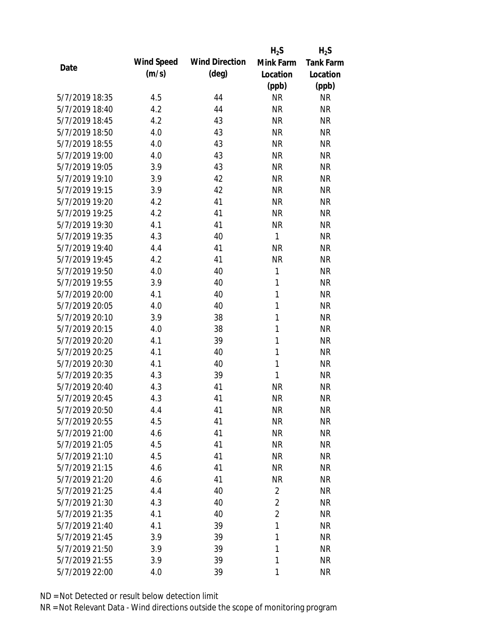|                |            |                       | $H_2S$         | $H_2S$           |
|----------------|------------|-----------------------|----------------|------------------|
| Date           | Wind Speed | <b>Wind Direction</b> | Mink Farm      | <b>Tank Farm</b> |
|                | (m/s)      | $(\text{deg})$        | Location       | Location         |
|                |            |                       | (ppb)          | (ppb)            |
| 5/7/2019 18:35 | 4.5        | 44                    | <b>NR</b>      | <b>NR</b>        |
| 5/7/2019 18:40 | 4.2        | 44                    | <b>NR</b>      | <b>NR</b>        |
| 5/7/2019 18:45 | 4.2        | 43                    | <b>NR</b>      | <b>NR</b>        |
| 5/7/2019 18:50 | 4.0        | 43                    | <b>NR</b>      | <b>NR</b>        |
| 5/7/2019 18:55 | 4.0        | 43                    | <b>NR</b>      | <b>NR</b>        |
| 5/7/2019 19:00 | 4.0        | 43                    | <b>NR</b>      | <b>NR</b>        |
| 5/7/2019 19:05 | 3.9        | 43                    | <b>NR</b>      | <b>NR</b>        |
| 5/7/2019 19:10 | 3.9        | 42                    | <b>NR</b>      | <b>NR</b>        |
| 5/7/2019 19:15 | 3.9        | 42                    | <b>NR</b>      | <b>NR</b>        |
| 5/7/2019 19:20 | 4.2        | 41                    | <b>NR</b>      | <b>NR</b>        |
| 5/7/2019 19:25 | 4.2        | 41                    | <b>NR</b>      | <b>NR</b>        |
| 5/7/2019 19:30 | 4.1        | 41                    | <b>NR</b>      | <b>NR</b>        |
| 5/7/2019 19:35 | 4.3        | 40                    | 1              | <b>NR</b>        |
| 5/7/2019 19:40 | 4.4        | 41                    | <b>NR</b>      | <b>NR</b>        |
| 5/7/2019 19:45 | 4.2        | 41                    | <b>NR</b>      | <b>NR</b>        |
| 5/7/2019 19:50 | 4.0        | 40                    | 1              | <b>NR</b>        |
| 5/7/2019 19:55 | 3.9        | 40                    | 1              | <b>NR</b>        |
| 5/7/2019 20:00 | 4.1        | 40                    | $\mathbf{1}$   | <b>NR</b>        |
| 5/7/2019 20:05 | 4.0        | 40                    | $\mathbf{1}$   | <b>NR</b>        |
| 5/7/2019 20:10 | 3.9        | 38                    | 1              | <b>NR</b>        |
| 5/7/2019 20:15 | 4.0        | 38                    | 1              | <b>NR</b>        |
| 5/7/2019 20:20 | 4.1        | 39                    | 1              | <b>NR</b>        |
| 5/7/2019 20:25 | 4.1        | 40                    | 1              | <b>NR</b>        |
| 5/7/2019 20:30 | 4.1        | 40                    | $\mathbf{1}$   | <b>NR</b>        |
| 5/7/2019 20:35 | 4.3        | 39                    | $\mathbf{1}$   | <b>NR</b>        |
| 5/7/2019 20:40 | 4.3        | 41                    | <b>NR</b>      | <b>NR</b>        |
| 5/7/2019 20:45 | 4.3        | 41                    | <b>NR</b>      | <b>NR</b>        |
| 5/7/2019 20:50 | 4.4        | 41                    | <b>NR</b>      | <b>NR</b>        |
| 5/7/2019 20:55 | 4.5        | 41                    | <b>NR</b>      | <b>NR</b>        |
| 5/7/2019 21:00 | 4.6        | 41                    | <b>NR</b>      | <b>NR</b>        |
| 5/7/2019 21:05 | 4.5        | 41                    | <b>NR</b>      | <b>NR</b>        |
| 5/7/2019 21:10 | 4.5        | 41                    | <b>NR</b>      | <b>NR</b>        |
| 5/7/2019 21:15 | 4.6        | 41                    | <b>NR</b>      | <b>NR</b>        |
| 5/7/2019 21:20 | 4.6        | 41                    | <b>NR</b>      | <b>NR</b>        |
| 5/7/2019 21:25 | 4.4        | 40                    | $\overline{2}$ | <b>NR</b>        |
| 5/7/2019 21:30 | 4.3        | 40                    | $\overline{2}$ | <b>NR</b>        |
| 5/7/2019 21:35 | 4.1        | 40                    | $\overline{2}$ | <b>NR</b>        |
| 5/7/2019 21:40 | 4.1        | 39                    | 1              | <b>NR</b>        |
| 5/7/2019 21:45 | 3.9        | 39                    | 1              | <b>NR</b>        |
| 5/7/2019 21:50 | 3.9        | 39                    | 1              | <b>NR</b>        |
| 5/7/2019 21:55 | 3.9        | 39                    | 1              | <b>NR</b>        |
| 5/7/2019 22:00 | 4.0        | 39                    | 1              | <b>NR</b>        |
|                |            |                       |                |                  |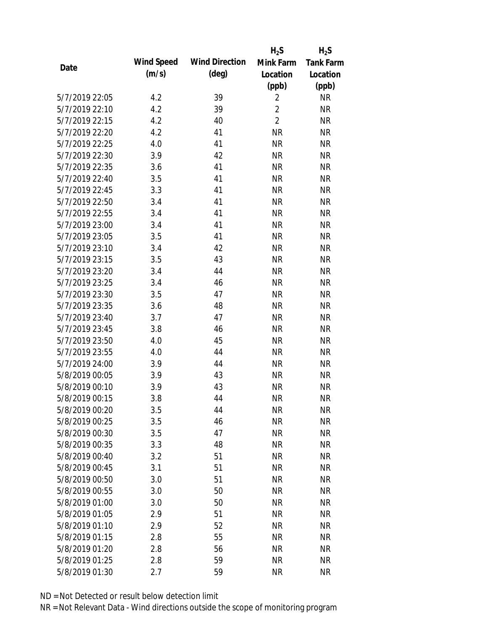|                |            |                       | $H_2S$         | $H_2S$           |
|----------------|------------|-----------------------|----------------|------------------|
| Date           | Wind Speed | <b>Wind Direction</b> | Mink Farm      | <b>Tank Farm</b> |
|                | (m/s)      | $(\text{deg})$        | Location       | Location         |
|                |            |                       | (ppb)          | (ppb)            |
| 5/7/2019 22:05 | 4.2        | 39                    | $\overline{2}$ | <b>NR</b>        |
| 5/7/2019 22:10 | 4.2        | 39                    | $\overline{2}$ | <b>NR</b>        |
| 5/7/2019 22:15 | 4.2        | 40                    | $\overline{2}$ | <b>NR</b>        |
| 5/7/2019 22:20 | 4.2        | 41                    | <b>NR</b>      | <b>NR</b>        |
| 5/7/2019 22:25 | 4.0        | 41                    | <b>NR</b>      | <b>NR</b>        |
| 5/7/2019 22:30 | 3.9        | 42                    | <b>NR</b>      | <b>NR</b>        |
| 5/7/2019 22:35 | 3.6        | 41                    | <b>NR</b>      | <b>NR</b>        |
| 5/7/2019 22:40 | 3.5        | 41                    | <b>NR</b>      | <b>NR</b>        |
| 5/7/2019 22:45 | 3.3        | 41                    | <b>NR</b>      | <b>NR</b>        |
| 5/7/2019 22:50 | 3.4        | 41                    | <b>NR</b>      | <b>NR</b>        |
| 5/7/2019 22:55 | 3.4        | 41                    | <b>NR</b>      | <b>NR</b>        |
| 5/7/2019 23:00 | 3.4        | 41                    | <b>NR</b>      | <b>NR</b>        |
| 5/7/2019 23:05 | 3.5        | 41                    | <b>NR</b>      | <b>NR</b>        |
| 5/7/2019 23:10 | 3.4        | 42                    | <b>NR</b>      | <b>NR</b>        |
| 5/7/2019 23:15 | 3.5        | 43                    | <b>NR</b>      | <b>NR</b>        |
| 5/7/2019 23:20 | 3.4        | 44                    | <b>NR</b>      | <b>NR</b>        |
| 5/7/2019 23:25 | 3.4        | 46                    | <b>NR</b>      | <b>NR</b>        |
| 5/7/2019 23:30 | 3.5        | 47                    | <b>NR</b>      | <b>NR</b>        |
| 5/7/2019 23:35 | 3.6        | 48                    | <b>NR</b>      | <b>NR</b>        |
| 5/7/2019 23:40 | 3.7        | 47                    | <b>NR</b>      | <b>NR</b>        |
| 5/7/2019 23:45 | 3.8        | 46                    | <b>NR</b>      | <b>NR</b>        |
| 5/7/2019 23:50 | 4.0        | 45                    | <b>NR</b>      | <b>NR</b>        |
| 5/7/2019 23:55 | 4.0        | 44                    | <b>NR</b>      | <b>NR</b>        |
| 5/7/2019 24:00 | 3.9        | 44                    | <b>NR</b>      | <b>NR</b>        |
| 5/8/2019 00:05 | 3.9        | 43                    | <b>NR</b>      | <b>NR</b>        |
| 5/8/2019 00:10 | 3.9        | 43                    | <b>NR</b>      | <b>NR</b>        |
| 5/8/2019 00:15 | 3.8        | 44                    | <b>NR</b>      | <b>NR</b>        |
| 5/8/2019 00:20 | 3.5        | 44                    | <b>NR</b>      | <b>NR</b>        |
| 5/8/2019 00:25 | 3.5        | 46                    | <b>NR</b>      | <b>NR</b>        |
| 5/8/2019 00:30 | 3.5        | 47                    | <b>NR</b>      | <b>NR</b>        |
| 5/8/2019 00:35 | 3.3        | 48                    | <b>NR</b>      | <b>NR</b>        |
| 5/8/2019 00:40 | 3.2        | 51                    | <b>NR</b>      | <b>NR</b>        |
| 5/8/2019 00:45 | 3.1        | 51                    | <b>NR</b>      | <b>NR</b>        |
| 5/8/2019 00:50 | 3.0        | 51                    | <b>NR</b>      | <b>NR</b>        |
| 5/8/2019 00:55 | 3.0        | 50                    | <b>NR</b>      | <b>NR</b>        |
| 5/8/2019 01:00 | 3.0        | 50                    | <b>NR</b>      | <b>NR</b>        |
| 5/8/2019 01:05 | 2.9        | 51                    | <b>NR</b>      | <b>NR</b>        |
| 5/8/2019 01:10 | 2.9        | 52                    | <b>NR</b>      | <b>NR</b>        |
| 5/8/2019 01:15 | 2.8        | 55                    | <b>NR</b>      | <b>NR</b>        |
| 5/8/2019 01:20 | 2.8        | 56                    | <b>NR</b>      | <b>NR</b>        |
| 5/8/2019 01:25 | 2.8        | 59                    | <b>NR</b>      | <b>NR</b>        |
| 5/8/2019 01:30 | 2.7        | 59                    | <b>NR</b>      | <b>NR</b>        |
|                |            |                       |                |                  |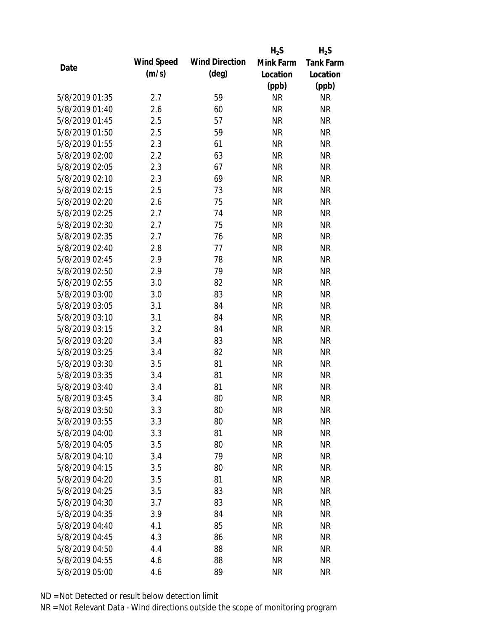|                |            |                       | $H_2S$    | $H_2S$           |
|----------------|------------|-----------------------|-----------|------------------|
| Date           | Wind Speed | <b>Wind Direction</b> | Mink Farm | <b>Tank Farm</b> |
|                | (m/s)      | $(\text{deg})$        | Location  | Location         |
|                |            |                       | (ppb)     | (ppb)            |
| 5/8/2019 01:35 | 2.7        | 59                    | <b>NR</b> | <b>NR</b>        |
| 5/8/2019 01:40 | 2.6        | 60                    | <b>NR</b> | <b>NR</b>        |
| 5/8/2019 01:45 | 2.5        | 57                    | <b>NR</b> | <b>NR</b>        |
| 5/8/2019 01:50 | 2.5        | 59                    | <b>NR</b> | <b>NR</b>        |
| 5/8/2019 01:55 | 2.3        | 61                    | <b>NR</b> | <b>NR</b>        |
| 5/8/2019 02:00 | 2.2        | 63                    | <b>NR</b> | <b>NR</b>        |
| 5/8/2019 02:05 | 2.3        | 67                    | <b>NR</b> | <b>NR</b>        |
| 5/8/2019 02:10 | 2.3        | 69                    | <b>NR</b> | <b>NR</b>        |
| 5/8/2019 02:15 | 2.5        | 73                    | <b>NR</b> | <b>NR</b>        |
| 5/8/2019 02:20 | 2.6        | 75                    | <b>NR</b> | <b>NR</b>        |
| 5/8/2019 02:25 | 2.7        | 74                    | <b>NR</b> | <b>NR</b>        |
| 5/8/2019 02:30 | 2.7        | 75                    | <b>NR</b> | <b>NR</b>        |
| 5/8/2019 02:35 | 2.7        | 76                    | <b>NR</b> | <b>NR</b>        |
| 5/8/2019 02:40 | 2.8        | 77                    | <b>NR</b> | <b>NR</b>        |
| 5/8/2019 02:45 | 2.9        | 78                    | <b>NR</b> | <b>NR</b>        |
| 5/8/2019 02:50 | 2.9        | 79                    | <b>NR</b> | <b>NR</b>        |
| 5/8/2019 02:55 | 3.0        | 82                    | <b>NR</b> | <b>NR</b>        |
| 5/8/2019 03:00 | 3.0        | 83                    | <b>NR</b> | <b>NR</b>        |
| 5/8/2019 03:05 | 3.1        | 84                    | <b>NR</b> | <b>NR</b>        |
| 5/8/2019 03:10 | 3.1        | 84                    | <b>NR</b> | <b>NR</b>        |
| 5/8/2019 03:15 | 3.2        | 84                    | <b>NR</b> | <b>NR</b>        |
| 5/8/2019 03:20 | 3.4        | 83                    | <b>NR</b> | <b>NR</b>        |
| 5/8/2019 03:25 | 3.4        | 82                    | <b>NR</b> | <b>NR</b>        |
| 5/8/2019 03:30 | 3.5        | 81                    | <b>NR</b> | <b>NR</b>        |
| 5/8/2019 03:35 | 3.4        | 81                    | <b>NR</b> | <b>NR</b>        |
| 5/8/2019 03:40 | 3.4        | 81                    | <b>NR</b> | <b>NR</b>        |
| 5/8/2019 03:45 | 3.4        | 80                    | <b>NR</b> | <b>NR</b>        |
| 5/8/2019 03:50 | 3.3        | 80                    | <b>NR</b> | <b>NR</b>        |
| 5/8/2019 03:55 | 3.3        | 80                    | <b>NR</b> | <b>NR</b>        |
| 5/8/2019 04:00 | 3.3        | 81                    | <b>NR</b> | <b>NR</b>        |
| 5/8/2019 04:05 | 3.5        | 80                    | <b>NR</b> | <b>NR</b>        |
| 5/8/2019 04:10 | 3.4        | 79                    | <b>NR</b> | <b>NR</b>        |
| 5/8/2019 04:15 | 3.5        | 80                    | <b>NR</b> | <b>NR</b>        |
| 5/8/2019 04:20 | 3.5        | 81                    | <b>NR</b> | <b>NR</b>        |
| 5/8/2019 04:25 | 3.5        | 83                    | <b>NR</b> | <b>NR</b>        |
| 5/8/2019 04:30 | 3.7        | 83                    | <b>NR</b> | <b>NR</b>        |
| 5/8/2019 04:35 | 3.9        | 84                    | <b>NR</b> | <b>NR</b>        |
| 5/8/2019 04:40 | 4.1        | 85                    | <b>NR</b> | <b>NR</b>        |
| 5/8/2019 04:45 | 4.3        | 86                    | <b>NR</b> | <b>NR</b>        |
| 5/8/2019 04:50 | 4.4        | 88                    | <b>NR</b> | <b>NR</b>        |
| 5/8/2019 04:55 | 4.6        | 88                    | <b>NR</b> | <b>NR</b>        |
| 5/8/2019 05:00 | 4.6        | 89                    | <b>NR</b> | <b>NR</b>        |
|                |            |                       |           |                  |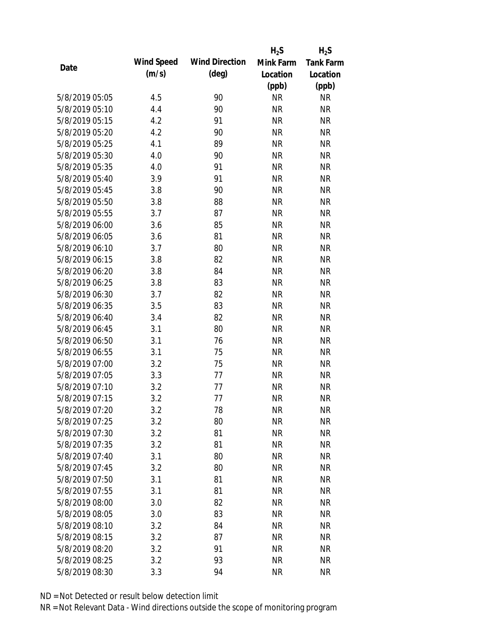|                |            |                       | $H_2S$    | $H_2S$           |
|----------------|------------|-----------------------|-----------|------------------|
| Date           | Wind Speed | <b>Wind Direction</b> | Mink Farm | <b>Tank Farm</b> |
|                | (m/s)      | $(\text{deg})$        | Location  | Location         |
|                |            |                       | (ppb)     | (ppb)            |
| 5/8/2019 05:05 | 4.5        | 90                    | <b>NR</b> | <b>NR</b>        |
| 5/8/2019 05:10 | 4.4        | 90                    | <b>NR</b> | <b>NR</b>        |
| 5/8/2019 05:15 | 4.2        | 91                    | <b>NR</b> | <b>NR</b>        |
| 5/8/2019 05:20 | 4.2        | 90                    | <b>NR</b> | <b>NR</b>        |
| 5/8/2019 05:25 | 4.1        | 89                    | <b>NR</b> | <b>NR</b>        |
| 5/8/2019 05:30 | 4.0        | 90                    | <b>NR</b> | <b>NR</b>        |
| 5/8/2019 05:35 | 4.0        | 91                    | <b>NR</b> | <b>NR</b>        |
| 5/8/2019 05:40 | 3.9        | 91                    | <b>NR</b> | <b>NR</b>        |
| 5/8/2019 05:45 | 3.8        | 90                    | <b>NR</b> | <b>NR</b>        |
| 5/8/2019 05:50 | 3.8        | 88                    | <b>NR</b> | <b>NR</b>        |
| 5/8/2019 05:55 | 3.7        | 87                    | <b>NR</b> | <b>NR</b>        |
| 5/8/2019 06:00 | 3.6        | 85                    | <b>NR</b> | <b>NR</b>        |
| 5/8/2019 06:05 | 3.6        | 81                    | <b>NR</b> | <b>NR</b>        |
| 5/8/2019 06:10 | 3.7        | 80                    | <b>NR</b> | <b>NR</b>        |
| 5/8/2019 06:15 | 3.8        | 82                    | <b>NR</b> | <b>NR</b>        |
| 5/8/2019 06:20 | 3.8        | 84                    | <b>NR</b> | <b>NR</b>        |
| 5/8/2019 06:25 | 3.8        | 83                    | <b>NR</b> | <b>NR</b>        |
| 5/8/2019 06:30 | 3.7        | 82                    | <b>NR</b> | <b>NR</b>        |
| 5/8/2019 06:35 | 3.5        | 83                    | <b>NR</b> | <b>NR</b>        |
| 5/8/2019 06:40 | 3.4        | 82                    | <b>NR</b> | <b>NR</b>        |
| 5/8/2019 06:45 | 3.1        | 80                    | <b>NR</b> | <b>NR</b>        |
| 5/8/2019 06:50 | 3.1        | 76                    | <b>NR</b> | <b>NR</b>        |
| 5/8/2019 06:55 | 3.1        | 75                    | <b>NR</b> | <b>NR</b>        |
| 5/8/2019 07:00 | 3.2        | 75                    | <b>NR</b> | <b>NR</b>        |
| 5/8/2019 07:05 | 3.3        | 77                    | <b>NR</b> | <b>NR</b>        |
| 5/8/2019 07:10 | 3.2        | 77                    | <b>NR</b> | <b>NR</b>        |
| 5/8/2019 07:15 | 3.2        | 77                    | <b>NR</b> | <b>NR</b>        |
| 5/8/2019 07:20 | 3.2        | 78                    | <b>NR</b> | <b>NR</b>        |
| 5/8/2019 07:25 | 3.2        | 80                    | <b>NR</b> | <b>NR</b>        |
| 5/8/2019 07:30 | 3.2        | 81                    | <b>NR</b> | <b>NR</b>        |
| 5/8/2019 07:35 | 3.2        | 81                    | <b>NR</b> | <b>NR</b>        |
| 5/8/2019 07:40 | 3.1        | 80                    | <b>NR</b> | <b>NR</b>        |
| 5/8/2019 07:45 | 3.2        | 80                    | <b>NR</b> | <b>NR</b>        |
| 5/8/2019 07:50 | 3.1        | 81                    | <b>NR</b> | <b>NR</b>        |
| 5/8/2019 07:55 | 3.1        | 81                    | <b>NR</b> | <b>NR</b>        |
| 5/8/2019 08:00 | 3.0        | 82                    | <b>NR</b> | <b>NR</b>        |
| 5/8/2019 08:05 | 3.0        | 83                    | <b>NR</b> | <b>NR</b>        |
| 5/8/2019 08:10 | 3.2        | 84                    | <b>NR</b> | <b>NR</b>        |
| 5/8/2019 08:15 | 3.2        | 87                    | <b>NR</b> | <b>NR</b>        |
| 5/8/2019 08:20 | 3.2        | 91                    | <b>NR</b> | <b>NR</b>        |
| 5/8/2019 08:25 | 3.2        | 93                    | <b>NR</b> | <b>NR</b>        |
| 5/8/2019 08:30 | 3.3        | 94                    | <b>NR</b> | <b>NR</b>        |
|                |            |                       |           |                  |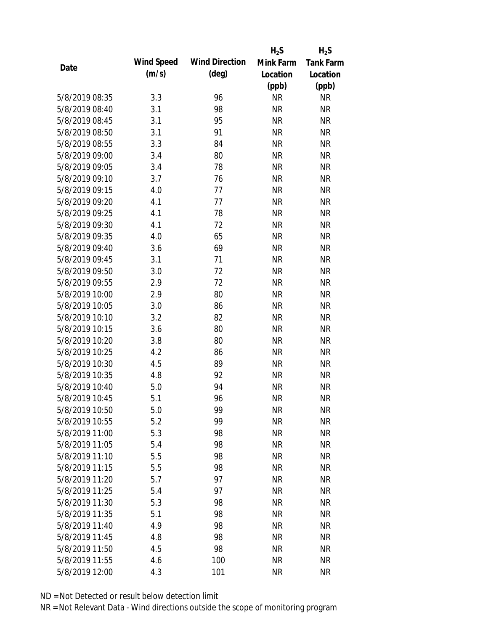|                |            |                       | $H_2S$    | $H_2S$           |
|----------------|------------|-----------------------|-----------|------------------|
| Date           | Wind Speed | <b>Wind Direction</b> | Mink Farm | <b>Tank Farm</b> |
|                | (m/s)      | $(\text{deg})$        | Location  | Location         |
|                |            |                       | (ppb)     | (ppb)            |
| 5/8/2019 08:35 | 3.3        | 96                    | <b>NR</b> | <b>NR</b>        |
| 5/8/2019 08:40 | 3.1        | 98                    | <b>NR</b> | <b>NR</b>        |
| 5/8/2019 08:45 | 3.1        | 95                    | <b>NR</b> | <b>NR</b>        |
| 5/8/2019 08:50 | 3.1        | 91                    | <b>NR</b> | <b>NR</b>        |
| 5/8/2019 08:55 | 3.3        | 84                    | <b>NR</b> | <b>NR</b>        |
| 5/8/2019 09:00 | 3.4        | 80                    | <b>NR</b> | <b>NR</b>        |
| 5/8/2019 09:05 | 3.4        | 78                    | <b>NR</b> | <b>NR</b>        |
| 5/8/2019 09:10 | 3.7        | 76                    | <b>NR</b> | <b>NR</b>        |
| 5/8/2019 09:15 | 4.0        | 77                    | <b>NR</b> | <b>NR</b>        |
| 5/8/2019 09:20 | 4.1        | 77                    | <b>NR</b> | <b>NR</b>        |
| 5/8/2019 09:25 | 4.1        | 78                    | <b>NR</b> | <b>NR</b>        |
| 5/8/2019 09:30 | 4.1        | 72                    | <b>NR</b> | <b>NR</b>        |
| 5/8/2019 09:35 | 4.0        | 65                    | <b>NR</b> | <b>NR</b>        |
| 5/8/2019 09:40 | 3.6        | 69                    | <b>NR</b> | <b>NR</b>        |
| 5/8/2019 09:45 | 3.1        | 71                    | <b>NR</b> | <b>NR</b>        |
| 5/8/2019 09:50 | 3.0        | 72                    | <b>NR</b> | <b>NR</b>        |
| 5/8/2019 09:55 | 2.9        | 72                    | <b>NR</b> | <b>NR</b>        |
| 5/8/2019 10:00 | 2.9        | 80                    | <b>NR</b> | <b>NR</b>        |
| 5/8/2019 10:05 | 3.0        | 86                    | <b>NR</b> | <b>NR</b>        |
| 5/8/2019 10:10 | 3.2        | 82                    | <b>NR</b> | <b>NR</b>        |
| 5/8/2019 10:15 | 3.6        | 80                    | <b>NR</b> | <b>NR</b>        |
| 5/8/2019 10:20 | 3.8        | 80                    | <b>NR</b> | <b>NR</b>        |
| 5/8/2019 10:25 | 4.2        | 86                    | <b>NR</b> | <b>NR</b>        |
| 5/8/2019 10:30 | 4.5        | 89                    | <b>NR</b> | <b>NR</b>        |
| 5/8/2019 10:35 | 4.8        | 92                    | <b>NR</b> | <b>NR</b>        |
| 5/8/2019 10:40 | 5.0        | 94                    | <b>NR</b> | <b>NR</b>        |
| 5/8/2019 10:45 | 5.1        | 96                    | <b>NR</b> | <b>NR</b>        |
| 5/8/2019 10:50 | 5.0        | 99                    | <b>NR</b> | <b>NR</b>        |
| 5/8/2019 10:55 | 5.2        | 99                    | <b>NR</b> | <b>NR</b>        |
| 5/8/2019 11:00 | 5.3        | 98                    | <b>NR</b> | <b>NR</b>        |
| 5/8/2019 11:05 | 5.4        | 98                    | <b>NR</b> | <b>NR</b>        |
| 5/8/2019 11:10 | 5.5        | 98                    | <b>NR</b> | <b>NR</b>        |
| 5/8/2019 11:15 | 5.5        | 98                    | <b>NR</b> | <b>NR</b>        |
| 5/8/2019 11:20 | 5.7        | 97                    | <b>NR</b> | <b>NR</b>        |
| 5/8/2019 11:25 | 5.4        | 97                    | <b>NR</b> | <b>NR</b>        |
| 5/8/2019 11:30 | 5.3        | 98                    | <b>NR</b> | <b>NR</b>        |
| 5/8/2019 11:35 |            | 98                    | <b>NR</b> | <b>NR</b>        |
|                | 5.1        |                       |           |                  |
| 5/8/2019 11:40 | 4.9        | 98                    | <b>NR</b> | <b>NR</b>        |
| 5/8/2019 11:45 | 4.8        | 98                    | <b>NR</b> | <b>NR</b>        |
| 5/8/2019 11:50 | 4.5        | 98                    | <b>NR</b> | <b>NR</b>        |
| 5/8/2019 11:55 | 4.6        | 100                   | <b>NR</b> | <b>NR</b>        |
| 5/8/2019 12:00 | 4.3        | 101                   | <b>NR</b> | <b>NR</b>        |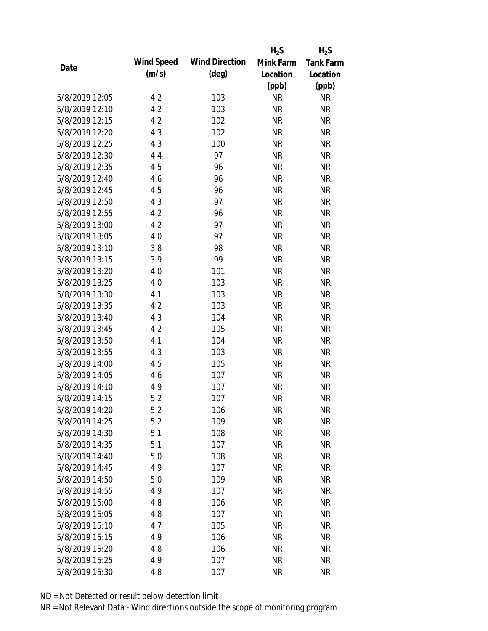|                |            |                       | $H_2S$    | $H_2S$           |
|----------------|------------|-----------------------|-----------|------------------|
| Date           | Wind Speed | <b>Wind Direction</b> | Mink Farm | <b>Tank Farm</b> |
|                | (m/s)      | $(\text{deg})$        | Location  | Location         |
|                |            |                       | (ppb)     | (ppb)            |
| 5/8/2019 12:05 | 4.2        | 103                   | <b>NR</b> | NR               |
| 5/8/2019 12:10 | 4.2        | 103                   | <b>NR</b> | <b>NR</b>        |
| 5/8/2019 12:15 | 4.2        | 102                   | <b>NR</b> | <b>NR</b>        |
| 5/8/2019 12:20 | 4.3        | 102                   | <b>NR</b> | <b>NR</b>        |
| 5/8/2019 12:25 | 4.3        | 100                   | <b>NR</b> | <b>NR</b>        |
| 5/8/2019 12:30 | 4.4        | 97                    | <b>NR</b> | <b>NR</b>        |
| 5/8/2019 12:35 | 4.5        | 96                    | <b>NR</b> | <b>NR</b>        |
| 5/8/2019 12:40 | 4.6        | 96                    | <b>NR</b> | <b>NR</b>        |
| 5/8/2019 12:45 | 4.5        | 96                    | <b>NR</b> | <b>NR</b>        |
| 5/8/2019 12:50 | 4.3        | 97                    | <b>NR</b> | <b>NR</b>        |
| 5/8/2019 12:55 | 4.2        | 96                    | <b>NR</b> | <b>NR</b>        |
| 5/8/2019 13:00 | 4.2        | 97                    | <b>NR</b> | <b>NR</b>        |
| 5/8/2019 13:05 | 4.0        | 97                    | <b>NR</b> | <b>NR</b>        |
| 5/8/2019 13:10 | 3.8        | 98                    | <b>NR</b> | <b>NR</b>        |
| 5/8/2019 13:15 | 3.9        | 99                    | <b>NR</b> | <b>NR</b>        |
| 5/8/2019 13:20 | 4.0        | 101                   | <b>NR</b> | <b>NR</b>        |
| 5/8/2019 13:25 | 4.0        | 103                   | <b>NR</b> | <b>NR</b>        |
| 5/8/2019 13:30 | 4.1        | 103                   | <b>NR</b> | <b>NR</b>        |
| 5/8/2019 13:35 | 4.2        | 103                   | <b>NR</b> | <b>NR</b>        |
| 5/8/2019 13:40 | 4.3        | 104                   | <b>NR</b> | <b>NR</b>        |
| 5/8/2019 13:45 | 4.2        | 105                   | <b>NR</b> | <b>NR</b>        |
| 5/8/2019 13:50 | 4.1        | 104                   | <b>NR</b> | <b>NR</b>        |
| 5/8/2019 13:55 | 4.3        | 103                   | <b>NR</b> | <b>NR</b>        |
| 5/8/2019 14:00 | 4.5        | 105                   | <b>NR</b> | <b>NR</b>        |
| 5/8/2019 14:05 | 4.6        | 107                   | <b>NR</b> | <b>NR</b>        |
| 5/8/2019 14:10 | 4.9        | 107                   | <b>NR</b> | <b>NR</b>        |
| 5/8/2019 14:15 | 5.2        | 107                   | <b>NR</b> | <b>NR</b>        |
| 5/8/2019 14:20 | 5.2        | 106                   | <b>NR</b> | <b>NR</b>        |
| 5/8/2019 14:25 | 5.2        | 109                   | <b>NR</b> | <b>NR</b>        |
| 5/8/2019 14:30 | 5.1        | 108                   | <b>NR</b> | <b>NR</b>        |
| 5/8/2019 14:35 | 5.1        | 107                   | <b>NR</b> | <b>NR</b>        |
| 5/8/2019 14:40 | 5.0        | 108                   | <b>NR</b> | <b>NR</b>        |
| 5/8/2019 14:45 | 4.9        | 107                   | <b>NR</b> | <b>NR</b>        |
| 5/8/2019 14:50 | 5.0        | 109                   | <b>NR</b> | <b>NR</b>        |
| 5/8/2019 14:55 | 4.9        | 107                   | <b>NR</b> | <b>NR</b>        |
| 5/8/2019 15:00 | 4.8        | 106                   | <b>NR</b> | <b>NR</b>        |
| 5/8/2019 15:05 | 4.8        | 107                   | <b>NR</b> | <b>NR</b>        |
| 5/8/2019 15:10 | 4.7        | 105                   | NR        | <b>NR</b>        |
| 5/8/2019 15:15 | 4.9        | 106                   | <b>NR</b> | <b>NR</b>        |
| 5/8/2019 15:20 | 4.8        | 106                   | <b>NR</b> | <b>NR</b>        |
| 5/8/2019 15:25 | 4.9        | 107                   | <b>NR</b> | <b>NR</b>        |
| 5/8/2019 15:30 | 4.8        | 107                   | <b>NR</b> | <b>NR</b>        |
|                |            |                       |           |                  |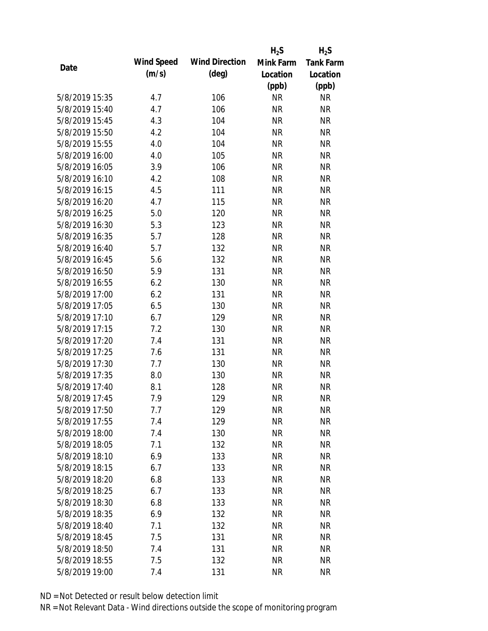|                |            |                       | $H_2S$    | $H_2S$           |
|----------------|------------|-----------------------|-----------|------------------|
| Date           | Wind Speed | <b>Wind Direction</b> | Mink Farm | <b>Tank Farm</b> |
|                | (m/s)      | $(\text{deg})$        | Location  | Location         |
|                |            |                       | (ppb)     | (ppb)            |
| 5/8/2019 15:35 | 4.7        | 106                   | <b>NR</b> | NR               |
| 5/8/2019 15:40 | 4.7        | 106                   | <b>NR</b> | <b>NR</b>        |
| 5/8/2019 15:45 | 4.3        | 104                   | <b>NR</b> | <b>NR</b>        |
| 5/8/2019 15:50 | 4.2        | 104                   | <b>NR</b> | <b>NR</b>        |
| 5/8/2019 15:55 | 4.0        | 104                   | <b>NR</b> | <b>NR</b>        |
| 5/8/2019 16:00 | 4.0        | 105                   | <b>NR</b> | <b>NR</b>        |
| 5/8/2019 16:05 | 3.9        | 106                   | <b>NR</b> | <b>NR</b>        |
| 5/8/2019 16:10 | 4.2        | 108                   | <b>NR</b> | <b>NR</b>        |
| 5/8/2019 16:15 | 4.5        | 111                   | <b>NR</b> | <b>NR</b>        |
| 5/8/2019 16:20 | 4.7        | 115                   | <b>NR</b> | <b>NR</b>        |
| 5/8/2019 16:25 | 5.0        | 120                   | <b>NR</b> | <b>NR</b>        |
| 5/8/2019 16:30 | 5.3        | 123                   | <b>NR</b> | <b>NR</b>        |
| 5/8/2019 16:35 | 5.7        | 128                   | <b>NR</b> | <b>NR</b>        |
| 5/8/2019 16:40 | 5.7        | 132                   | <b>NR</b> | <b>NR</b>        |
| 5/8/2019 16:45 | 5.6        | 132                   | <b>NR</b> | <b>NR</b>        |
| 5/8/2019 16:50 | 5.9        | 131                   | <b>NR</b> | <b>NR</b>        |
| 5/8/2019 16:55 | 6.2        | 130                   | <b>NR</b> | <b>NR</b>        |
| 5/8/2019 17:00 | 6.2        | 131                   | <b>NR</b> | <b>NR</b>        |
| 5/8/2019 17:05 | 6.5        | 130                   | <b>NR</b> | <b>NR</b>        |
| 5/8/2019 17:10 | 6.7        | 129                   | <b>NR</b> | <b>NR</b>        |
| 5/8/2019 17:15 | 7.2        | 130                   | <b>NR</b> | <b>NR</b>        |
| 5/8/2019 17:20 | 7.4        | 131                   | <b>NR</b> | <b>NR</b>        |
| 5/8/2019 17:25 | 7.6        | 131                   | <b>NR</b> | <b>NR</b>        |
| 5/8/2019 17:30 | 7.7        | 130                   | <b>NR</b> | <b>NR</b>        |
| 5/8/2019 17:35 | 8.0        | 130                   | <b>NR</b> | <b>NR</b>        |
| 5/8/2019 17:40 | 8.1        | 128                   | <b>NR</b> | <b>NR</b>        |
| 5/8/2019 17:45 | 7.9        | 129                   | <b>NR</b> | <b>NR</b>        |
| 5/8/2019 17:50 | 7.7        | 129                   | <b>NR</b> | <b>NR</b>        |
| 5/8/2019 17:55 | 7.4        | 129                   | <b>NR</b> | <b>NR</b>        |
| 5/8/2019 18:00 | 7.4        | 130                   | <b>NR</b> | <b>NR</b>        |
| 5/8/2019 18:05 | 7.1        | 132                   | <b>NR</b> | <b>NR</b>        |
| 5/8/2019 18:10 | 6.9        | 133                   | <b>NR</b> | <b>NR</b>        |
| 5/8/2019 18:15 | 6.7        | 133                   | <b>NR</b> | <b>NR</b>        |
| 5/8/2019 18:20 | 6.8        | 133                   | <b>NR</b> | <b>NR</b>        |
| 5/8/2019 18:25 | 6.7        | 133                   | <b>NR</b> | <b>NR</b>        |
| 5/8/2019 18:30 | 6.8        | 133                   | <b>NR</b> | <b>NR</b>        |
| 5/8/2019 18:35 | 6.9        | 132                   | <b>NR</b> | <b>NR</b>        |
| 5/8/2019 18:40 | 7.1        | 132                   | NR        | <b>NR</b>        |
| 5/8/2019 18:45 | 7.5        | 131                   | <b>NR</b> | <b>NR</b>        |
| 5/8/2019 18:50 | 7.4        | 131                   | <b>NR</b> | <b>NR</b>        |
| 5/8/2019 18:55 | 7.5        | 132                   | <b>NR</b> | <b>NR</b>        |
| 5/8/2019 19:00 | 7.4        | 131                   | <b>NR</b> | <b>NR</b>        |
|                |            |                       |           |                  |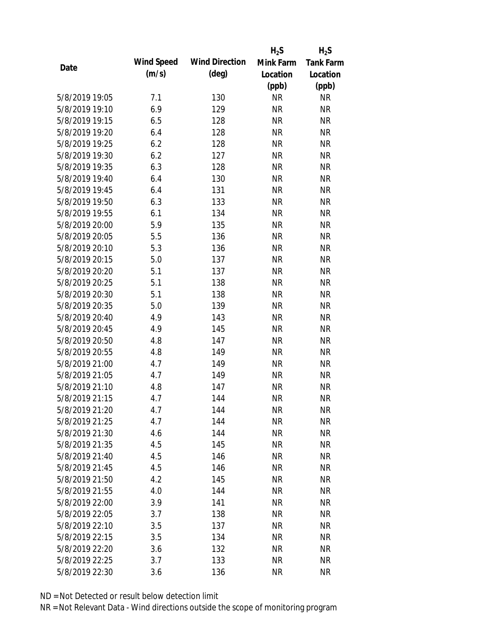|                |            |                       | $H_2S$    | $H_2S$           |
|----------------|------------|-----------------------|-----------|------------------|
|                | Wind Speed | <b>Wind Direction</b> | Mink Farm | <b>Tank Farm</b> |
| Date           | (m/s)      | $(\text{deg})$        | Location  | Location         |
|                |            |                       | (ppb)     | (ppb)            |
| 5/8/2019 19:05 | 7.1        | 130                   | <b>NR</b> | <b>NR</b>        |
| 5/8/2019 19:10 | 6.9        | 129                   | <b>NR</b> | <b>NR</b>        |
| 5/8/2019 19:15 | 6.5        | 128                   | <b>NR</b> | <b>NR</b>        |
| 5/8/2019 19:20 | 6.4        | 128                   | <b>NR</b> | <b>NR</b>        |
| 5/8/2019 19:25 | 6.2        | 128                   | <b>NR</b> | <b>NR</b>        |
| 5/8/2019 19:30 | 6.2        | 127                   | <b>NR</b> | <b>NR</b>        |
| 5/8/2019 19:35 | 6.3        | 128                   | <b>NR</b> | <b>NR</b>        |
| 5/8/2019 19:40 | 6.4        | 130                   | <b>NR</b> | <b>NR</b>        |
| 5/8/2019 19:45 | 6.4        | 131                   | <b>NR</b> | <b>NR</b>        |
| 5/8/2019 19:50 | 6.3        | 133                   | <b>NR</b> | <b>NR</b>        |
| 5/8/2019 19:55 | 6.1        | 134                   | <b>NR</b> | <b>NR</b>        |
| 5/8/2019 20:00 | 5.9        | 135                   | <b>NR</b> | <b>NR</b>        |
| 5/8/2019 20:05 | 5.5        | 136                   | <b>NR</b> | <b>NR</b>        |
| 5/8/2019 20:10 | 5.3        | 136                   | <b>NR</b> | <b>NR</b>        |
| 5/8/2019 20:15 | 5.0        | 137                   | <b>NR</b> | <b>NR</b>        |
| 5/8/2019 20:20 | 5.1        | 137                   | <b>NR</b> | <b>NR</b>        |
| 5/8/2019 20:25 | 5.1        | 138                   | <b>NR</b> | <b>NR</b>        |
| 5/8/2019 20:30 | 5.1        | 138                   | <b>NR</b> | <b>NR</b>        |
| 5/8/2019 20:35 | 5.0        | 139                   | <b>NR</b> | <b>NR</b>        |
| 5/8/2019 20:40 | 4.9        | 143                   | <b>NR</b> | <b>NR</b>        |
| 5/8/2019 20:45 | 4.9        | 145                   | <b>NR</b> | <b>NR</b>        |
| 5/8/2019 20:50 | 4.8        | 147                   | <b>NR</b> | <b>NR</b>        |
| 5/8/2019 20:55 | 4.8        | 149                   | <b>NR</b> | <b>NR</b>        |
| 5/8/2019 21:00 | 4.7        | 149                   | <b>NR</b> | <b>NR</b>        |
| 5/8/2019 21:05 | 4.7        | 149                   | <b>NR</b> | <b>NR</b>        |
| 5/8/2019 21:10 | 4.8        | 147                   | <b>NR</b> | <b>NR</b>        |
| 5/8/2019 21:15 | 4.7        | 144                   | <b>NR</b> | <b>NR</b>        |
| 5/8/2019 21:20 | 4.7        | 144                   | <b>NR</b> | <b>NR</b>        |
| 5/8/2019 21:25 | 4.7        | 144                   | <b>NR</b> | <b>NR</b>        |
| 5/8/2019 21:30 | 4.6        | 144                   | <b>NR</b> | <b>NR</b>        |
| 5/8/2019 21:35 | 4.5        | 145                   | <b>NR</b> | <b>NR</b>        |
| 5/8/2019 21:40 | 4.5        | 146                   | <b>NR</b> | <b>NR</b>        |
| 5/8/2019 21:45 | 4.5        | 146                   | <b>NR</b> | <b>NR</b>        |
| 5/8/2019 21:50 | 4.2        | 145                   | <b>NR</b> | <b>NR</b>        |
| 5/8/2019 21:55 | 4.0        | 144                   | <b>NR</b> | <b>NR</b>        |
| 5/8/2019 22:00 | 3.9        | 141                   | <b>NR</b> | <b>NR</b>        |
| 5/8/2019 22:05 | 3.7        | 138                   | <b>NR</b> | <b>NR</b>        |
| 5/8/2019 22:10 | 3.5        | 137                   | <b>NR</b> | <b>NR</b>        |
| 5/8/2019 22:15 | 3.5        | 134                   | <b>NR</b> | <b>NR</b>        |
| 5/8/2019 22:20 | 3.6        | 132                   | <b>NR</b> | <b>NR</b>        |
| 5/8/2019 22:25 | 3.7        | 133                   | <b>NR</b> | <b>NR</b>        |
| 5/8/2019 22:30 | 3.6        | 136                   | <b>NR</b> | <b>NR</b>        |
|                |            |                       |           |                  |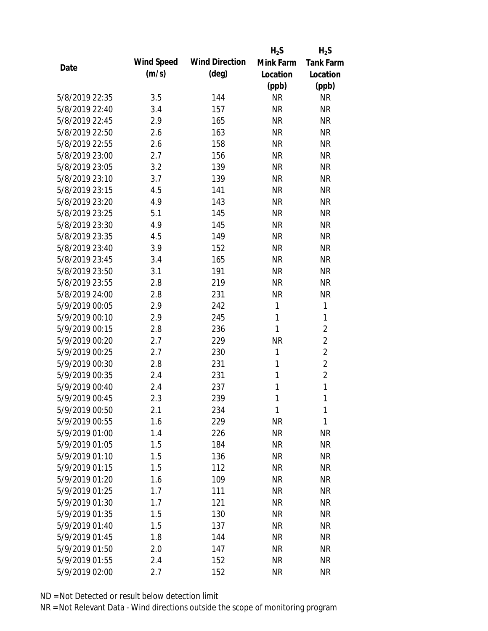|                |            |                       | $H_2S$    | $H_2S$           |
|----------------|------------|-----------------------|-----------|------------------|
|                | Wind Speed | <b>Wind Direction</b> | Mink Farm | <b>Tank Farm</b> |
| Date           | (m/s)      | $(\text{deg})$        | Location  | Location         |
|                |            |                       | (ppb)     | (ppb)            |
| 5/8/2019 22:35 | 3.5        | 144                   | <b>NR</b> | <b>NR</b>        |
| 5/8/2019 22:40 | 3.4        | 157                   | <b>NR</b> | <b>NR</b>        |
| 5/8/2019 22:45 | 2.9        | 165                   | <b>NR</b> | <b>NR</b>        |
| 5/8/2019 22:50 | 2.6        | 163                   | <b>NR</b> | <b>NR</b>        |
| 5/8/2019 22:55 | 2.6        | 158                   | <b>NR</b> | <b>NR</b>        |
| 5/8/2019 23:00 | 2.7        | 156                   | <b>NR</b> | <b>NR</b>        |
| 5/8/2019 23:05 | 3.2        | 139                   | <b>NR</b> | <b>NR</b>        |
| 5/8/2019 23:10 | 3.7        | 139                   | <b>NR</b> | <b>NR</b>        |
| 5/8/2019 23:15 | 4.5        | 141                   | <b>NR</b> | <b>NR</b>        |
| 5/8/2019 23:20 | 4.9        | 143                   | <b>NR</b> | <b>NR</b>        |
| 5/8/2019 23:25 | 5.1        | 145                   | <b>NR</b> | <b>NR</b>        |
| 5/8/2019 23:30 | 4.9        | 145                   | <b>NR</b> | <b>NR</b>        |
| 5/8/2019 23:35 | 4.5        | 149                   | <b>NR</b> | <b>NR</b>        |
| 5/8/2019 23:40 | 3.9        | 152                   | <b>NR</b> | <b>NR</b>        |
| 5/8/2019 23:45 | 3.4        | 165                   | <b>NR</b> | <b>NR</b>        |
| 5/8/2019 23:50 | 3.1        | 191                   | <b>NR</b> | <b>NR</b>        |
| 5/8/2019 23:55 | 2.8        | 219                   | <b>NR</b> | <b>NR</b>        |
| 5/8/2019 24:00 | 2.8        | 231                   | <b>NR</b> | <b>NR</b>        |
| 5/9/2019 00:05 | 2.9        | 242                   | 1         | 1                |
| 5/9/2019 00:10 | 2.9        | 245                   | 1         | 1                |
| 5/9/2019 00:15 | 2.8        | 236                   | 1         | $\overline{2}$   |
| 5/9/2019 00:20 | 2.7        | 229                   | <b>NR</b> | $\overline{2}$   |
| 5/9/2019 00:25 | 2.7        | 230                   | 1         | $\overline{2}$   |
| 5/9/2019 00:30 | 2.8        | 231                   | 1         | $\overline{2}$   |
| 5/9/2019 00:35 | 2.4        | 231                   | 1         | $\overline{2}$   |
| 5/9/2019 00:40 | 2.4        | 237                   | 1         | $\mathbf{1}$     |
| 5/9/2019 00:45 | 2.3        | 239                   | 1         | 1                |
| 5/9/2019 00:50 | 2.1        | 234                   | 1         | 1                |
| 5/9/2019 00:55 | 1.6        | 229                   | <b>NR</b> | 1                |
| 5/9/2019 01:00 | 1.4        | 226                   | <b>NR</b> | <b>NR</b>        |
| 5/9/2019 01:05 | 1.5        | 184                   | <b>NR</b> | <b>NR</b>        |
| 5/9/2019 01:10 | 1.5        | 136                   | <b>NR</b> | <b>NR</b>        |
| 5/9/2019 01:15 | 1.5        | 112                   | <b>NR</b> | <b>NR</b>        |
| 5/9/2019 01:20 | 1.6        | 109                   | <b>NR</b> | <b>NR</b>        |
| 5/9/2019 01:25 | 1.7        | 111                   | <b>NR</b> | <b>NR</b>        |
| 5/9/2019 01:30 | 1.7        | 121                   | <b>NR</b> | <b>NR</b>        |
| 5/9/2019 01:35 | 1.5        | 130                   | <b>NR</b> | <b>NR</b>        |
| 5/9/2019 01:40 | 1.5        | 137                   | <b>NR</b> | <b>NR</b>        |
| 5/9/2019 01:45 | 1.8        | 144                   | <b>NR</b> | <b>NR</b>        |
| 5/9/2019 01:50 | 2.0        | 147                   | <b>NR</b> | <b>NR</b>        |
| 5/9/2019 01:55 | 2.4        | 152                   | <b>NR</b> | <b>NR</b>        |
| 5/9/2019 02:00 | 2.7        | 152                   | <b>NR</b> | <b>NR</b>        |
|                |            |                       |           |                  |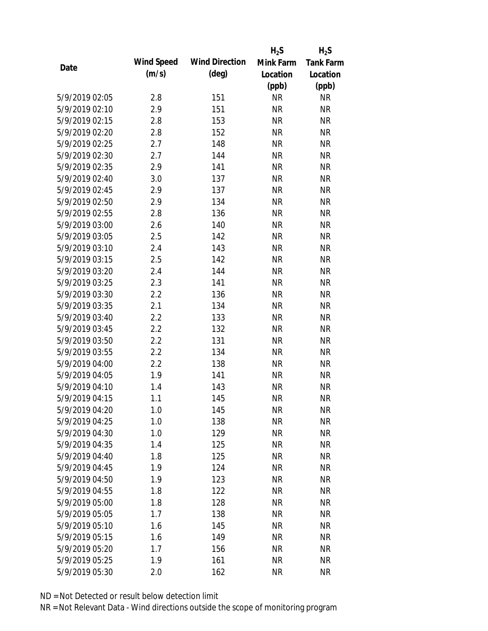|      |                |            |                       | $H_2S$    | $H_2S$           |
|------|----------------|------------|-----------------------|-----------|------------------|
|      |                | Wind Speed | <b>Wind Direction</b> | Mink Farm | <b>Tank Farm</b> |
| Date |                | (m/s)      | $(\text{deg})$        | Location  | Location         |
|      |                |            |                       | (ppb)     | (ppb)            |
|      | 5/9/2019 02:05 | 2.8        | 151                   | <b>NR</b> | <b>NR</b>        |
|      | 5/9/2019 02:10 | 2.9        | 151                   | <b>NR</b> | <b>NR</b>        |
|      | 5/9/2019 02:15 | 2.8        | 153                   | <b>NR</b> | <b>NR</b>        |
|      | 5/9/2019 02:20 | 2.8        | 152                   | <b>NR</b> | <b>NR</b>        |
|      | 5/9/2019 02:25 | 2.7        | 148                   | <b>NR</b> | <b>NR</b>        |
|      | 5/9/2019 02:30 | 2.7        | 144                   | <b>NR</b> | <b>NR</b>        |
|      | 5/9/2019 02:35 | 2.9        | 141                   | <b>NR</b> | <b>NR</b>        |
|      | 5/9/2019 02:40 | 3.0        | 137                   | <b>NR</b> | <b>NR</b>        |
|      | 5/9/2019 02:45 | 2.9        | 137                   | <b>NR</b> | <b>NR</b>        |
|      | 5/9/2019 02:50 | 2.9        | 134                   | <b>NR</b> | <b>NR</b>        |
|      | 5/9/2019 02:55 | 2.8        | 136                   | <b>NR</b> | <b>NR</b>        |
|      | 5/9/2019 03:00 | 2.6        | 140                   | <b>NR</b> | <b>NR</b>        |
|      | 5/9/2019 03:05 | 2.5        | 142                   | <b>NR</b> | <b>NR</b>        |
|      | 5/9/2019 03:10 | 2.4        | 143                   | <b>NR</b> | <b>NR</b>        |
|      | 5/9/2019 03:15 | 2.5        | 142                   | <b>NR</b> | <b>NR</b>        |
|      | 5/9/2019 03:20 | 2.4        | 144                   | <b>NR</b> | <b>NR</b>        |
|      | 5/9/2019 03:25 | 2.3        | 141                   | <b>NR</b> | <b>NR</b>        |
|      | 5/9/2019 03:30 | 2.2        | 136                   | <b>NR</b> | <b>NR</b>        |
|      | 5/9/2019 03:35 | 2.1        | 134                   | <b>NR</b> | <b>NR</b>        |
|      | 5/9/2019 03:40 | 2.2        | 133                   | <b>NR</b> | <b>NR</b>        |
|      | 5/9/2019 03:45 | 2.2        | 132                   | <b>NR</b> | <b>NR</b>        |
|      | 5/9/2019 03:50 | 2.2        | 131                   | <b>NR</b> | <b>NR</b>        |
|      | 5/9/2019 03:55 | 2.2        | 134                   | <b>NR</b> | <b>NR</b>        |
|      | 5/9/2019 04:00 | 2.2        | 138                   | <b>NR</b> | <b>NR</b>        |
|      | 5/9/2019 04:05 | 1.9        | 141                   | <b>NR</b> | <b>NR</b>        |
|      | 5/9/2019 04:10 | 1.4        | 143                   | <b>NR</b> | <b>NR</b>        |
|      | 5/9/2019 04:15 | 1.1        | 145                   | <b>NR</b> | <b>NR</b>        |
|      | 5/9/2019 04:20 | 1.0        | 145                   | <b>NR</b> | <b>NR</b>        |
|      | 5/9/2019 04:25 | 1.0        | 138                   | <b>NR</b> | <b>NR</b>        |
|      | 5/9/2019 04:30 | 1.0        | 129                   | <b>NR</b> | <b>NR</b>        |
|      | 5/9/2019 04:35 | 1.4        | 125                   | <b>NR</b> | <b>NR</b>        |
|      | 5/9/2019 04:40 | 1.8        | 125                   | <b>NR</b> | <b>NR</b>        |
|      | 5/9/2019 04:45 | 1.9        | 124                   | <b>NR</b> | <b>NR</b>        |
|      | 5/9/2019 04:50 | 1.9        | 123                   | <b>NR</b> | <b>NR</b>        |
|      | 5/9/2019 04:55 | 1.8        | 122                   | <b>NR</b> | <b>NR</b>        |
|      | 5/9/2019 05:00 | 1.8        | 128                   | <b>NR</b> | <b>NR</b>        |
|      | 5/9/2019 05:05 | 1.7        | 138                   | <b>NR</b> | <b>NR</b>        |
|      | 5/9/2019 05:10 | 1.6        | 145                   | <b>NR</b> | <b>NR</b>        |
|      | 5/9/2019 05:15 | 1.6        | 149                   | <b>NR</b> | <b>NR</b>        |
|      | 5/9/2019 05:20 | 1.7        | 156                   | <b>NR</b> | <b>NR</b>        |
|      | 5/9/2019 05:25 | 1.9        | 161                   | <b>NR</b> | <b>NR</b>        |
|      | 5/9/2019 05:30 | 2.0        | 162                   | <b>NR</b> | <b>NR</b>        |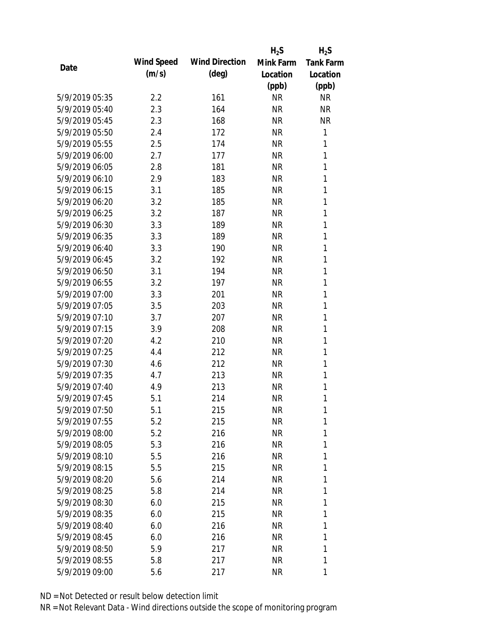|                |            |                       | $H_2S$    | $H_2S$           |
|----------------|------------|-----------------------|-----------|------------------|
|                | Wind Speed | <b>Wind Direction</b> | Mink Farm | <b>Tank Farm</b> |
| Date           | (m/s)      | $(\text{deg})$        | Location  | Location         |
|                |            |                       | (ppb)     | (ppb)            |
| 5/9/2019 05:35 | 2.2        | 161                   | <b>NR</b> | <b>NR</b>        |
| 5/9/2019 05:40 | 2.3        | 164                   | <b>NR</b> | <b>NR</b>        |
| 5/9/2019 05:45 | 2.3        | 168                   | <b>NR</b> | <b>NR</b>        |
| 5/9/2019 05:50 | 2.4        | 172                   | <b>NR</b> | 1                |
| 5/9/2019 05:55 | 2.5        | 174                   | <b>NR</b> | 1                |
| 5/9/2019 06:00 | 2.7        | 177                   | <b>NR</b> | 1                |
| 5/9/2019 06:05 | 2.8        | 181                   | <b>NR</b> | 1                |
| 5/9/2019 06:10 | 2.9        | 183                   | <b>NR</b> | 1                |
| 5/9/2019 06:15 | 3.1        | 185                   | <b>NR</b> | 1                |
| 5/9/2019 06:20 | 3.2        | 185                   | <b>NR</b> | 1                |
| 5/9/2019 06:25 | 3.2        | 187                   | <b>NR</b> | 1                |
| 5/9/2019 06:30 | 3.3        | 189                   | <b>NR</b> | 1                |
| 5/9/2019 06:35 | 3.3        | 189                   | <b>NR</b> | 1                |
| 5/9/2019 06:40 | 3.3        | 190                   | <b>NR</b> | 1                |
| 5/9/2019 06:45 | 3.2        | 192                   | <b>NR</b> | 1                |
| 5/9/2019 06:50 | 3.1        | 194                   | <b>NR</b> | 1                |
| 5/9/2019 06:55 | 3.2        | 197                   | <b>NR</b> | 1                |
| 5/9/2019 07:00 | 3.3        | 201                   | <b>NR</b> | 1                |
| 5/9/2019 07:05 | 3.5        | 203                   | <b>NR</b> | 1                |
| 5/9/2019 07:10 | 3.7        | 207                   | <b>NR</b> | 1                |
| 5/9/2019 07:15 | 3.9        | 208                   | <b>NR</b> | 1                |
| 5/9/2019 07:20 | 4.2        | 210                   | <b>NR</b> | 1                |
| 5/9/2019 07:25 | 4.4        | 212                   | <b>NR</b> | 1                |
| 5/9/2019 07:30 | 4.6        | 212                   | <b>NR</b> | 1                |
| 5/9/2019 07:35 | 4.7        | 213                   | <b>NR</b> | 1                |
| 5/9/2019 07:40 | 4.9        | 213                   | <b>NR</b> | 1                |
| 5/9/2019 07:45 | 5.1        | 214                   | <b>NR</b> | 1                |
| 5/9/2019 07:50 | 5.1        | 215                   | <b>NR</b> | 1                |
| 5/9/2019 07:55 | 5.2        | 215                   | NR        | 1                |
| 5/9/2019 08:00 | 5.2        | 216                   | NR        | 1                |
| 5/9/2019 08:05 | 5.3        | 216                   | NR        | 1                |
| 5/9/2019 08:10 | 5.5        | 216                   | NR        | 1                |
| 5/9/2019 08:15 | 5.5        | 215                   | NR        | 1                |
| 5/9/2019 08:20 | 5.6        | 214                   | NR        | 1                |
| 5/9/2019 08:25 | 5.8        | 214                   | NR        | 1                |
| 5/9/2019 08:30 | 6.0        | 215                   | NR        | 1                |
| 5/9/2019 08:35 | 6.0        | 215                   | NR        | 1                |
| 5/9/2019 08:40 | 6.0        | 216                   | NR        | 1                |
| 5/9/2019 08:45 | 6.0        | 216                   | NR        | 1                |
| 5/9/2019 08:50 | 5.9        | 217                   | NR        | 1                |
| 5/9/2019 08:55 | 5.8        | 217                   | <b>NR</b> | 1                |
| 5/9/2019 09:00 | 5.6        | 217                   | <b>NR</b> | 1                |
|                |            |                       |           |                  |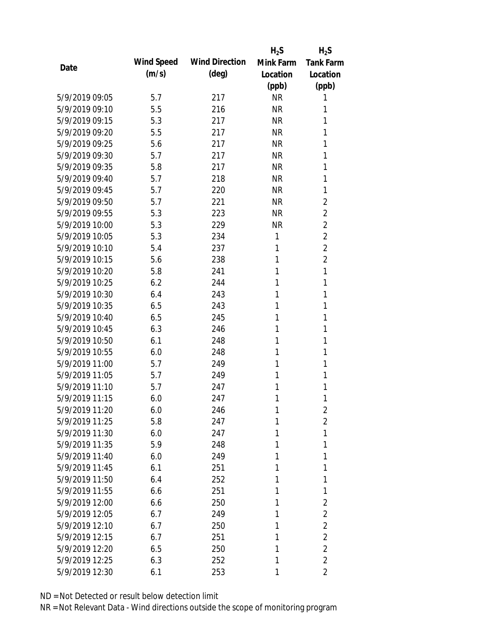|                |            |                       | $H_2S$    | $H_2S$           |
|----------------|------------|-----------------------|-----------|------------------|
| Date           | Wind Speed | <b>Wind Direction</b> | Mink Farm | <b>Tank Farm</b> |
|                | (m/s)      | $(\text{deg})$        | Location  | Location         |
|                |            |                       | (ppb)     | (ppb)            |
| 5/9/2019 09:05 | 5.7        | 217                   | <b>NR</b> | 1                |
| 5/9/2019 09:10 | 5.5        | 216                   | <b>NR</b> | 1                |
| 5/9/2019 09:15 | 5.3        | 217                   | <b>NR</b> | 1                |
| 5/9/2019 09:20 | 5.5        | 217                   | <b>NR</b> | 1                |
| 5/9/2019 09:25 | 5.6        | 217                   | <b>NR</b> | 1                |
| 5/9/2019 09:30 | 5.7        | 217                   | <b>NR</b> | 1                |
| 5/9/2019 09:35 | 5.8        | 217                   | <b>NR</b> | 1                |
| 5/9/2019 09:40 | 5.7        | 218                   | <b>NR</b> | 1                |
| 5/9/2019 09:45 | 5.7        | 220                   | <b>NR</b> | 1                |
| 5/9/2019 09:50 | 5.7        | 221                   | <b>NR</b> | $\overline{2}$   |
| 5/9/2019 09:55 | 5.3        | 223                   | <b>NR</b> | $\overline{2}$   |
| 5/9/2019 10:00 | 5.3        | 229                   | <b>NR</b> | $\overline{2}$   |
| 5/9/2019 10:05 | 5.3        | 234                   | 1         | $\overline{2}$   |
| 5/9/2019 10:10 | 5.4        | 237                   | 1         | $\overline{2}$   |
| 5/9/2019 10:15 | 5.6        | 238                   | 1         | $\overline{2}$   |
| 5/9/2019 10:20 | 5.8        | 241                   | 1         | 1                |
| 5/9/2019 10:25 | 6.2        | 244                   | 1         | 1                |
| 5/9/2019 10:30 | 6.4        | 243                   | 1         | 1                |
| 5/9/2019 10:35 | 6.5        | 243                   | 1         | 1                |
| 5/9/2019 10:40 | 6.5        | 245                   | 1         | 1                |
| 5/9/2019 10:45 | 6.3        | 246                   | 1         | 1                |
| 5/9/2019 10:50 | 6.1        | 248                   | 1         | 1                |
| 5/9/2019 10:55 | 6.0        | 248                   | 1         | 1                |
| 5/9/2019 11:00 | 5.7        | 249                   | 1         | 1                |
| 5/9/2019 11:05 | 5.7        | 249                   | 1         | 1                |
| 5/9/2019 11:10 | 5.7        | 247                   | 1         | 1                |
| 5/9/2019 11:15 | 6.0        | 247                   | 1         | 1                |
| 5/9/2019 11:20 | 6.0        | 246                   | 1         | 2                |
| 5/9/2019 11:25 | 5.8        | 247                   | 1         | $\overline{2}$   |
| 5/9/2019 11:30 | 6.0        | 247                   | 1         | 1                |
| 5/9/2019 11:35 | 5.9        | 248                   | 1         | 1                |
| 5/9/2019 11:40 | 6.0        | 249                   | 1         | 1                |
| 5/9/2019 11:45 | 6.1        | 251                   | 1         | 1                |
| 5/9/2019 11:50 | 6.4        | 252                   | 1         | 1                |
| 5/9/2019 11:55 | 6.6        | 251                   | 1         | 1                |
| 5/9/2019 12:00 | 6.6        | 250                   | 1         | $\overline{2}$   |
| 5/9/2019 12:05 | 6.7        | 249                   | 1         | $\overline{2}$   |
| 5/9/2019 12:10 | 6.7        | 250                   | 1         | $\overline{2}$   |
| 5/9/2019 12:15 | 6.7        | 251                   | 1         | $\overline{2}$   |
| 5/9/2019 12:20 | 6.5        | 250                   | 1         | $\overline{2}$   |
| 5/9/2019 12:25 | 6.3        | 252                   | 1         | $\overline{2}$   |
| 5/9/2019 12:30 | 6.1        | 253                   | 1         | $\overline{2}$   |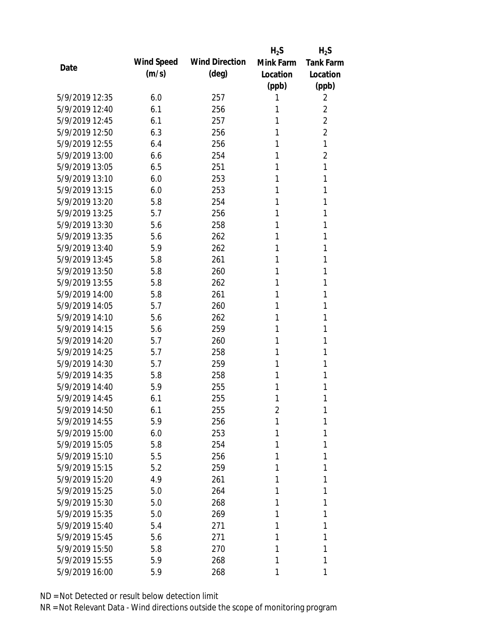|                |            |                       | $H_2S$         | $H_2S$           |
|----------------|------------|-----------------------|----------------|------------------|
| Date           | Wind Speed | <b>Wind Direction</b> | Mink Farm      | <b>Tank Farm</b> |
|                | (m/s)      | $(\text{deg})$        | Location       | Location         |
|                |            |                       | (ppb)          | (ppb)            |
| 5/9/2019 12:35 | 6.0        | 257                   | 1              | 2                |
| 5/9/2019 12:40 | 6.1        | 256                   | 1              | $\overline{2}$   |
| 5/9/2019 12:45 | 6.1        | 257                   | 1              | $\overline{2}$   |
| 5/9/2019 12:50 | 6.3        | 256                   | 1              | $\overline{2}$   |
| 5/9/2019 12:55 | 6.4        | 256                   | 1              | 1                |
| 5/9/2019 13:00 | 6.6        | 254                   | 1              | 2                |
| 5/9/2019 13:05 | 6.5        | 251                   | 1              | 1                |
| 5/9/2019 13:10 | 6.0        | 253                   | 1              | 1                |
| 5/9/2019 13:15 | 6.0        | 253                   | 1              | 1                |
| 5/9/2019 13:20 | 5.8        | 254                   | 1              | 1                |
| 5/9/2019 13:25 | 5.7        | 256                   | 1              | 1                |
| 5/9/2019 13:30 | 5.6        | 258                   | 1              | 1                |
| 5/9/2019 13:35 | 5.6        | 262                   | 1              | 1                |
| 5/9/2019 13:40 | 5.9        | 262                   | 1              | 1                |
| 5/9/2019 13:45 | 5.8        | 261                   | 1              | 1                |
| 5/9/2019 13:50 | 5.8        | 260                   | 1              | 1                |
| 5/9/2019 13:55 | 5.8        | 262                   | 1              | 1                |
| 5/9/2019 14:00 | 5.8        | 261                   | 1              | 1                |
| 5/9/2019 14:05 | 5.7        | 260                   | 1              | 1                |
| 5/9/2019 14:10 | 5.6        | 262                   | 1              | 1                |
| 5/9/2019 14:15 | 5.6        | 259                   | 1              | 1                |
| 5/9/2019 14:20 | 5.7        | 260                   | 1              | 1                |
| 5/9/2019 14:25 | 5.7        | 258                   | 1              | 1                |
| 5/9/2019 14:30 | 5.7        | 259                   | 1              | 1                |
| 5/9/2019 14:35 | 5.8        | 258                   | 1              | 1                |
| 5/9/2019 14:40 | 5.9        | 255                   | 1              | 1                |
| 5/9/2019 14:45 | 6.1        | 255                   | 1              | 1                |
| 5/9/2019 14:50 | 6.1        | 255                   | $\overline{2}$ | 1                |
| 5/9/2019 14:55 | 5.9        | 256                   | 1              | 1                |
| 5/9/2019 15:00 | 6.0        | 253                   | 1              | 1                |
| 5/9/2019 15:05 | 5.8        | 254                   | 1              | 1                |
| 5/9/2019 15:10 | 5.5        | 256                   | 1              | 1                |
| 5/9/2019 15:15 | 5.2        | 259                   | 1              | 1                |
| 5/9/2019 15:20 | 4.9        | 261                   | 1              | 1                |
| 5/9/2019 15:25 | 5.0        | 264                   | 1              | 1                |
| 5/9/2019 15:30 | 5.0        | 268                   | 1              | 1                |
| 5/9/2019 15:35 | 5.0        | 269                   | 1              | 1                |
| 5/9/2019 15:40 | 5.4        | 271                   | 1              | 1                |
| 5/9/2019 15:45 | 5.6        | 271                   | 1              | 1                |
| 5/9/2019 15:50 | 5.8        | 270                   | 1              | 1                |
| 5/9/2019 15:55 | 5.9        | 268                   | 1              | 1                |
| 5/9/2019 16:00 | 5.9        | 268                   | 1              | 1                |
|                |            |                       |                |                  |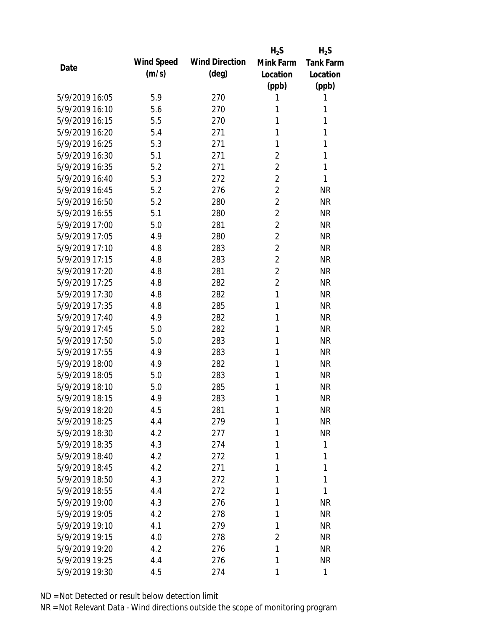|                |            |                       | $H_2S$         | $H_2S$           |
|----------------|------------|-----------------------|----------------|------------------|
|                | Wind Speed | <b>Wind Direction</b> | Mink Farm      | <b>Tank Farm</b> |
| Date           | (m/s)      | $(\text{deg})$        | Location       | Location         |
|                |            |                       | (ppb)          | (ppb)            |
| 5/9/2019 16:05 | 5.9        | 270                   | 1              | 1                |
| 5/9/2019 16:10 | 5.6        | 270                   | 1              | 1                |
| 5/9/2019 16:15 | 5.5        | 270                   | 1              | 1                |
| 5/9/2019 16:20 | 5.4        | 271                   | 1              | 1                |
| 5/9/2019 16:25 | 5.3        | 271                   | 1              | 1                |
| 5/9/2019 16:30 | 5.1        | 271                   | $\overline{2}$ | 1                |
| 5/9/2019 16:35 | 5.2        | 271                   | $\overline{2}$ | 1                |
| 5/9/2019 16:40 | 5.3        | 272                   | $\overline{2}$ | 1                |
| 5/9/2019 16:45 | 5.2        | 276                   | $\overline{2}$ | <b>NR</b>        |
| 5/9/2019 16:50 | 5.2        | 280                   | $\overline{2}$ | <b>NR</b>        |
| 5/9/2019 16:55 | 5.1        | 280                   | $\overline{2}$ | <b>NR</b>        |
| 5/9/2019 17:00 | 5.0        | 281                   | $\overline{2}$ | <b>NR</b>        |
| 5/9/2019 17:05 | 4.9        | 280                   | $\overline{2}$ | <b>NR</b>        |
| 5/9/2019 17:10 | 4.8        | 283                   | $\overline{2}$ | <b>NR</b>        |
| 5/9/2019 17:15 | 4.8        | 283                   | $\overline{2}$ | <b>NR</b>        |
| 5/9/2019 17:20 | 4.8        | 281                   | $\overline{2}$ | <b>NR</b>        |
| 5/9/2019 17:25 | 4.8        | 282                   | $\overline{2}$ | <b>NR</b>        |
| 5/9/2019 17:30 | 4.8        | 282                   | $\mathbf{1}$   | <b>NR</b>        |
| 5/9/2019 17:35 | 4.8        | 285                   | 1              | <b>NR</b>        |
| 5/9/2019 17:40 | 4.9        | 282                   | 1              | <b>NR</b>        |
| 5/9/2019 17:45 | 5.0        | 282                   | 1              | <b>NR</b>        |
| 5/9/2019 17:50 | 5.0        | 283                   | 1              | <b>NR</b>        |
| 5/9/2019 17:55 | 4.9        | 283                   | 1              | <b>NR</b>        |
| 5/9/2019 18:00 | 4.9        | 282                   | 1              | <b>NR</b>        |
| 5/9/2019 18:05 | 5.0        | 283                   | 1              | <b>NR</b>        |
| 5/9/2019 18:10 | 5.0        | 285                   | 1              | <b>NR</b>        |
| 5/9/2019 18:15 | 4.9        | 283                   | 1              | <b>NR</b>        |
| 5/9/2019 18:20 | 4.5        | 281                   | 1              | <b>NR</b>        |
| 5/9/2019 18:25 | 4.4        | 279                   | 1              | <b>NR</b>        |
| 5/9/2019 18:30 | 4.2        | 277                   | 1              | <b>NR</b>        |
| 5/9/2019 18:35 | 4.3        | 274                   | 1              | 1                |
| 5/9/2019 18:40 | 4.2        | 272                   | 1              | 1                |
| 5/9/2019 18:45 | 4.2        | 271                   | 1              | 1                |
| 5/9/2019 18:50 | 4.3        | 272                   | 1              | 1                |
| 5/9/2019 18:55 | 4.4        | 272                   | 1              | 1                |
| 5/9/2019 19:00 | 4.3        | 276                   | 1              | <b>NR</b>        |
| 5/9/2019 19:05 | 4.2        | 278                   | 1              | <b>NR</b>        |
| 5/9/2019 19:10 | 4.1        | 279                   | 1              | <b>NR</b>        |
| 5/9/2019 19:15 | 4.0        | 278                   | $\overline{2}$ | <b>NR</b>        |
| 5/9/2019 19:20 | 4.2        | 276                   | 1              | <b>NR</b>        |
| 5/9/2019 19:25 | 4.4        | 276                   | 1              | <b>NR</b>        |
|                |            |                       |                | 1                |
| 5/9/2019 19:30 | 4.5        | 274                   | 1              |                  |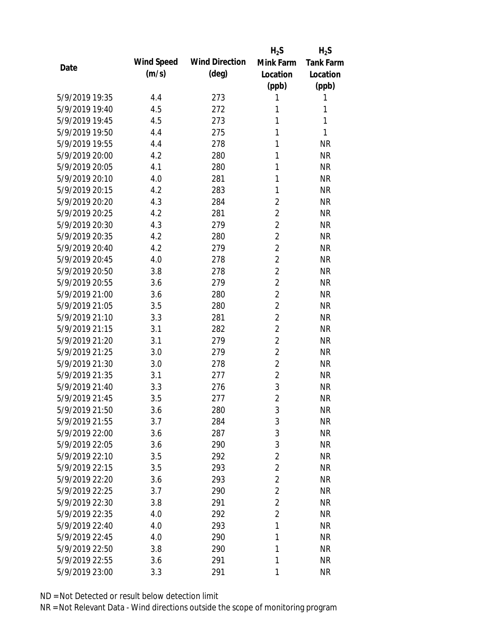|                                  |            |                       | $H_2S$         | $H_2S$           |
|----------------------------------|------------|-----------------------|----------------|------------------|
| Date                             | Wind Speed | <b>Wind Direction</b> | Mink Farm      | <b>Tank Farm</b> |
|                                  | (m/s)      | $(\text{deg})$        | Location       | Location         |
|                                  |            |                       | (ppb)          | (ppb)            |
| 5/9/2019 19:35                   | 4.4        | 273                   | 1              | 1                |
| 5/9/2019 19:40                   | 4.5        | 272                   | 1              | 1                |
| 5/9/2019 19:45                   | 4.5        | 273                   | 1              | 1                |
| 5/9/2019 19:50                   | 4.4        | 275                   | 1              | 1                |
| 5/9/2019 19:55                   | 4.4        | 278                   | 1              | <b>NR</b>        |
| 5/9/2019 20:00                   | 4.2        | 280                   | 1              | <b>NR</b>        |
| 5/9/2019 20:05                   | 4.1        | 280                   | 1              | <b>NR</b>        |
| 5/9/2019 20:10                   | 4.0        | 281                   | 1              | <b>NR</b>        |
| 5/9/2019 20:15                   | 4.2        | 283                   | 1              | <b>NR</b>        |
| 5/9/2019 20:20                   | 4.3        | 284                   | $\overline{2}$ | <b>NR</b>        |
| 5/9/2019 20:25                   | 4.2        | 281                   | $\overline{2}$ | <b>NR</b>        |
| 5/9/2019 20:30                   | 4.3        | 279                   | $\overline{2}$ | <b>NR</b>        |
| 5/9/2019 20:35                   | 4.2        | 280                   | $\overline{2}$ | <b>NR</b>        |
| 5/9/2019 20:40                   | 4.2        | 279                   | $\overline{2}$ | <b>NR</b>        |
| 5/9/2019 20:45                   | 4.0        | 278                   | $\overline{2}$ | <b>NR</b>        |
| 5/9/2019 20:50                   | 3.8        | 278                   | $\overline{2}$ | <b>NR</b>        |
| 5/9/2019 20:55                   | 3.6        | 279                   | $\overline{2}$ | <b>NR</b>        |
| 5/9/2019 21:00                   | 3.6        | 280                   | $\overline{2}$ | <b>NR</b>        |
| 5/9/2019 21:05                   | 3.5        | 280                   | $\overline{2}$ | <b>NR</b>        |
| 5/9/2019 21:10                   | 3.3        | 281                   | $\overline{2}$ | <b>NR</b>        |
| 5/9/2019 21:15                   | 3.1        | 282                   | $\overline{2}$ | <b>NR</b>        |
| 5/9/2019 21:20                   | 3.1        | 279                   | $\overline{2}$ | <b>NR</b>        |
| 5/9/2019 21:25                   | 3.0        | 279                   | $\overline{2}$ | <b>NR</b>        |
| 5/9/2019 21:30                   | 3.0        | 278                   | $\overline{2}$ | <b>NR</b>        |
| 5/9/2019 21:35                   | 3.1        | 277                   | $\overline{2}$ | <b>NR</b>        |
| 5/9/2019 21:40                   | 3.3        | 276                   | 3              | <b>NR</b>        |
| 5/9/2019 21:45                   | 3.5        | 277                   | $\overline{2}$ | <b>NR</b>        |
| 5/9/2019 21:50                   | 3.6        | 280                   | 3              | <b>NR</b>        |
| 5/9/2019 21:55                   | 3.7        | 284                   | 3              | <b>NR</b>        |
| 5/9/2019 22:00                   | 3.6        | 287                   | 3              | <b>NR</b>        |
| 5/9/2019 22:05                   | 3.6        | 290                   | 3              | <b>NR</b>        |
| 5/9/2019 22:10                   | 3.5        | 292                   | $\overline{2}$ | <b>NR</b>        |
| 5/9/2019 22:15                   | 3.5        | 293                   | $\overline{2}$ | <b>NR</b>        |
| 5/9/2019 22:20                   | 3.6        | 293                   | $\overline{2}$ | <b>NR</b>        |
| 5/9/2019 22:25                   | 3.7        | 290                   | $\overline{2}$ | <b>NR</b>        |
| 5/9/2019 22:30                   | 3.8        | 291                   | $\overline{2}$ | <b>NR</b>        |
|                                  |            |                       | $\overline{2}$ |                  |
| 5/9/2019 22:35<br>5/9/2019 22:40 | 4.0        | 292                   | 1              | <b>NR</b>        |
|                                  | 4.0        | 293                   |                | <b>NR</b>        |
| 5/9/2019 22:45                   | 4.0        | 290                   | 1              | <b>NR</b>        |
| 5/9/2019 22:50                   | 3.8        | 290                   | 1              | <b>NR</b>        |
| 5/9/2019 22:55                   | 3.6        | 291                   | 1              | <b>NR</b>        |
| 5/9/2019 23:00                   | 3.3        | 291                   | 1              | <b>NR</b>        |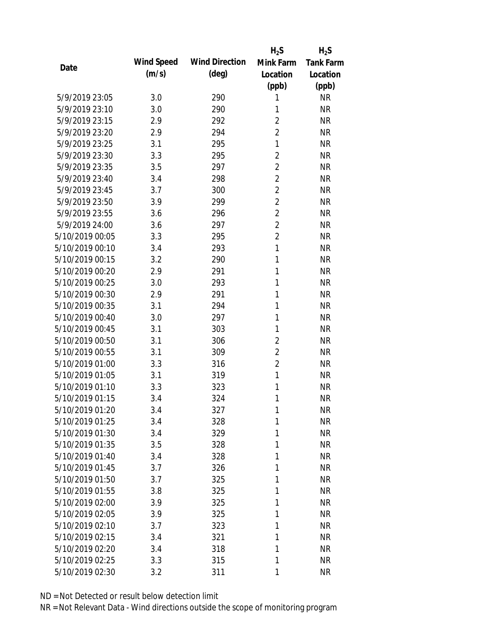|                 |            |                       | $H_2S$         | $H_2S$           |
|-----------------|------------|-----------------------|----------------|------------------|
|                 | Wind Speed | <b>Wind Direction</b> | Mink Farm      | <b>Tank Farm</b> |
| Date            | (m/s)      | $(\text{deg})$        | Location       | Location         |
|                 |            |                       | (ppb)          | (ppb)            |
| 5/9/2019 23:05  | 3.0        | 290                   | 1              | <b>NR</b>        |
| 5/9/2019 23:10  | 3.0        | 290                   | 1              | <b>NR</b>        |
| 5/9/2019 23:15  | 2.9        | 292                   | $\overline{2}$ | <b>NR</b>        |
| 5/9/2019 23:20  | 2.9        | 294                   | $\overline{2}$ | <b>NR</b>        |
| 5/9/2019 23:25  | 3.1        | 295                   | $\mathbf{1}$   | <b>NR</b>        |
| 5/9/2019 23:30  | 3.3        | 295                   | 2              | <b>NR</b>        |
| 5/9/2019 23:35  | 3.5        | 297                   | $\overline{2}$ | <b>NR</b>        |
| 5/9/2019 23:40  | 3.4        | 298                   | $\overline{2}$ | <b>NR</b>        |
| 5/9/2019 23:45  | 3.7        | 300                   | $\overline{2}$ | <b>NR</b>        |
| 5/9/2019 23:50  | 3.9        | 299                   | $\overline{2}$ | <b>NR</b>        |
| 5/9/2019 23:55  | 3.6        | 296                   | $\overline{2}$ | <b>NR</b>        |
| 5/9/2019 24:00  | 3.6        | 297                   | $\overline{2}$ | <b>NR</b>        |
| 5/10/2019 00:05 | 3.3        | 295                   | $\overline{2}$ | <b>NR</b>        |
| 5/10/2019 00:10 | 3.4        | 293                   | $\mathbf{1}$   | <b>NR</b>        |
| 5/10/2019 00:15 | 3.2        | 290                   | 1              | <b>NR</b>        |
| 5/10/2019 00:20 | 2.9        | 291                   | 1              | <b>NR</b>        |
| 5/10/2019 00:25 | 3.0        | 293                   | 1              | <b>NR</b>        |
| 5/10/2019 00:30 | 2.9        | 291                   | $\mathbf{1}$   | <b>NR</b>        |
| 5/10/2019 00:35 | 3.1        | 294                   | 1              | <b>NR</b>        |
| 5/10/2019 00:40 | 3.0        | 297                   | 1              | <b>NR</b>        |
| 5/10/2019 00:45 | 3.1        | 303                   | 1              | <b>NR</b>        |
| 5/10/2019 00:50 | 3.1        | 306                   | $\overline{2}$ | <b>NR</b>        |
| 5/10/2019 00:55 | 3.1        | 309                   | $\overline{2}$ | <b>NR</b>        |
| 5/10/2019 01:00 | 3.3        | 316                   | $\overline{2}$ | <b>NR</b>        |
| 5/10/2019 01:05 | 3.1        | 319                   | $\mathbf{1}$   | <b>NR</b>        |
| 5/10/2019 01:10 | 3.3        | 323                   | 1              | <b>NR</b>        |
| 5/10/2019 01:15 | 3.4        | 324                   | 1              | <b>NR</b>        |
| 5/10/2019 01:20 | 3.4        | 327                   | 1              | <b>NR</b>        |
| 5/10/2019 01:25 | 3.4        | 328                   | 1              | <b>NR</b>        |
| 5/10/2019 01:30 | 3.4        | 329                   | 1              | <b>NR</b>        |
| 5/10/2019 01:35 | 3.5        | 328                   | 1              | <b>NR</b>        |
| 5/10/2019 01:40 | 3.4        | 328                   | 1              | <b>NR</b>        |
| 5/10/2019 01:45 | 3.7        | 326                   | 1              | <b>NR</b>        |
| 5/10/2019 01:50 | 3.7        | 325                   | 1              | <b>NR</b>        |
| 5/10/2019 01:55 | 3.8        | 325                   | 1              | <b>NR</b>        |
| 5/10/2019 02:00 | 3.9        | 325                   | 1              | <b>NR</b>        |
| 5/10/2019 02:05 | 3.9        | 325                   | 1              | NR               |
| 5/10/2019 02:10 | 3.7        | 323                   | 1              | NR               |
| 5/10/2019 02:15 | 3.4        | 321                   | 1              | <b>NR</b>        |
| 5/10/2019 02:20 | 3.4        | 318                   | 1              | <b>NR</b>        |
| 5/10/2019 02:25 | 3.3        | 315                   | 1              | <b>NR</b>        |
| 5/10/2019 02:30 | 3.2        | 311                   | 1              | <b>NR</b>        |
|                 |            |                       |                |                  |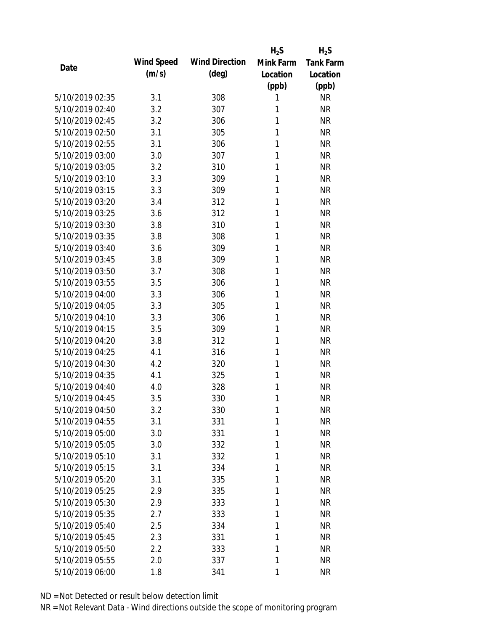|                 |            |                       | $H_2S$    | $H_2S$           |
|-----------------|------------|-----------------------|-----------|------------------|
| Date            | Wind Speed | <b>Wind Direction</b> | Mink Farm | <b>Tank Farm</b> |
|                 | (m/s)      | $(\text{deg})$        | Location  | Location         |
|                 |            |                       | (ppb)     | (ppb)            |
| 5/10/2019 02:35 | 3.1        | 308                   | 1         | <b>NR</b>        |
| 5/10/2019 02:40 | 3.2        | 307                   | 1         | <b>NR</b>        |
| 5/10/2019 02:45 | 3.2        | 306                   | 1         | <b>NR</b>        |
| 5/10/2019 02:50 | 3.1        | 305                   | 1         | <b>NR</b>        |
| 5/10/2019 02:55 | 3.1        | 306                   | 1         | <b>NR</b>        |
| 5/10/2019 03:00 | 3.0        | 307                   | 1         | <b>NR</b>        |
| 5/10/2019 03:05 | 3.2        | 310                   | 1         | <b>NR</b>        |
| 5/10/2019 03:10 | 3.3        | 309                   | 1         | <b>NR</b>        |
| 5/10/2019 03:15 | 3.3        | 309                   | 1         | <b>NR</b>        |
| 5/10/2019 03:20 | 3.4        | 312                   | 1         | <b>NR</b>        |
| 5/10/2019 03:25 | 3.6        | 312                   | 1         | <b>NR</b>        |
| 5/10/2019 03:30 | 3.8        | 310                   | 1         | <b>NR</b>        |
| 5/10/2019 03:35 | 3.8        | 308                   | 1         | <b>NR</b>        |
| 5/10/2019 03:40 | 3.6        | 309                   | 1         | <b>NR</b>        |
| 5/10/2019 03:45 | 3.8        | 309                   | 1         | <b>NR</b>        |
| 5/10/2019 03:50 | 3.7        | 308                   | 1         | <b>NR</b>        |
| 5/10/2019 03:55 | 3.5        | 306                   | 1         | <b>NR</b>        |
| 5/10/2019 04:00 | 3.3        | 306                   | 1         | <b>NR</b>        |
| 5/10/2019 04:05 | 3.3        | 305                   | 1         | <b>NR</b>        |
| 5/10/2019 04:10 | 3.3        | 306                   | 1         | <b>NR</b>        |
| 5/10/2019 04:15 | 3.5        | 309                   | 1         | <b>NR</b>        |
| 5/10/2019 04:20 | 3.8        | 312                   | 1         | <b>NR</b>        |
| 5/10/2019 04:25 | 4.1        | 316                   | 1         | <b>NR</b>        |
| 5/10/2019 04:30 | 4.2        | 320                   | 1         | <b>NR</b>        |
| 5/10/2019 04:35 | 4.1        | 325                   | 1         | <b>NR</b>        |
| 5/10/2019 04:40 | 4.0        | 328                   | 1         | <b>NR</b>        |
| 5/10/2019 04:45 | 3.5        | 330                   | 1         | <b>NR</b>        |
| 5/10/2019 04:50 | 3.2        | 330                   | 1         | <b>NR</b>        |
| 5/10/2019 04:55 | 3.1        | 331                   | 1         | <b>NR</b>        |
| 5/10/2019 05:00 | 3.0        | 331                   | 1         | <b>NR</b>        |
| 5/10/2019 05:05 | 3.0        | 332                   | 1         | <b>NR</b>        |
| 5/10/2019 05:10 | 3.1        | 332                   | 1         | <b>NR</b>        |
| 5/10/2019 05:15 | 3.1        | 334                   | 1         | <b>NR</b>        |
| 5/10/2019 05:20 | 3.1        | 335                   | 1         | <b>NR</b>        |
| 5/10/2019 05:25 | 2.9        | 335                   | 1         | <b>NR</b>        |
| 5/10/2019 05:30 | 2.9        | 333                   | 1         | <b>NR</b>        |
| 5/10/2019 05:35 | 2.7        | 333                   | 1         | <b>NR</b>        |
| 5/10/2019 05:40 | 2.5        | 334                   | 1         | <b>NR</b>        |
| 5/10/2019 05:45 | 2.3        | 331                   | 1         | <b>NR</b>        |
| 5/10/2019 05:50 | 2.2        | 333                   | 1         | <b>NR</b>        |
| 5/10/2019 05:55 | 2.0        | 337                   | 1         | <b>NR</b>        |
|                 |            |                       |           |                  |
| 5/10/2019 06:00 | 1.8        | 341                   | 1         | <b>NR</b>        |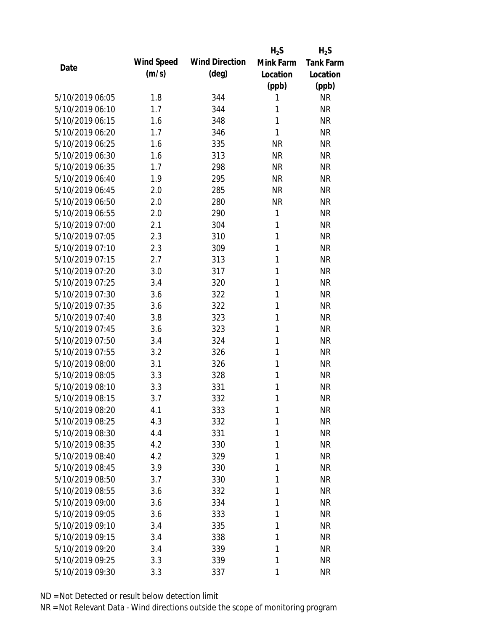|                 |            |                       | $H_2S$       | $H_2S$           |
|-----------------|------------|-----------------------|--------------|------------------|
| Date            | Wind Speed | <b>Wind Direction</b> | Mink Farm    | <b>Tank Farm</b> |
|                 | (m/s)      | $(\text{deg})$        | Location     | Location         |
|                 |            |                       | (ppb)        | (ppb)            |
| 5/10/2019 06:05 | 1.8        | 344                   | 1            | <b>NR</b>        |
| 5/10/2019 06:10 | 1.7        | 344                   | 1            | <b>NR</b>        |
| 5/10/2019 06:15 | 1.6        | 348                   | 1            | <b>NR</b>        |
| 5/10/2019 06:20 | 1.7        | 346                   | 1            | <b>NR</b>        |
| 5/10/2019 06:25 | 1.6        | 335                   | <b>NR</b>    | <b>NR</b>        |
| 5/10/2019 06:30 | 1.6        | 313                   | <b>NR</b>    | <b>NR</b>        |
| 5/10/2019 06:35 | 1.7        | 298                   | <b>NR</b>    | <b>NR</b>        |
| 5/10/2019 06:40 | 1.9        | 295                   | <b>NR</b>    | <b>NR</b>        |
| 5/10/2019 06:45 | 2.0        | 285                   | <b>NR</b>    | <b>NR</b>        |
| 5/10/2019 06:50 | 2.0        | 280                   | <b>NR</b>    | <b>NR</b>        |
| 5/10/2019 06:55 | 2.0        | 290                   | 1            | <b>NR</b>        |
| 5/10/2019 07:00 | 2.1        | 304                   | 1            | <b>NR</b>        |
| 5/10/2019 07:05 | 2.3        | 310                   | 1            | <b>NR</b>        |
| 5/10/2019 07:10 | 2.3        | 309                   | $\mathbf{1}$ | <b>NR</b>        |
| 5/10/2019 07:15 | 2.7        | 313                   | $\mathbf{1}$ | <b>NR</b>        |
| 5/10/2019 07:20 | 3.0        | 317                   | 1            | <b>NR</b>        |
| 5/10/2019 07:25 | 3.4        | 320                   | 1            | <b>NR</b>        |
| 5/10/2019 07:30 | 3.6        | 322                   | 1            | <b>NR</b>        |
| 5/10/2019 07:35 | 3.6        | 322                   | 1            | <b>NR</b>        |
| 5/10/2019 07:40 | 3.8        | 323                   | 1            | <b>NR</b>        |
| 5/10/2019 07:45 | 3.6        | 323                   | 1            | <b>NR</b>        |
| 5/10/2019 07:50 | 3.4        | 324                   | 1            | <b>NR</b>        |
| 5/10/2019 07:55 | 3.2        | 326                   | 1            | <b>NR</b>        |
| 5/10/2019 08:00 | 3.1        | 326                   | 1            | <b>NR</b>        |
| 5/10/2019 08:05 | 3.3        | 328                   | 1            | <b>NR</b>        |
| 5/10/2019 08:10 | 3.3        | 331                   | 1            | <b>NR</b>        |
| 5/10/2019 08:15 | 3.7        | 332                   | 1            | <b>NR</b>        |
| 5/10/2019 08:20 | 4.1        | 333                   | 1            | <b>NR</b>        |
| 5/10/2019 08:25 | 4.3        | 332                   | 1            | <b>NR</b>        |
| 5/10/2019 08:30 | 4.4        | 331                   | 1            | <b>NR</b>        |
| 5/10/2019 08:35 | 4.2        | 330                   | 1            | <b>NR</b>        |
| 5/10/2019 08:40 | 4.2        | 329                   | 1            | <b>NR</b>        |
| 5/10/2019 08:45 | 3.9        | 330                   | 1            | <b>NR</b>        |
| 5/10/2019 08:50 | 3.7        | 330                   | 1            | <b>NR</b>        |
| 5/10/2019 08:55 | 3.6        | 332                   | 1            | <b>NR</b>        |
| 5/10/2019 09:00 | 3.6        | 334                   | 1            | <b>NR</b>        |
| 5/10/2019 09:05 | 3.6        | 333                   | 1            | <b>NR</b>        |
| 5/10/2019 09:10 | 3.4        | 335                   | 1            | <b>NR</b>        |
| 5/10/2019 09:15 | 3.4        | 338                   | 1            | <b>NR</b>        |
| 5/10/2019 09:20 | 3.4        | 339                   | 1            | <b>NR</b>        |
| 5/10/2019 09:25 | 3.3        |                       | 1            | <b>NR</b>        |
|                 |            | 339                   |              |                  |
| 5/10/2019 09:30 | 3.3        | 337                   | $\mathbf{1}$ | <b>NR</b>        |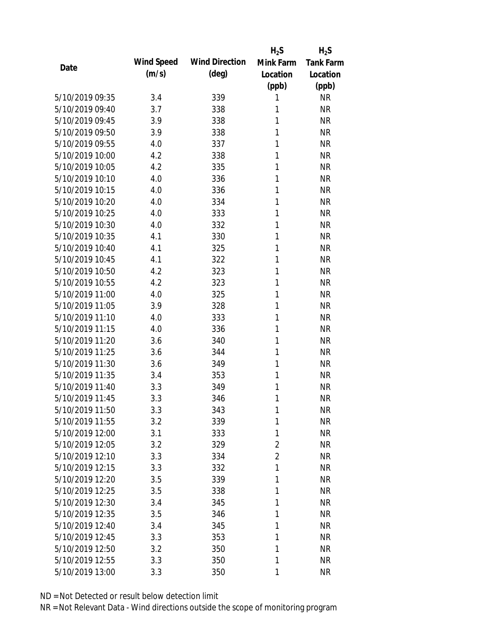|                 |            |                       | $H_2S$         | $H_2S$           |
|-----------------|------------|-----------------------|----------------|------------------|
| Date            | Wind Speed | <b>Wind Direction</b> | Mink Farm      | <b>Tank Farm</b> |
|                 | (m/s)      | $(\text{deg})$        | Location       | Location         |
|                 |            |                       | (ppb)          | (ppb)            |
| 5/10/2019 09:35 | 3.4        | 339                   | 1              | <b>NR</b>        |
| 5/10/2019 09:40 | 3.7        | 338                   | 1              | <b>NR</b>        |
| 5/10/2019 09:45 | 3.9        | 338                   | 1              | <b>NR</b>        |
| 5/10/2019 09:50 | 3.9        | 338                   | 1              | <b>NR</b>        |
| 5/10/2019 09:55 | 4.0        | 337                   | 1              | <b>NR</b>        |
| 5/10/2019 10:00 | 4.2        | 338                   | 1              | <b>NR</b>        |
| 5/10/2019 10:05 | 4.2        | 335                   | 1              | <b>NR</b>        |
| 5/10/2019 10:10 | 4.0        | 336                   | 1              | <b>NR</b>        |
| 5/10/2019 10:15 | 4.0        | 336                   | 1              | <b>NR</b>        |
| 5/10/2019 10:20 | 4.0        | 334                   | 1              | <b>NR</b>        |
| 5/10/2019 10:25 | 4.0        | 333                   | 1              | <b>NR</b>        |
| 5/10/2019 10:30 | 4.0        | 332                   | 1              | <b>NR</b>        |
| 5/10/2019 10:35 | 4.1        | 330                   | 1              | <b>NR</b>        |
| 5/10/2019 10:40 | 4.1        | 325                   | 1              | <b>NR</b>        |
| 5/10/2019 10:45 | 4.1        | 322                   | 1              | <b>NR</b>        |
| 5/10/2019 10:50 | 4.2        | 323                   | 1              | <b>NR</b>        |
| 5/10/2019 10:55 | 4.2        | 323                   | 1              | <b>NR</b>        |
| 5/10/2019 11:00 | 4.0        | 325                   | 1              | <b>NR</b>        |
| 5/10/2019 11:05 | 3.9        | 328                   | 1              | <b>NR</b>        |
| 5/10/2019 11:10 | 4.0        | 333                   | 1              | <b>NR</b>        |
| 5/10/2019 11:15 | 4.0        | 336                   | 1              | <b>NR</b>        |
| 5/10/2019 11:20 | 3.6        | 340                   | 1              | <b>NR</b>        |
| 5/10/2019 11:25 | 3.6        | 344                   | 1              | <b>NR</b>        |
| 5/10/2019 11:30 | 3.6        | 349                   | 1              | <b>NR</b>        |
| 5/10/2019 11:35 | 3.4        | 353                   | 1              | <b>NR</b>        |
| 5/10/2019 11:40 | 3.3        | 349                   | 1              | <b>NR</b>        |
| 5/10/2019 11:45 | 3.3        | 346                   | 1              | <b>NR</b>        |
| 5/10/2019 11:50 | 3.3        | 343                   | 1              | <b>NR</b>        |
| 5/10/2019 11:55 | 3.2        | 339                   | 1              | <b>NR</b>        |
| 5/10/2019 12:00 | 3.1        | 333                   | 1              | <b>NR</b>        |
| 5/10/2019 12:05 | 3.2        | 329                   | $\overline{2}$ | <b>NR</b>        |
| 5/10/2019 12:10 | 3.3        | 334                   | $\overline{2}$ | <b>NR</b>        |
| 5/10/2019 12:15 | 3.3        | 332                   | 1              | <b>NR</b>        |
| 5/10/2019 12:20 | 3.5        | 339                   | 1              | <b>NR</b>        |
| 5/10/2019 12:25 | 3.5        | 338                   | 1              | <b>NR</b>        |
| 5/10/2019 12:30 | 3.4        | 345                   | 1              | <b>NR</b>        |
| 5/10/2019 12:35 | 3.5        | 346                   | 1              | <b>NR</b>        |
| 5/10/2019 12:40 | 3.4        | 345                   | 1              | <b>NR</b>        |
| 5/10/2019 12:45 | 3.3        | 353                   | 1              | <b>NR</b>        |
| 5/10/2019 12:50 | 3.2        | 350                   | 1              | <b>NR</b>        |
| 5/10/2019 12:55 | 3.3        | 350                   | 1              | <b>NR</b>        |
| 5/10/2019 13:00 | 3.3        | 350                   | 1              | <b>NR</b>        |
|                 |            |                       |                |                  |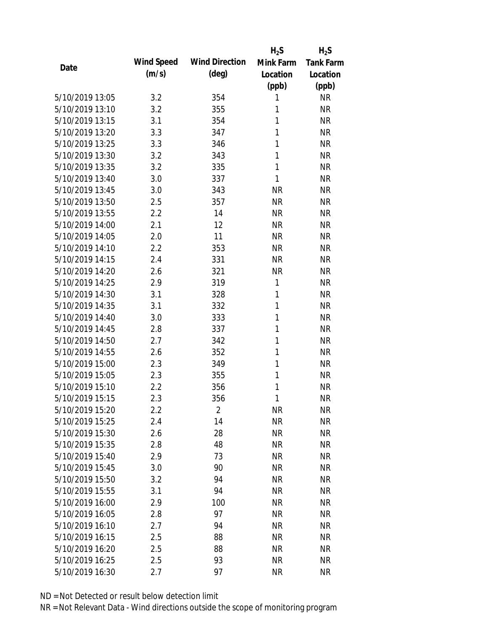|                 |            |                       | $H_2S$    | $H_2S$           |
|-----------------|------------|-----------------------|-----------|------------------|
|                 | Wind Speed | <b>Wind Direction</b> | Mink Farm | <b>Tank Farm</b> |
| Date            | (m/s)      | $(\text{deg})$        | Location  | Location         |
|                 |            |                       | (ppb)     | (ppb)            |
| 5/10/2019 13:05 | 3.2        | 354                   | 1         | <b>NR</b>        |
| 5/10/2019 13:10 | 3.2        | 355                   | 1         | <b>NR</b>        |
| 5/10/2019 13:15 | 3.1        | 354                   | 1         | <b>NR</b>        |
| 5/10/2019 13:20 | 3.3        | 347                   | 1         | <b>NR</b>        |
| 5/10/2019 13:25 | 3.3        | 346                   | 1         | <b>NR</b>        |
| 5/10/2019 13:30 | 3.2        | 343                   | 1         | <b>NR</b>        |
| 5/10/2019 13:35 | 3.2        | 335                   | 1         | <b>NR</b>        |
| 5/10/2019 13:40 | 3.0        | 337                   | 1         | <b>NR</b>        |
| 5/10/2019 13:45 | 3.0        | 343                   | <b>NR</b> | <b>NR</b>        |
| 5/10/2019 13:50 | 2.5        | 357                   | <b>NR</b> | <b>NR</b>        |
| 5/10/2019 13:55 | 2.2        | 14                    | <b>NR</b> | <b>NR</b>        |
| 5/10/2019 14:00 | 2.1        | 12                    | <b>NR</b> | <b>NR</b>        |
| 5/10/2019 14:05 | 2.0        | 11                    | <b>NR</b> | <b>NR</b>        |
| 5/10/2019 14:10 | 2.2        | 353                   | <b>NR</b> | <b>NR</b>        |
| 5/10/2019 14:15 | 2.4        | 331                   | <b>NR</b> | <b>NR</b>        |
| 5/10/2019 14:20 | 2.6        | 321                   | <b>NR</b> | <b>NR</b>        |
| 5/10/2019 14:25 | 2.9        | 319                   | 1         | <b>NR</b>        |
| 5/10/2019 14:30 | 3.1        | 328                   | 1         | <b>NR</b>        |
| 5/10/2019 14:35 | 3.1        | 332                   | 1         | <b>NR</b>        |
| 5/10/2019 14:40 | 3.0        | 333                   | 1         | <b>NR</b>        |
| 5/10/2019 14:45 | 2.8        | 337                   | 1         | <b>NR</b>        |
| 5/10/2019 14:50 | 2.7        | 342                   | 1         | <b>NR</b>        |
| 5/10/2019 14:55 | 2.6        | 352                   | 1         | <b>NR</b>        |
| 5/10/2019 15:00 | 2.3        | 349                   | 1         | <b>NR</b>        |
| 5/10/2019 15:05 | 2.3        | 355                   | 1         | <b>NR</b>        |
| 5/10/2019 15:10 | 2.2        | 356                   | 1         | <b>NR</b>        |
| 5/10/2019 15:15 | 2.3        | 356                   | 1         | <b>NR</b>        |
| 5/10/2019 15:20 | $2.2\,$    | $\overline{2}$        | <b>NR</b> | <b>NR</b>        |
| 5/10/2019 15:25 | 2.4        | 14                    | <b>NR</b> | <b>NR</b>        |
| 5/10/2019 15:30 | 2.6        | 28                    | <b>NR</b> | <b>NR</b>        |
| 5/10/2019 15:35 | 2.8        | 48                    | <b>NR</b> | <b>NR</b>        |
| 5/10/2019 15:40 | 2.9        | 73                    | <b>NR</b> | <b>NR</b>        |
| 5/10/2019 15:45 | 3.0        | 90                    | <b>NR</b> | <b>NR</b>        |
| 5/10/2019 15:50 | 3.2        | 94                    | <b>NR</b> | <b>NR</b>        |
| 5/10/2019 15:55 | 3.1        | 94                    | <b>NR</b> | <b>NR</b>        |
| 5/10/2019 16:00 | 2.9        | 100                   | <b>NR</b> | <b>NR</b>        |
| 5/10/2019 16:05 | 2.8        | 97                    | <b>NR</b> | <b>NR</b>        |
| 5/10/2019 16:10 | 2.7        | 94                    | <b>NR</b> | <b>NR</b>        |
| 5/10/2019 16:15 | 2.5        | 88                    | <b>NR</b> | <b>NR</b>        |
| 5/10/2019 16:20 | 2.5        | 88                    | <b>NR</b> | <b>NR</b>        |
| 5/10/2019 16:25 | 2.5        | 93                    | <b>NR</b> | <b>NR</b>        |
|                 |            |                       |           |                  |
| 5/10/2019 16:30 | 2.7        | 97                    | <b>NR</b> | <b>NR</b>        |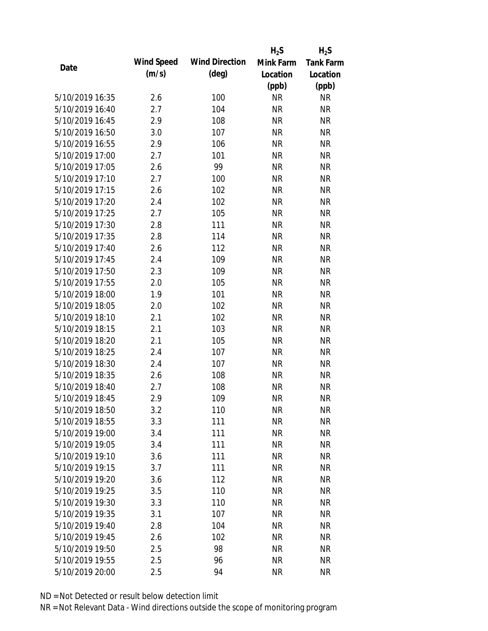|                 |            |                       | $H_2S$    | $H_2S$           |
|-----------------|------------|-----------------------|-----------|------------------|
|                 | Wind Speed | <b>Wind Direction</b> | Mink Farm | <b>Tank Farm</b> |
| Date            | (m/s)      | $(\text{deg})$        | Location  | Location         |
|                 |            |                       | (ppb)     | (ppb)            |
| 5/10/2019 16:35 | 2.6        | 100                   | <b>NR</b> | <b>NR</b>        |
| 5/10/2019 16:40 | 2.7        | 104                   | <b>NR</b> | <b>NR</b>        |
| 5/10/2019 16:45 | 2.9        | 108                   | <b>NR</b> | <b>NR</b>        |
| 5/10/2019 16:50 | 3.0        | 107                   | <b>NR</b> | <b>NR</b>        |
| 5/10/2019 16:55 | 2.9        | 106                   | <b>NR</b> | <b>NR</b>        |
| 5/10/2019 17:00 | 2.7        | 101                   | <b>NR</b> | <b>NR</b>        |
| 5/10/2019 17:05 | 2.6        | 99                    | <b>NR</b> | <b>NR</b>        |
| 5/10/2019 17:10 | 2.7        | 100                   | <b>NR</b> | <b>NR</b>        |
| 5/10/2019 17:15 | 2.6        | 102                   | <b>NR</b> | <b>NR</b>        |
| 5/10/2019 17:20 | 2.4        | 102                   | <b>NR</b> | <b>NR</b>        |
| 5/10/2019 17:25 | 2.7        | 105                   | <b>NR</b> | <b>NR</b>        |
| 5/10/2019 17:30 | 2.8        | 111                   | <b>NR</b> | <b>NR</b>        |
| 5/10/2019 17:35 | 2.8        | 114                   | <b>NR</b> | <b>NR</b>        |
| 5/10/2019 17:40 | 2.6        | 112                   | <b>NR</b> | <b>NR</b>        |
| 5/10/2019 17:45 | 2.4        | 109                   | <b>NR</b> | <b>NR</b>        |
| 5/10/2019 17:50 | 2.3        | 109                   | <b>NR</b> | <b>NR</b>        |
| 5/10/2019 17:55 | 2.0        | 105                   | <b>NR</b> | <b>NR</b>        |
| 5/10/2019 18:00 | 1.9        | 101                   | <b>NR</b> | <b>NR</b>        |
| 5/10/2019 18:05 | 2.0        | 102                   | <b>NR</b> | <b>NR</b>        |
| 5/10/2019 18:10 | 2.1        | 102                   | <b>NR</b> | <b>NR</b>        |
| 5/10/2019 18:15 | 2.1        | 103                   | <b>NR</b> | <b>NR</b>        |
| 5/10/2019 18:20 | 2.1        | 105                   | <b>NR</b> | <b>NR</b>        |
| 5/10/2019 18:25 | 2.4        | 107                   | <b>NR</b> | <b>NR</b>        |
| 5/10/2019 18:30 | 2.4        | 107                   | <b>NR</b> | <b>NR</b>        |
| 5/10/2019 18:35 | 2.6        | 108                   | <b>NR</b> | <b>NR</b>        |
| 5/10/2019 18:40 | 2.7        | 108                   | <b>NR</b> | <b>NR</b>        |
| 5/10/2019 18:45 | 2.9        | 109                   | <b>NR</b> | <b>NR</b>        |
| 5/10/2019 18:50 | 3.2        | 110                   | <b>NR</b> | <b>NR</b>        |
| 5/10/2019 18:55 | 3.3        | 111                   | <b>NR</b> | <b>NR</b>        |
| 5/10/2019 19:00 | 3.4        | 111                   | <b>NR</b> | <b>NR</b>        |
| 5/10/2019 19:05 | 3.4        | 111                   | <b>NR</b> | <b>NR</b>        |
| 5/10/2019 19:10 | 3.6        | 111                   | <b>NR</b> | <b>NR</b>        |
| 5/10/2019 19:15 | 3.7        | 111                   | <b>NR</b> | <b>NR</b>        |
| 5/10/2019 19:20 | 3.6        | 112                   | <b>NR</b> | <b>NR</b>        |
| 5/10/2019 19:25 | 3.5        | 110                   | <b>NR</b> | <b>NR</b>        |
| 5/10/2019 19:30 | 3.3        | 110                   | <b>NR</b> | <b>NR</b>        |
| 5/10/2019 19:35 | 3.1        | 107                   | <b>NR</b> | <b>NR</b>        |
| 5/10/2019 19:40 | 2.8        | 104                   | <b>NR</b> | <b>NR</b>        |
| 5/10/2019 19:45 | 2.6        | 102                   | <b>NR</b> | <b>NR</b>        |
| 5/10/2019 19:50 | 2.5        | 98                    | <b>NR</b> | <b>NR</b>        |
| 5/10/2019 19:55 | 2.5        | 96                    | <b>NR</b> | <b>NR</b>        |
| 5/10/2019 20:00 | 2.5        | 94                    | <b>NR</b> | <b>NR</b>        |
|                 |            |                       |           |                  |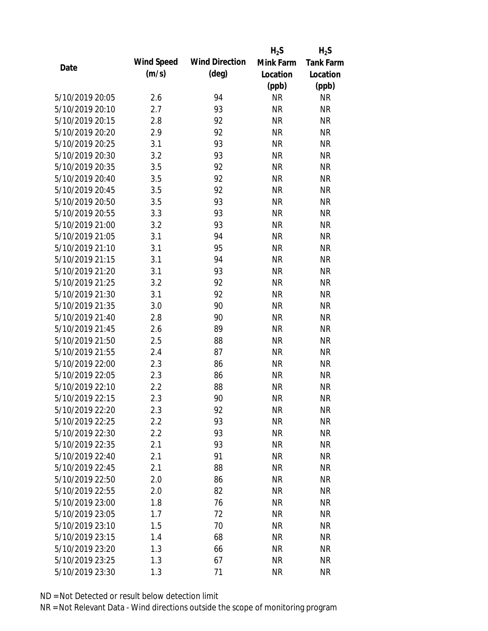|                 |            |                       | $H_2S$    | $H_2S$           |
|-----------------|------------|-----------------------|-----------|------------------|
| Date            | Wind Speed | <b>Wind Direction</b> | Mink Farm | <b>Tank Farm</b> |
|                 | (m/s)      | $(\text{deg})$        | Location  | Location         |
|                 |            |                       | (ppb)     | (ppb)            |
| 5/10/2019 20:05 | 2.6        | 94                    | <b>NR</b> | <b>NR</b>        |
| 5/10/2019 20:10 | 2.7        | 93                    | <b>NR</b> | <b>NR</b>        |
| 5/10/2019 20:15 | 2.8        | 92                    | <b>NR</b> | <b>NR</b>        |
| 5/10/2019 20:20 | 2.9        | 92                    | <b>NR</b> | <b>NR</b>        |
| 5/10/2019 20:25 | 3.1        | 93                    | <b>NR</b> | <b>NR</b>        |
| 5/10/2019 20:30 | 3.2        | 93                    | <b>NR</b> | <b>NR</b>        |
| 5/10/2019 20:35 | 3.5        | 92                    | <b>NR</b> | <b>NR</b>        |
| 5/10/2019 20:40 | 3.5        | 92                    | <b>NR</b> | <b>NR</b>        |
| 5/10/2019 20:45 | 3.5        | 92                    | <b>NR</b> | <b>NR</b>        |
| 5/10/2019 20:50 | 3.5        | 93                    | <b>NR</b> | <b>NR</b>        |
| 5/10/2019 20:55 | 3.3        | 93                    | <b>NR</b> | <b>NR</b>        |
| 5/10/2019 21:00 | 3.2        | 93                    | <b>NR</b> | <b>NR</b>        |
| 5/10/2019 21:05 | 3.1        | 94                    | <b>NR</b> | <b>NR</b>        |
| 5/10/2019 21:10 | 3.1        | 95                    | <b>NR</b> | <b>NR</b>        |
| 5/10/2019 21:15 | 3.1        | 94                    | <b>NR</b> | <b>NR</b>        |
| 5/10/2019 21:20 | 3.1        | 93                    | <b>NR</b> | <b>NR</b>        |
| 5/10/2019 21:25 | 3.2        | 92                    | <b>NR</b> | <b>NR</b>        |
| 5/10/2019 21:30 | 3.1        | 92                    | <b>NR</b> | <b>NR</b>        |
| 5/10/2019 21:35 | 3.0        | 90                    | <b>NR</b> | <b>NR</b>        |
| 5/10/2019 21:40 | 2.8        | 90                    | <b>NR</b> | <b>NR</b>        |
| 5/10/2019 21:45 | 2.6        | 89                    | <b>NR</b> | <b>NR</b>        |
| 5/10/2019 21:50 | 2.5        | 88                    | <b>NR</b> | <b>NR</b>        |
| 5/10/2019 21:55 | 2.4        | 87                    | <b>NR</b> | <b>NR</b>        |
| 5/10/2019 22:00 | 2.3        | 86                    | <b>NR</b> | <b>NR</b>        |
| 5/10/2019 22:05 | 2.3        | 86                    | <b>NR</b> | <b>NR</b>        |
| 5/10/2019 22:10 | 2.2        | 88                    | <b>NR</b> | <b>NR</b>        |
| 5/10/2019 22:15 | 2.3        | 90                    | <b>NR</b> | <b>NR</b>        |
| 5/10/2019 22:20 | 2.3        | 92                    | <b>NR</b> | <b>NR</b>        |
| 5/10/2019 22:25 | 2.2        | 93                    | <b>NR</b> | <b>NR</b>        |
| 5/10/2019 22:30 | 2.2        | 93                    | <b>NR</b> | <b>NR</b>        |
| 5/10/2019 22:35 | 2.1        | 93                    | <b>NR</b> | <b>NR</b>        |
| 5/10/2019 22:40 | 2.1        | 91                    | <b>NR</b> | <b>NR</b>        |
| 5/10/2019 22:45 | 2.1        | 88                    | <b>NR</b> | <b>NR</b>        |
| 5/10/2019 22:50 | 2.0        | 86                    | <b>NR</b> | <b>NR</b>        |
| 5/10/2019 22:55 | 2.0        | 82                    | <b>NR</b> | <b>NR</b>        |
| 5/10/2019 23:00 | 1.8        | 76                    | <b>NR</b> | <b>NR</b>        |
| 5/10/2019 23:05 | 1.7        | 72                    | <b>NR</b> | <b>NR</b>        |
| 5/10/2019 23:10 | 1.5        | 70                    | <b>NR</b> | <b>NR</b>        |
| 5/10/2019 23:15 | 1.4        | 68                    | <b>NR</b> | <b>NR</b>        |
| 5/10/2019 23:20 | 1.3        | 66                    | <b>NR</b> | <b>NR</b>        |
| 5/10/2019 23:25 | 1.3        | 67                    | <b>NR</b> | <b>NR</b>        |
| 5/10/2019 23:30 | 1.3        | 71                    | <b>NR</b> | <b>NR</b>        |
|                 |            |                       |           |                  |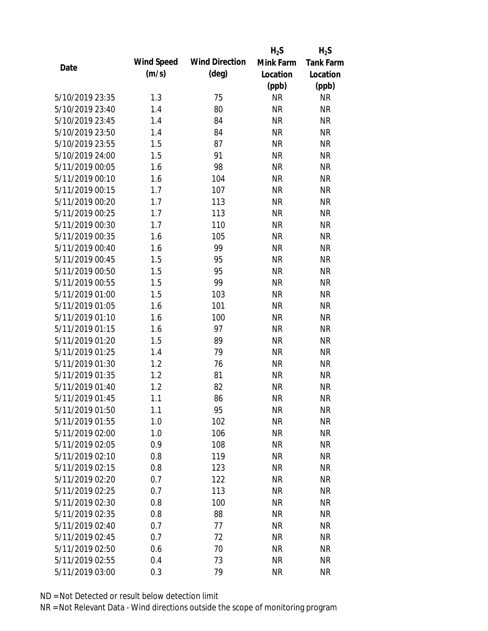|                 |            |                       | $H_2S$    | $H_2S$           |
|-----------------|------------|-----------------------|-----------|------------------|
| Date            | Wind Speed | <b>Wind Direction</b> | Mink Farm | <b>Tank Farm</b> |
|                 | (m/s)      | $(\text{deg})$        | Location  | Location         |
|                 |            |                       | (ppb)     | (ppb)            |
| 5/10/2019 23:35 | 1.3        | 75                    | <b>NR</b> | <b>NR</b>        |
| 5/10/2019 23:40 | 1.4        | 80                    | <b>NR</b> | <b>NR</b>        |
| 5/10/2019 23:45 | 1.4        | 84                    | <b>NR</b> | <b>NR</b>        |
| 5/10/2019 23:50 | 1.4        | 84                    | <b>NR</b> | <b>NR</b>        |
| 5/10/2019 23:55 | 1.5        | 87                    | <b>NR</b> | <b>NR</b>        |
| 5/10/2019 24:00 | 1.5        | 91                    | <b>NR</b> | <b>NR</b>        |
| 5/11/2019 00:05 | 1.6        | 98                    | <b>NR</b> | <b>NR</b>        |
| 5/11/2019 00:10 | 1.6        | 104                   | <b>NR</b> | <b>NR</b>        |
| 5/11/2019 00:15 | 1.7        | 107                   | <b>NR</b> | <b>NR</b>        |
| 5/11/2019 00:20 | 1.7        | 113                   | <b>NR</b> | <b>NR</b>        |
| 5/11/2019 00:25 | 1.7        | 113                   | <b>NR</b> | <b>NR</b>        |
| 5/11/2019 00:30 | 1.7        | 110                   | <b>NR</b> | <b>NR</b>        |
| 5/11/2019 00:35 | 1.6        | 105                   | <b>NR</b> | <b>NR</b>        |
| 5/11/2019 00:40 | 1.6        | 99                    | <b>NR</b> | <b>NR</b>        |
| 5/11/2019 00:45 | 1.5        | 95                    | <b>NR</b> | <b>NR</b>        |
| 5/11/2019 00:50 | 1.5        | 95                    | <b>NR</b> | <b>NR</b>        |
| 5/11/2019 00:55 | 1.5        | 99                    | <b>NR</b> | <b>NR</b>        |
| 5/11/2019 01:00 | 1.5        | 103                   | <b>NR</b> | <b>NR</b>        |
| 5/11/2019 01:05 | 1.6        | 101                   | <b>NR</b> | <b>NR</b>        |
| 5/11/2019 01:10 | 1.6        | 100                   | <b>NR</b> | <b>NR</b>        |
| 5/11/2019 01:15 | 1.6        | 97                    | <b>NR</b> | <b>NR</b>        |
| 5/11/2019 01:20 | 1.5        | 89                    | <b>NR</b> | <b>NR</b>        |
| 5/11/2019 01:25 | 1.4        | 79                    | <b>NR</b> | <b>NR</b>        |
| 5/11/2019 01:30 | 1.2        | 76                    | <b>NR</b> | <b>NR</b>        |
| 5/11/2019 01:35 | 1.2        | 81                    | <b>NR</b> | <b>NR</b>        |
| 5/11/2019 01:40 | 1.2        | 82                    | <b>NR</b> | <b>NR</b>        |
| 5/11/2019 01:45 | 1.1        | 86                    | <b>NR</b> | <b>NR</b>        |
| 5/11/2019 01:50 | 1.1        | 95                    | <b>NR</b> | <b>NR</b>        |
| 5/11/2019 01:55 | 1.0        | 102                   | <b>NR</b> | <b>NR</b>        |
| 5/11/2019 02:00 | 1.0        | 106                   | <b>NR</b> | <b>NR</b>        |
| 5/11/2019 02:05 | 0.9        | 108                   | <b>NR</b> | <b>NR</b>        |
| 5/11/2019 02:10 | 0.8        | 119                   | <b>NR</b> | <b>NR</b>        |
| 5/11/2019 02:15 | 0.8        | 123                   | <b>NR</b> | <b>NR</b>        |
| 5/11/2019 02:20 | 0.7        | 122                   | <b>NR</b> | <b>NR</b>        |
| 5/11/2019 02:25 | 0.7        | 113                   | <b>NR</b> | <b>NR</b>        |
| 5/11/2019 02:30 | 0.8        | 100                   | <b>NR</b> | <b>NR</b>        |
| 5/11/2019 02:35 | 0.8        | 88                    | <b>NR</b> | <b>NR</b>        |
| 5/11/2019 02:40 | 0.7        | 77                    | NR        | <b>NR</b>        |
| 5/11/2019 02:45 | 0.7        | 72                    | <b>NR</b> | <b>NR</b>        |
| 5/11/2019 02:50 | 0.6        | 70                    | <b>NR</b> | <b>NR</b>        |
| 5/11/2019 02:55 | 0.4        | 73                    | <b>NR</b> | <b>NR</b>        |
| 5/11/2019 03:00 | 0.3        | 79                    | <b>NR</b> | <b>NR</b>        |
|                 |            |                       |           |                  |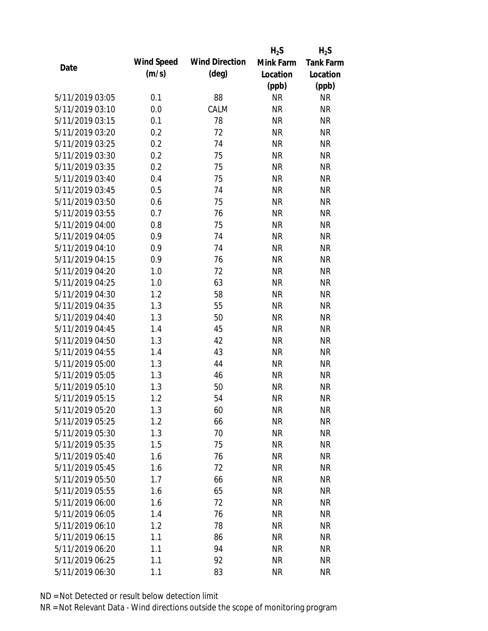|                 |            |                       | $H_2S$    | $H_2S$           |
|-----------------|------------|-----------------------|-----------|------------------|
| Date            | Wind Speed | <b>Wind Direction</b> | Mink Farm | <b>Tank Farm</b> |
|                 | (m/s)      | $(\text{deg})$        | Location  | Location         |
|                 |            |                       | (ppb)     | (ppb)            |
| 5/11/2019 03:05 | 0.1        | 88                    | <b>NR</b> | <b>NR</b>        |
| 5/11/2019 03:10 | 0.0        | CALM                  | <b>NR</b> | <b>NR</b>        |
| 5/11/2019 03:15 | 0.1        | 78                    | <b>NR</b> | <b>NR</b>        |
| 5/11/2019 03:20 | 0.2        | 72                    | <b>NR</b> | <b>NR</b>        |
| 5/11/2019 03:25 | 0.2        | 74                    | <b>NR</b> | <b>NR</b>        |
| 5/11/2019 03:30 | 0.2        | 75                    | <b>NR</b> | <b>NR</b>        |
| 5/11/2019 03:35 | 0.2        | 75                    | <b>NR</b> | <b>NR</b>        |
| 5/11/2019 03:40 | 0.4        | 75                    | <b>NR</b> | <b>NR</b>        |
| 5/11/2019 03:45 | 0.5        | 74                    | <b>NR</b> | <b>NR</b>        |
| 5/11/2019 03:50 | 0.6        | 75                    | <b>NR</b> | <b>NR</b>        |
| 5/11/2019 03:55 | 0.7        | 76                    | <b>NR</b> | <b>NR</b>        |
| 5/11/2019 04:00 | 0.8        | 75                    | <b>NR</b> | <b>NR</b>        |
| 5/11/2019 04:05 | 0.9        | 74                    | <b>NR</b> | <b>NR</b>        |
| 5/11/2019 04:10 | 0.9        | 74                    | <b>NR</b> | <b>NR</b>        |
| 5/11/2019 04:15 | 0.9        | 76                    | <b>NR</b> | <b>NR</b>        |
| 5/11/2019 04:20 | 1.0        | 72                    | <b>NR</b> | <b>NR</b>        |
| 5/11/2019 04:25 | 1.0        | 63                    | <b>NR</b> | <b>NR</b>        |
| 5/11/2019 04:30 | 1.2        | 58                    | <b>NR</b> | <b>NR</b>        |
| 5/11/2019 04:35 | 1.3        | 55                    | <b>NR</b> | <b>NR</b>        |
| 5/11/2019 04:40 | 1.3        | 50                    | <b>NR</b> | <b>NR</b>        |
| 5/11/2019 04:45 | 1.4        | 45                    | <b>NR</b> | <b>NR</b>        |
| 5/11/2019 04:50 | 1.3        | 42                    | <b>NR</b> | <b>NR</b>        |
| 5/11/2019 04:55 | 1.4        | 43                    | <b>NR</b> | <b>NR</b>        |
| 5/11/2019 05:00 | 1.3        | 44                    | <b>NR</b> | <b>NR</b>        |
| 5/11/2019 05:05 | 1.3        | 46                    | <b>NR</b> | <b>NR</b>        |
| 5/11/2019 05:10 | 1.3        | 50                    | <b>NR</b> | <b>NR</b>        |
| 5/11/2019 05:15 | 1.2        | 54                    | <b>NR</b> | <b>NR</b>        |
| 5/11/2019 05:20 | 1.3        | 60                    | <b>NR</b> | <b>NR</b>        |
| 5/11/2019 05:25 | 1.2        | 66                    | <b>NR</b> | <b>NR</b>        |
| 5/11/2019 05:30 | 1.3        | 70                    | <b>NR</b> | <b>NR</b>        |
| 5/11/2019 05:35 | 1.5        | 75                    | <b>NR</b> | <b>NR</b>        |
| 5/11/2019 05:40 | 1.6        | 76                    | <b>NR</b> | NR               |
| 5/11/2019 05:45 | 1.6        | 72                    | <b>NR</b> | <b>NR</b>        |
| 5/11/2019 05:50 | 1.7        | 66                    | <b>NR</b> | <b>NR</b>        |
| 5/11/2019 05:55 | 1.6        | 65                    | <b>NR</b> | <b>NR</b>        |
| 5/11/2019 06:00 | 1.6        | 72                    | <b>NR</b> | <b>NR</b>        |
| 5/11/2019 06:05 | 1.4        | 76                    | <b>NR</b> | <b>NR</b>        |
| 5/11/2019 06:10 | 1.2        | 78                    | <b>NR</b> | <b>NR</b>        |
| 5/11/2019 06:15 | 1.1        | 86                    | <b>NR</b> | NR               |
| 5/11/2019 06:20 | 1.1        | 94                    | <b>NR</b> | NR               |
| 5/11/2019 06:25 | 1.1        | 92                    | <b>NR</b> | <b>NR</b>        |
| 5/11/2019 06:30 | 1.1        | 83                    | <b>NR</b> | <b>NR</b>        |
|                 |            |                       |           |                  |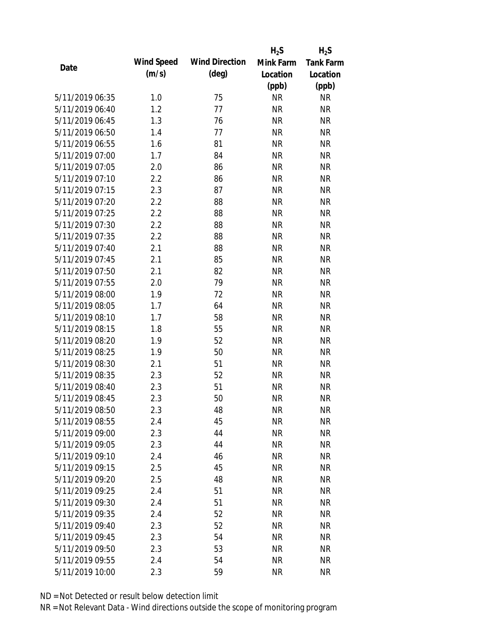|                 |            |                       | $H_2S$    | $H_2S$           |
|-----------------|------------|-----------------------|-----------|------------------|
| Date            | Wind Speed | <b>Wind Direction</b> | Mink Farm | <b>Tank Farm</b> |
|                 | (m/s)      | $(\text{deg})$        | Location  | Location         |
|                 |            |                       | (ppb)     | (ppb)            |
| 5/11/2019 06:35 | 1.0        | 75                    | <b>NR</b> | <b>NR</b>        |
| 5/11/2019 06:40 | 1.2        | 77                    | <b>NR</b> | <b>NR</b>        |
| 5/11/2019 06:45 | 1.3        | 76                    | <b>NR</b> | <b>NR</b>        |
| 5/11/2019 06:50 | 1.4        | 77                    | <b>NR</b> | <b>NR</b>        |
| 5/11/2019 06:55 | 1.6        | 81                    | <b>NR</b> | <b>NR</b>        |
| 5/11/2019 07:00 | 1.7        | 84                    | <b>NR</b> | <b>NR</b>        |
| 5/11/2019 07:05 | 2.0        | 86                    | <b>NR</b> | <b>NR</b>        |
| 5/11/2019 07:10 | 2.2        | 86                    | <b>NR</b> | <b>NR</b>        |
| 5/11/2019 07:15 | 2.3        | 87                    | <b>NR</b> | <b>NR</b>        |
| 5/11/2019 07:20 | 2.2        | 88                    | <b>NR</b> | <b>NR</b>        |
| 5/11/2019 07:25 | 2.2        | 88                    | <b>NR</b> | <b>NR</b>        |
| 5/11/2019 07:30 | 2.2        | 88                    | <b>NR</b> | <b>NR</b>        |
| 5/11/2019 07:35 | 2.2        | 88                    | <b>NR</b> | <b>NR</b>        |
| 5/11/2019 07:40 | 2.1        | 88                    | <b>NR</b> | <b>NR</b>        |
| 5/11/2019 07:45 | 2.1        | 85                    | <b>NR</b> | <b>NR</b>        |
| 5/11/2019 07:50 | 2.1        | 82                    | <b>NR</b> | <b>NR</b>        |
| 5/11/2019 07:55 | 2.0        | 79                    | <b>NR</b> | <b>NR</b>        |
| 5/11/2019 08:00 | 1.9        | 72                    | <b>NR</b> | <b>NR</b>        |
| 5/11/2019 08:05 | 1.7        | 64                    | <b>NR</b> | <b>NR</b>        |
| 5/11/2019 08:10 | 1.7        | 58                    | <b>NR</b> | <b>NR</b>        |
| 5/11/2019 08:15 | 1.8        | 55                    | <b>NR</b> | <b>NR</b>        |
| 5/11/2019 08:20 | 1.9        | 52                    | <b>NR</b> | <b>NR</b>        |
| 5/11/2019 08:25 | 1.9        | 50                    | <b>NR</b> | <b>NR</b>        |
| 5/11/2019 08:30 | 2.1        | 51                    | <b>NR</b> | <b>NR</b>        |
| 5/11/2019 08:35 | 2.3        | 52                    | <b>NR</b> | <b>NR</b>        |
| 5/11/2019 08:40 | 2.3        | 51                    | <b>NR</b> | <b>NR</b>        |
| 5/11/2019 08:45 | 2.3        | 50                    | <b>NR</b> | <b>NR</b>        |
| 5/11/2019 08:50 | 2.3        | 48                    | <b>NR</b> | <b>NR</b>        |
| 5/11/2019 08:55 | 2.4        | 45                    | <b>NR</b> | <b>NR</b>        |
| 5/11/2019 09:00 | 2.3        | 44                    | NR        | <b>NR</b>        |
| 5/11/2019 09:05 | 2.3        | 44                    | <b>NR</b> | <b>NR</b>        |
| 5/11/2019 09:10 | 2.4        | 46                    | <b>NR</b> | <b>NR</b>        |
| 5/11/2019 09:15 | 2.5        | 45                    | <b>NR</b> | <b>NR</b>        |
| 5/11/2019 09:20 | 2.5        | 48                    | <b>NR</b> | <b>NR</b>        |
| 5/11/2019 09:25 | 2.4        | 51                    | <b>NR</b> | <b>NR</b>        |
| 5/11/2019 09:30 | 2.4        | 51                    | <b>NR</b> | <b>NR</b>        |
| 5/11/2019 09:35 | 2.4        | 52                    | <b>NR</b> | <b>NR</b>        |
| 5/11/2019 09:40 | 2.3        | 52                    | <b>NR</b> | <b>NR</b>        |
| 5/11/2019 09:45 | 2.3        | 54                    | <b>NR</b> | <b>NR</b>        |
| 5/11/2019 09:50 | 2.3        | 53                    | <b>NR</b> | <b>NR</b>        |
| 5/11/2019 09:55 | 2.4        | 54                    | <b>NR</b> | <b>NR</b>        |
| 5/11/2019 10:00 | 2.3        | 59                    | <b>NR</b> | <b>NR</b>        |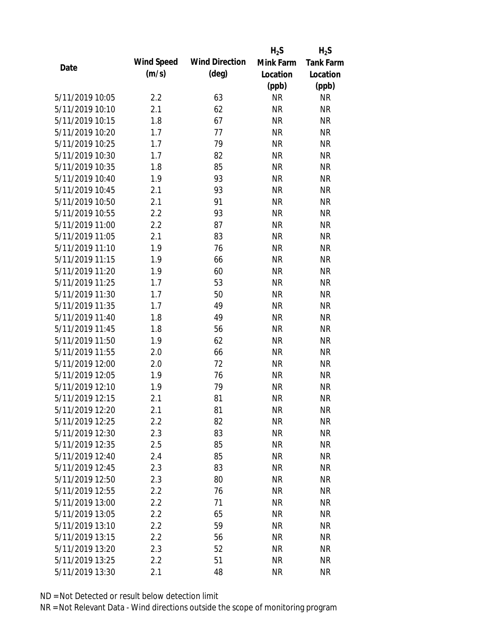|                 |            |                       | $H_2S$    | $H_2S$           |
|-----------------|------------|-----------------------|-----------|------------------|
| Date            | Wind Speed | <b>Wind Direction</b> | Mink Farm | <b>Tank Farm</b> |
|                 | (m/s)      | $(\text{deg})$        | Location  | Location         |
|                 |            |                       | (ppb)     | (ppb)            |
| 5/11/2019 10:05 | 2.2        | 63                    | <b>NR</b> | <b>NR</b>        |
| 5/11/2019 10:10 | 2.1        | 62                    | <b>NR</b> | <b>NR</b>        |
| 5/11/2019 10:15 | 1.8        | 67                    | <b>NR</b> | <b>NR</b>        |
| 5/11/2019 10:20 | 1.7        | 77                    | <b>NR</b> | <b>NR</b>        |
| 5/11/2019 10:25 | 1.7        | 79                    | <b>NR</b> | <b>NR</b>        |
| 5/11/2019 10:30 | 1.7        | 82                    | <b>NR</b> | <b>NR</b>        |
| 5/11/2019 10:35 | 1.8        | 85                    | <b>NR</b> | <b>NR</b>        |
| 5/11/2019 10:40 | 1.9        | 93                    | <b>NR</b> | <b>NR</b>        |
| 5/11/2019 10:45 | 2.1        | 93                    | <b>NR</b> | <b>NR</b>        |
| 5/11/2019 10:50 | 2.1        | 91                    | <b>NR</b> | <b>NR</b>        |
| 5/11/2019 10:55 | 2.2        | 93                    | <b>NR</b> | <b>NR</b>        |
| 5/11/2019 11:00 | 2.2        | 87                    | <b>NR</b> | <b>NR</b>        |
| 5/11/2019 11:05 | 2.1        | 83                    | <b>NR</b> | <b>NR</b>        |
| 5/11/2019 11:10 | 1.9        | 76                    | <b>NR</b> | <b>NR</b>        |
| 5/11/2019 11:15 | 1.9        | 66                    | <b>NR</b> | <b>NR</b>        |
| 5/11/2019 11:20 | 1.9        | 60                    | <b>NR</b> | <b>NR</b>        |
| 5/11/2019 11:25 | 1.7        | 53                    | <b>NR</b> | <b>NR</b>        |
| 5/11/2019 11:30 | 1.7        | 50                    | <b>NR</b> | <b>NR</b>        |
| 5/11/2019 11:35 | 1.7        | 49                    | <b>NR</b> | <b>NR</b>        |
| 5/11/2019 11:40 | 1.8        | 49                    | <b>NR</b> | <b>NR</b>        |
| 5/11/2019 11:45 | 1.8        | 56                    | <b>NR</b> | <b>NR</b>        |
| 5/11/2019 11:50 | 1.9        | 62                    | <b>NR</b> | <b>NR</b>        |
| 5/11/2019 11:55 | 2.0        | 66                    | <b>NR</b> | <b>NR</b>        |
| 5/11/2019 12:00 | 2.0        | 72                    | <b>NR</b> | <b>NR</b>        |
| 5/11/2019 12:05 | 1.9        | 76                    | <b>NR</b> | <b>NR</b>        |
| 5/11/2019 12:10 | 1.9        | 79                    | <b>NR</b> | <b>NR</b>        |
| 5/11/2019 12:15 | 2.1        | 81                    | <b>NR</b> | <b>NR</b>        |
| 5/11/2019 12:20 | 2.1        | 81                    | <b>NR</b> | <b>NR</b>        |
| 5/11/2019 12:25 | 2.2        | 82                    | <b>NR</b> | <b>NR</b>        |
| 5/11/2019 12:30 | 2.3        | 83                    | NR        | <b>NR</b>        |
| 5/11/2019 12:35 | 2.5        | 85                    | <b>NR</b> | <b>NR</b>        |
| 5/11/2019 12:40 | 2.4        | 85                    | <b>NR</b> | <b>NR</b>        |
| 5/11/2019 12:45 | 2.3        | 83                    | <b>NR</b> | <b>NR</b>        |
| 5/11/2019 12:50 | 2.3        | 80                    | <b>NR</b> | <b>NR</b>        |
| 5/11/2019 12:55 | 2.2        | 76                    | <b>NR</b> | <b>NR</b>        |
| 5/11/2019 13:00 | 2.2        | 71                    | <b>NR</b> | <b>NR</b>        |
| 5/11/2019 13:05 | 2.2        | 65                    | <b>NR</b> | <b>NR</b>        |
| 5/11/2019 13:10 | 2.2        | 59                    | <b>NR</b> | <b>NR</b>        |
| 5/11/2019 13:15 | 2.2        | 56                    | <b>NR</b> | <b>NR</b>        |
| 5/11/2019 13:20 | 2.3        | 52                    | <b>NR</b> | <b>NR</b>        |
| 5/11/2019 13:25 | 2.2        | 51                    | <b>NR</b> | <b>NR</b>        |
| 5/11/2019 13:30 | 2.1        | 48                    | <b>NR</b> | <b>NR</b>        |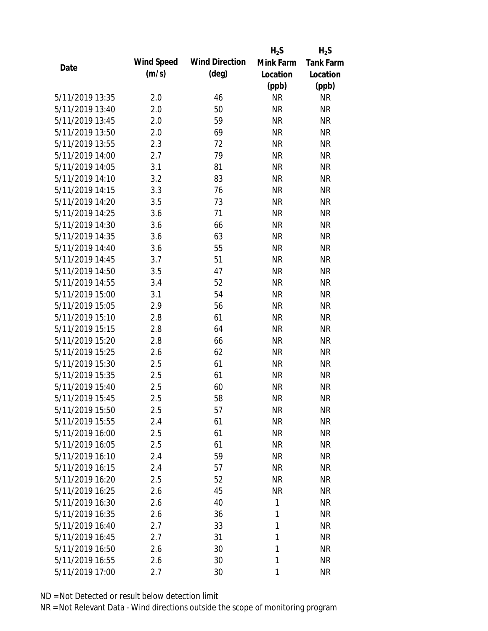|                 |            |                       | $H_2S$    | $H_2S$           |
|-----------------|------------|-----------------------|-----------|------------------|
| Date            | Wind Speed | <b>Wind Direction</b> | Mink Farm | <b>Tank Farm</b> |
|                 | (m/s)      | $(\text{deg})$        | Location  | Location         |
|                 |            |                       | (ppb)     | (ppb)            |
| 5/11/2019 13:35 | 2.0        | 46                    | <b>NR</b> | <b>NR</b>        |
| 5/11/2019 13:40 | 2.0        | 50                    | <b>NR</b> | <b>NR</b>        |
| 5/11/2019 13:45 | 2.0        | 59                    | <b>NR</b> | <b>NR</b>        |
| 5/11/2019 13:50 | 2.0        | 69                    | <b>NR</b> | <b>NR</b>        |
| 5/11/2019 13:55 | 2.3        | 72                    | <b>NR</b> | <b>NR</b>        |
| 5/11/2019 14:00 | 2.7        | 79                    | <b>NR</b> | <b>NR</b>        |
| 5/11/2019 14:05 | 3.1        | 81                    | <b>NR</b> | <b>NR</b>        |
| 5/11/2019 14:10 | 3.2        | 83                    | <b>NR</b> | <b>NR</b>        |
| 5/11/2019 14:15 | 3.3        | 76                    | <b>NR</b> | <b>NR</b>        |
| 5/11/2019 14:20 | 3.5        | 73                    | <b>NR</b> | <b>NR</b>        |
| 5/11/2019 14:25 | 3.6        | 71                    | <b>NR</b> | <b>NR</b>        |
| 5/11/2019 14:30 | 3.6        | 66                    | <b>NR</b> | <b>NR</b>        |
| 5/11/2019 14:35 | 3.6        | 63                    | <b>NR</b> | <b>NR</b>        |
| 5/11/2019 14:40 | 3.6        | 55                    | <b>NR</b> | <b>NR</b>        |
| 5/11/2019 14:45 | 3.7        | 51                    | <b>NR</b> | <b>NR</b>        |
| 5/11/2019 14:50 | 3.5        | 47                    | <b>NR</b> | <b>NR</b>        |
| 5/11/2019 14:55 | 3.4        | 52                    | <b>NR</b> | <b>NR</b>        |
| 5/11/2019 15:00 | 3.1        | 54                    | <b>NR</b> | <b>NR</b>        |
| 5/11/2019 15:05 | 2.9        | 56                    | <b>NR</b> | <b>NR</b>        |
| 5/11/2019 15:10 | 2.8        | 61                    | <b>NR</b> | <b>NR</b>        |
| 5/11/2019 15:15 | 2.8        | 64                    | <b>NR</b> | <b>NR</b>        |
| 5/11/2019 15:20 | 2.8        | 66                    | <b>NR</b> | <b>NR</b>        |
| 5/11/2019 15:25 | 2.6        | 62                    | <b>NR</b> | <b>NR</b>        |
| 5/11/2019 15:30 | 2.5        | 61                    | <b>NR</b> | <b>NR</b>        |
| 5/11/2019 15:35 | 2.5        | 61                    | <b>NR</b> | <b>NR</b>        |
| 5/11/2019 15:40 | 2.5        | 60                    | <b>NR</b> | <b>NR</b>        |
| 5/11/2019 15:45 | 2.5        | 58                    | <b>NR</b> | <b>NR</b>        |
| 5/11/2019 15:50 | 2.5        | 57                    | <b>NR</b> | <b>NR</b>        |
| 5/11/2019 15:55 | 2.4        | 61                    | <b>NR</b> | <b>NR</b>        |
| 5/11/2019 16:00 | 2.5        | 61                    | NR        | <b>NR</b>        |
| 5/11/2019 16:05 | 2.5        | 61                    | NR        | <b>NR</b>        |
| 5/11/2019 16:10 |            | 59                    | <b>NR</b> | <b>NR</b>        |
| 5/11/2019 16:15 | 2.4        | 57                    |           | <b>NR</b>        |
|                 | 2.4        |                       | NR        |                  |
| 5/11/2019 16:20 | 2.5        | 52                    | <b>NR</b> | <b>NR</b>        |
| 5/11/2019 16:25 | 2.6        | 45                    | <b>NR</b> | <b>NR</b>        |
| 5/11/2019 16:30 | 2.6        | 40                    | 1         | <b>NR</b>        |
| 5/11/2019 16:35 | 2.6        | 36                    | 1         | <b>NR</b>        |
| 5/11/2019 16:40 | 2.7        | 33                    | 1         | <b>NR</b>        |
| 5/11/2019 16:45 | 2.7        | 31                    | 1         | <b>NR</b>        |
| 5/11/2019 16:50 | 2.6        | 30                    | 1         | <b>NR</b>        |
| 5/11/2019 16:55 | 2.6        | 30                    | 1         | <b>NR</b>        |
| 5/11/2019 17:00 | 2.7        | 30                    | 1         | <b>NR</b>        |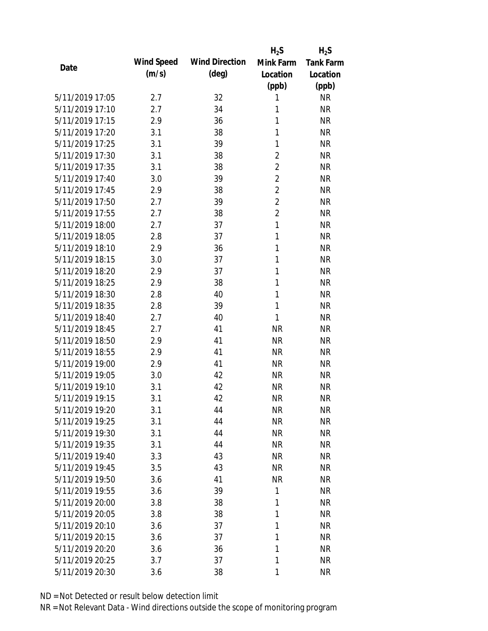|                 |            |                       | $H_2S$         | $H_2S$           |
|-----------------|------------|-----------------------|----------------|------------------|
| Date            | Wind Speed | <b>Wind Direction</b> | Mink Farm      | <b>Tank Farm</b> |
|                 | (m/s)      | $(\text{deg})$        | Location       | Location         |
|                 |            |                       | (ppb)          | (ppb)            |
| 5/11/2019 17:05 | 2.7        | 32                    | 1              | <b>NR</b>        |
| 5/11/2019 17:10 | 2.7        | 34                    | 1              | <b>NR</b>        |
| 5/11/2019 17:15 | 2.9        | 36                    | 1              | <b>NR</b>        |
| 5/11/2019 17:20 | 3.1        | 38                    | 1              | <b>NR</b>        |
| 5/11/2019 17:25 | 3.1        | 39                    | 1              | <b>NR</b>        |
| 5/11/2019 17:30 | 3.1        | 38                    | $\overline{2}$ | <b>NR</b>        |
| 5/11/2019 17:35 | 3.1        | 38                    | $\overline{2}$ | <b>NR</b>        |
| 5/11/2019 17:40 | 3.0        | 39                    | $\overline{2}$ | <b>NR</b>        |
| 5/11/2019 17:45 | 2.9        | 38                    | $\overline{2}$ | <b>NR</b>        |
| 5/11/2019 17:50 | 2.7        | 39                    | $\overline{2}$ | <b>NR</b>        |
| 5/11/2019 17:55 | 2.7        | 38                    | $\overline{2}$ | <b>NR</b>        |
| 5/11/2019 18:00 | 2.7        | 37                    | $\mathbf{1}$   | <b>NR</b>        |
| 5/11/2019 18:05 | 2.8        | 37                    | 1              | <b>NR</b>        |
| 5/11/2019 18:10 | 2.9        | 36                    | 1              | <b>NR</b>        |
| 5/11/2019 18:15 | 3.0        | 37                    | 1              | <b>NR</b>        |
| 5/11/2019 18:20 | 2.9        | 37                    | 1              | <b>NR</b>        |
| 5/11/2019 18:25 | 2.9        | 38                    | 1              | <b>NR</b>        |
| 5/11/2019 18:30 | 2.8        | 40                    | 1              | <b>NR</b>        |
| 5/11/2019 18:35 | 2.8        | 39                    | 1              | <b>NR</b>        |
| 5/11/2019 18:40 | 2.7        | 40                    | 1              | <b>NR</b>        |
| 5/11/2019 18:45 | 2.7        | 41                    | <b>NR</b>      | <b>NR</b>        |
| 5/11/2019 18:50 | 2.9        | 41                    | <b>NR</b>      | <b>NR</b>        |
| 5/11/2019 18:55 | 2.9        | 41                    | <b>NR</b>      | <b>NR</b>        |
| 5/11/2019 19:00 | 2.9        | 41                    | <b>NR</b>      | <b>NR</b>        |
| 5/11/2019 19:05 | 3.0        | 42                    | <b>NR</b>      | <b>NR</b>        |
| 5/11/2019 19:10 | 3.1        | 42                    | <b>NR</b>      | <b>NR</b>        |
| 5/11/2019 19:15 | 3.1        | 42                    | <b>NR</b>      | <b>NR</b>        |
| 5/11/2019 19:20 | 3.1        | 44                    | <b>NR</b>      | <b>NR</b>        |
| 5/11/2019 19:25 | 3.1        | 44                    | <b>NR</b>      | <b>NR</b>        |
| 5/11/2019 19:30 | 3.1        | 44                    | <b>NR</b>      | <b>NR</b>        |
| 5/11/2019 19:35 | 3.1        | 44                    | <b>NR</b>      | <b>NR</b>        |
| 5/11/2019 19:40 | 3.3        | 43                    | <b>NR</b>      | <b>NR</b>        |
| 5/11/2019 19:45 | 3.5        | 43                    | <b>NR</b>      | <b>NR</b>        |
| 5/11/2019 19:50 | 3.6        | 41                    | <b>NR</b>      | <b>NR</b>        |
| 5/11/2019 19:55 | 3.6        | 39                    | 1              | <b>NR</b>        |
| 5/11/2019 20:00 | 3.8        | 38                    | 1              | <b>NR</b>        |
| 5/11/2019 20:05 | 3.8        | 38                    | 1              | <b>NR</b>        |
| 5/11/2019 20:10 |            |                       | 1              |                  |
|                 | 3.6        | 37                    | 1              | <b>NR</b>        |
| 5/11/2019 20:15 | 3.6        | 37                    | 1              | <b>NR</b>        |
| 5/11/2019 20:20 | 3.6        | 36                    |                | <b>NR</b>        |
| 5/11/2019 20:25 | 3.7        | 37                    | 1              | <b>NR</b>        |
| 5/11/2019 20:30 | 3.6        | 38                    | 1              | <b>NR</b>        |